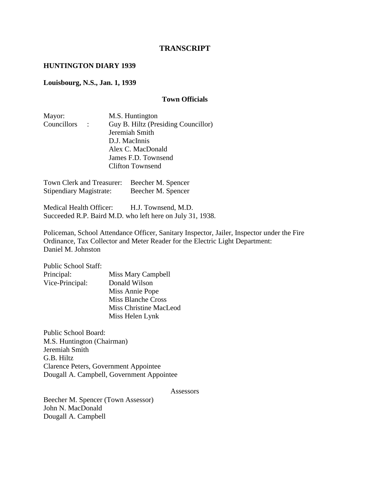## **TRANSCRIPT**

#### **HUNTINGTON DIARY 1939**

#### **Louisbourg, N.S., Jan. 1, 1939**

#### **Town Officials**

| Mayor:      |             | M.S. Huntington                     |
|-------------|-------------|-------------------------------------|
| Councillors | $\sim 1000$ | Guy B. Hiltz (Presiding Councillor) |
|             |             | Jeremiah Smith                      |
|             |             | D.J. MacInnis                       |
|             |             | Alex C. MacDonald                   |
|             |             | James F.D. Townsend                 |
|             |             | <b>Clifton Townsend</b>             |
|             |             |                                     |

Town Clerk and Treasurer: Beecher M. Spencer Stipendiary Magistrate: Beecher M. Spencer

Medical Health Officer: H.J. Townsend, M.D. Succeeded R.P. Baird M.D. who left here on July 31, 1938.

Policeman, School Attendance Officer, Sanitary Inspector, Jailer, Inspector under the Fire Ordinance, Tax Collector and Meter Reader for the Electric Light Department: Daniel M. Johnston

| <b>Public School Staff:</b> |                               |
|-----------------------------|-------------------------------|
| Principal:                  | Miss Mary Campbell            |
| Vice-Principal:             | Donald Wilson                 |
|                             | Miss Annie Pope               |
|                             | Miss Blanche Cross            |
|                             | <b>Miss Christine MacLeod</b> |
|                             | Miss Helen Lynk               |
|                             |                               |

Public School Board: M.S. Huntington (Chairman) Jeremiah Smith G.B. Hiltz Clarence Peters, Government Appointee Dougall A. Campbell, Government Appointee

Assessors

Beecher M. Spencer (Town Assessor) John N. MacDonald Dougall A. Campbell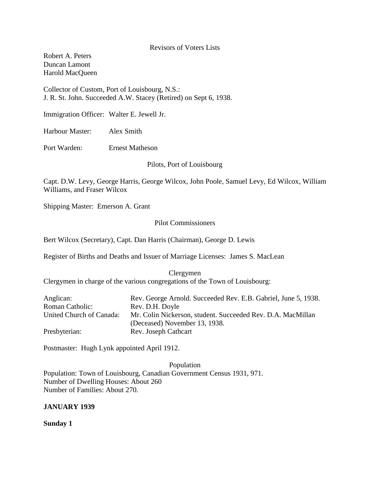Revisors of Voters Lists

Robert A. Peters Duncan Lamont Harold MacQueen

Collector of Custom, Port of Louisbourg, N.S.: J. R. St. John. Succeeded A.W. Stacey (Retired) on Sept 6, 1938.

Immigration Officer: Walter E. Jewell Jr.

Harbour Master: Alex Smith

Port Warden: Ernest Matheson

Pilots, Port of Louisbourg

Capt. D.W. Levy, George Harris, George Wilcox, John Poole, Samuel Levy, Ed Wilcox, William Williams, and Fraser Wilcox

Shipping Master: Emerson A. Grant

#### Pilot Commissioners

Bert Wilcox (Secretary), Capt. Dan Harris (Chairman), George D. Lewis

Register of Births and Deaths and Issuer of Marriage Licenses: James S. MacLean

Clergymen Clergymen in charge of the various congregations of the Town of Louisbourg:

| Anglican:                | Rev. George Arnold. Succeeded Rev. E.B. Gabriel, June 5, 1938. |
|--------------------------|----------------------------------------------------------------|
| <b>Roman Catholic:</b>   | Rev. D.H. Doyle                                                |
| United Church of Canada: | Mr. Colin Nickerson, student. Succeeded Rev. D.A. MacMillan    |
|                          | (Deceased) November 13, 1938.                                  |
| Presbyterian:            | Rev. Joseph Cathcart                                           |

Postmaster: Hugh Lynk appointed April 1912.

Population Population: Town of Louisbourg, Canadian Government Census 1931, 971. Number of Dwelling Houses: About 260 Number of Families: About 270.

## **JANUARY 1939**

**Sunday 1**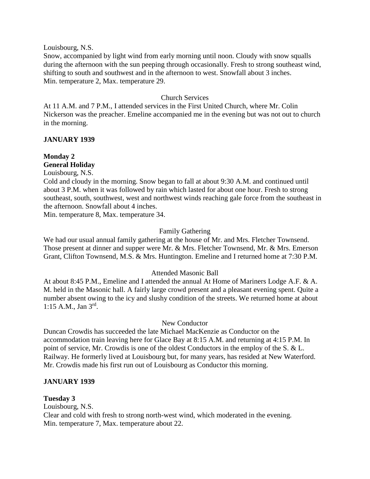Louisbourg, N.S.

Snow, accompanied by light wind from early morning until noon. Cloudy with snow squalls during the afternoon with the sun peeping through occasionally. Fresh to strong southeast wind, shifting to south and southwest and in the afternoon to west. Snowfall about 3 inches. Min. temperature 2, Max. temperature 29.

## Church Services

At 11 A.M. and 7 P.M., I attended services in the First United Church, where Mr. Colin Nickerson was the preacher. Emeline accompanied me in the evening but was not out to church in the morning.

## **JANUARY 1939**

# **Monday 2 General Holiday**

Louisbourg, N.S.

Cold and cloudy in the morning. Snow began to fall at about 9:30 A.M. and continued until about 3 P.M. when it was followed by rain which lasted for about one hour. Fresh to strong southeast, south, southwest, west and northwest winds reaching gale force from the southeast in the afternoon. Snowfall about 4 inches.

Min. temperature 8, Max. temperature 34.

## Family Gathering

We had our usual annual family gathering at the house of Mr. and Mrs. Fletcher Townsend. Those present at dinner and supper were Mr. & Mrs. Fletcher Townsend, Mr. & Mrs. Emerson Grant, Clifton Townsend, M.S. & Mrs. Huntington. Emeline and I returned home at 7:30 P.M.

## Attended Masonic Ball

At about 8:45 P.M., Emeline and I attended the annual At Home of Mariners Lodge A.F. & A. M. held in the Masonic hall. A fairly large crowd present and a pleasant evening spent. Quite a number absent owing to the icy and slushy condition of the streets. We returned home at about 1:15 A.M., Jan 3rd .

## New Conductor

Duncan Crowdis has succeeded the late Michael MacKenzie as Conductor on the accommodation train leaving here for Glace Bay at 8:15 A.M. and returning at 4:15 P.M. In point of service, Mr. Crowdis is one of the oldest Conductors in the employ of the S. & L. Railway. He formerly lived at Louisbourg but, for many years, has resided at New Waterford. Mr. Crowdis made his first run out of Louisbourg as Conductor this morning.

## **JANUARY 1939**

## **Tuesday 3**

Louisbourg, N.S. Clear and cold with fresh to strong north-west wind, which moderated in the evening. Min. temperature 7, Max. temperature about 22.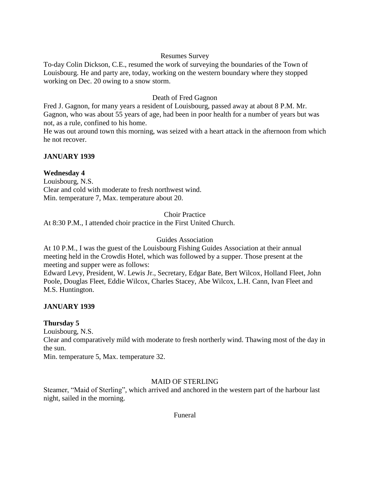## Resumes Survey

To-day Colin Dickson, C.E., resumed the work of surveying the boundaries of the Town of Louisbourg. He and party are, today, working on the western boundary where they stopped working on Dec. 20 owing to a snow storm.

# Death of Fred Gagnon

Fred J. Gagnon, for many years a resident of Louisbourg, passed away at about 8 P.M. Mr. Gagnon, who was about 55 years of age, had been in poor health for a number of years but was not, as a rule, confined to his home.

He was out around town this morning, was seized with a heart attack in the afternoon from which he not recover.

# **JANUARY 1939**

# **Wednesday 4**

Louisbourg, N.S. Clear and cold with moderate to fresh northwest wind. Min. temperature 7, Max. temperature about 20.

## Choir Practice

At 8:30 P.M., I attended choir practice in the First United Church.

## Guides Association

At 10 P.M., I was the guest of the Louisbourg Fishing Guides Association at their annual meeting held in the Crowdis Hotel, which was followed by a supper. Those present at the meeting and supper were as follows:

Edward Levy, President, W. Lewis Jr., Secretary, Edgar Bate, Bert Wilcox, Holland Fleet, John Poole, Douglas Fleet, Eddie Wilcox, Charles Stacey, Abe Wilcox, L.H. Cann, Ivan Fleet and M.S. Huntington.

# **JANUARY 1939**

## **Thursday 5**

Louisbourg, N.S.

Clear and comparatively mild with moderate to fresh northerly wind. Thawing most of the day in the sun.

Min. temperature 5, Max. temperature 32.

## MAID OF STERLING

Steamer, "Maid of Sterling", which arrived and anchored in the western part of the harbour last night, sailed in the morning.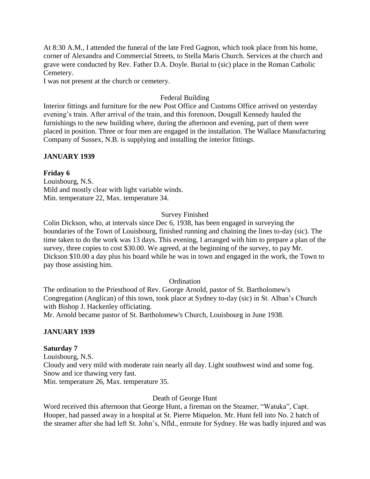At 8:30 A.M., I attended the funeral of the late Fred Gagnon, which took place from his home, corner of Alexandra and Commercial Streets, to Stella Maris Church. Services at the church and grave were conducted by Rev. Father D.A. Doyle. Burial to (sic) place in the Roman Catholic Cemetery.

I was not present at the church or cemetery.

## Federal Building

Interior fittings and furniture for the new Post Office and Customs Office arrived on yesterday evening's train. After arrival of the train, and this forenoon, Dougall Kennedy hauled the furnishings to the new building where, during the afternoon and evening, part of them were placed in position. Three or four men are engaged in the installation. The Wallace Manufacturing Company of Sussex, N.B. is supplying and installing the interior fittings.

# **JANUARY 1939**

## **Friday 6**

Louisbourg, N.S. Mild and mostly clear with light variable winds. Min. temperature 22, Max. temperature 34.

# Survey Finished

Colin Dickson, who, at intervals since Dec 6, 1938, has been engaged in surveying the boundaries of the Town of Louisbourg, finished running and chaining the lines to-day (sic). The time taken to do the work was 13 days. This evening, I arranged with him to prepare a plan of the survey, three copies to cost \$30.00. We agreed, at the beginning of the survey, to pay Mr. Dickson \$10.00 a day plus his board while he was in town and engaged in the work, the Town to pay those assisting him.

# **Ordination**

The ordination to the Priesthood of Rev. George Arnold, pastor of St. Bartholomew's Congregation (Anglican) of this town, took place at Sydney to-day (sic) in St. Alban's Church with Bishop J. Hackenley officiating.

Mr. Arnold became pastor of St. Bartholomew's Church, Louisbourg in June 1938.

# **JANUARY 1939**

## **Saturday 7**

Louisbourg, N.S. Cloudy and very mild with moderate rain nearly all day. Light southwest wind and some fog. Snow and ice thawing very fast. Min. temperature 26, Max. temperature 35.

## Death of George Hunt

Word received this afternoon that George Hunt, a fireman on the Steamer, "Watuka", Capt. Hooper, had passed away in a hospital at St. Pierre Miquelon. Mr. Hunt fell into No. 2 hatch of the steamer after she had left St. John's, Nfld., enroute for Sydney. He was badly injured and was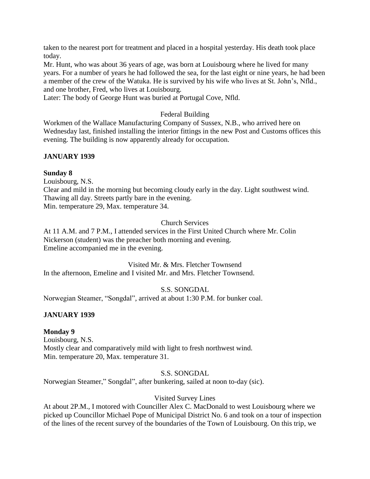taken to the nearest port for treatment and placed in a hospital yesterday. His death took place today.

Mr. Hunt, who was about 36 years of age, was born at Louisbourg where he lived for many years. For a number of years he had followed the sea, for the last eight or nine years, he had been a member of the crew of the Watuka. He is survived by his wife who lives at St. John's, Nfld., and one brother, Fred, who lives at Louisbourg.

Later: The body of George Hunt was buried at Portugal Cove, Nfld.

# Federal Building

Workmen of the Wallace Manufacturing Company of Sussex, N.B., who arrived here on Wednesday last, finished installing the interior fittings in the new Post and Customs offices this evening. The building is now apparently already for occupation.

# **JANUARY 1939**

## **Sunday 8**

Louisbourg, N.S.

Clear and mild in the morning but becoming cloudy early in the day. Light southwest wind. Thawing all day. Streets partly bare in the evening. Min. temperature 29, Max. temperature 34.

# Church Services

At 11 A.M. and 7 P.M., I attended services in the First United Church where Mr. Colin Nickerson (student) was the preacher both morning and evening. Emeline accompanied me in the evening.

#### Visited Mr. & Mrs. Fletcher Townsend In the afternoon, Emeline and I visited Mr. and Mrs. Fletcher Townsend.

S.S. SONGDAL

Norwegian Steamer, "Songdal", arrived at about 1:30 P.M. for bunker coal.

# **JANUARY 1939**

# **Monday 9**

Louisbourg, N.S. Mostly clear and comparatively mild with light to fresh northwest wind. Min. temperature 20, Max. temperature 31.

# S.S. SONGDAL

Norwegian Steamer," Songdal", after bunkering, sailed at noon to-day (sic).

## Visited Survey Lines

At about 2P.M., I motored with Counciller Alex C. MacDonald to west Louisbourg where we picked up Councillor Michael Pope of Municipal District No. 6 and took on a tour of inspection of the lines of the recent survey of the boundaries of the Town of Louisbourg. On this trip, we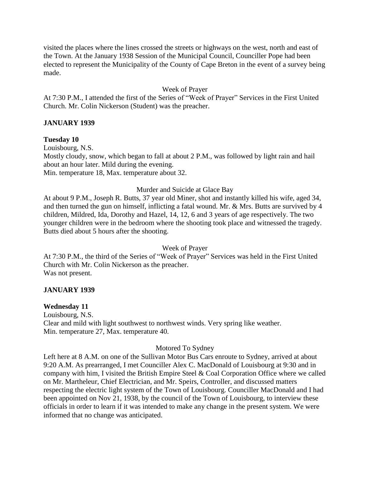visited the places where the lines crossed the streets or highways on the west, north and east of the Town. At the January 1938 Session of the Municipal Council, Counciller Pope had been elected to represent the Municipality of the County of Cape Breton in the event of a survey being made.

## Week of Prayer

At 7:30 P.M., I attended the first of the Series of "Week of Prayer" Services in the First United Church. Mr. Colin Nickerson (Student) was the preacher.

## **JANUARY 1939**

**Tuesday 10**

Louisbourg, N.S. Mostly cloudy, snow, which began to fall at about 2 P.M., was followed by light rain and hail about an hour later. Mild during the evening. Min. temperature 18, Max. temperature about 32.

## Murder and Suicide at Glace Bay

At about 9 P.M., Joseph R. Butts, 37 year old Miner, shot and instantly killed his wife, aged 34, and then turned the gun on himself, inflicting a fatal wound. Mr. & Mrs. Butts are survived by 4 children, Mildred, Ida, Dorothy and Hazel, 14, 12, 6 and 3 years of age respectively. The two younger children were in the bedroom where the shooting took place and witnessed the tragedy. Butts died about 5 hours after the shooting.

Week of Prayer

At 7:30 P.M., the third of the Series of "Week of Prayer" Services was held in the First United Church with Mr. Colin Nickerson as the preacher. Was not present.

## **JANUARY 1939**

## **Wednesday 11**

Louisbourg, N.S. Clear and mild with light southwest to northwest winds. Very spring like weather. Min. temperature 27, Max. temperature 40.

## Motored To Sydney

Left here at 8 A.M. on one of the Sullivan Motor Bus Cars enroute to Sydney, arrived at about 9:20 A.M. As prearranged, I met Counciller Alex C. MacDonald of Louisbourg at 9:30 and in company with him, I visited the British Empire Steel & Coal Corporation Office where we called on Mr. Martheleur, Chief Electrician, and Mr. Speirs, Controller, and discussed matters respecting the electric light system of the Town of Louisbourg. Counciller MacDonald and I had been appointed on Nov 21, 1938, by the council of the Town of Louisbourg, to interview these officials in order to learn if it was intended to make any change in the present system. We were informed that no change was anticipated.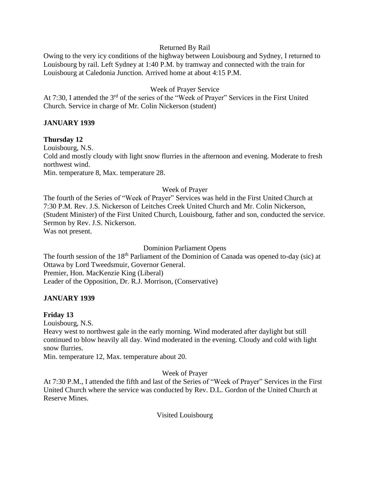## Returned By Rail

Owing to the very icy conditions of the highway between Louisbourg and Sydney, I returned to Louisbourg by rail. Left Sydney at 1:40 P.M. by tramway and connected with the train for Louisbourg at Caledonia Junction. Arrived home at about 4:15 P.M.

# Week of Prayer Service

At 7:30, I attended the 3<sup>rd</sup> of the series of the "Week of Prayer" Services in the First United Church. Service in charge of Mr. Colin Nickerson (student)

## **JANUARY 1939**

## **Thursday 12**

Louisbourg, N.S. Cold and mostly cloudy with light snow flurries in the afternoon and evening. Moderate to fresh northwest wind. Min. temperature 8, Max. temperature 28.

## Week of Prayer

The fourth of the Series of "Week of Prayer" Services was held in the First United Church at 7:30 P.M. Rev. J.S. Nickerson of Leitches Creek United Church and Mr. Colin Nickerson, (Student Minister) of the First United Church, Louisbourg, father and son, conducted the service. Sermon by Rev. J.S. Nickerson.

Was not present.

Dominion Parliament Opens

The fourth session of the 18<sup>th</sup> Parliament of the Dominion of Canada was opened to-day (sic) at Ottawa by Lord Tweedsmuir, Governor General. Premier, Hon. MacKenzie King (Liberal) Leader of the Opposition, Dr. R.J. Morrison, (Conservative)

# **JANUARY 1939**

## **Friday 13**

Louisbourg, N.S.

Heavy west to northwest gale in the early morning. Wind moderated after daylight but still continued to blow heavily all day. Wind moderated in the evening. Cloudy and cold with light snow flurries.

Min. temperature 12, Max. temperature about 20.

Week of Prayer

At 7:30 P.M., I attended the fifth and last of the Series of "Week of Prayer" Services in the First United Church where the service was conducted by Rev. D.L. Gordon of the United Church at Reserve Mines.

Visited Louisbourg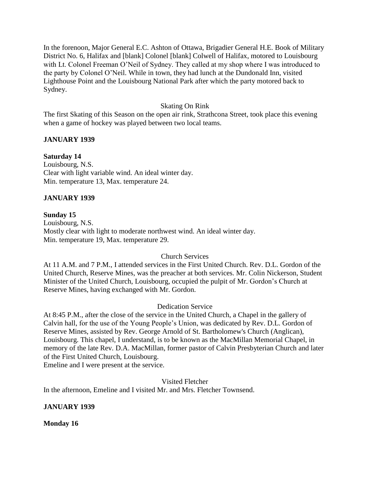In the forenoon, Major General E.C. Ashton of Ottawa, Brigadier General H.E. Book of Military District No. 6, Halifax and [blank] Colonel [blank] Colwell of Halifax, motored to Louisbourg with Lt. Colonel Freeman O'Neil of Sydney. They called at my shop where I was introduced to the party by Colonel O'Neil. While in town, they had lunch at the Dundonald Inn, visited Lighthouse Point and the Louisbourg National Park after which the party motored back to Sydney.

## Skating On Rink

The first Skating of this Season on the open air rink, Strathcona Street, took place this evening when a game of hockey was played between two local teams.

## **JANUARY 1939**

**Saturday 14** Louisbourg, N.S. Clear with light variable wind. An ideal winter day. Min. temperature 13, Max. temperature 24.

## **JANUARY 1939**

## **Sunday 15**

Louisbourg, N.S. Mostly clear with light to moderate northwest wind. An ideal winter day. Min. temperature 19, Max. temperature 29.

## Church Services

At 11 A.M. and 7 P.M., I attended services in the First United Church. Rev. D.L. Gordon of the United Church, Reserve Mines, was the preacher at both services. Mr. Colin Nickerson, Student Minister of the United Church, Louisbourg, occupied the pulpit of Mr. Gordon's Church at Reserve Mines, having exchanged with Mr. Gordon.

## Dedication Service

At 8:45 P.M., after the close of the service in the United Church, a Chapel in the gallery of Calvin hall, for the use of the Young People's Union, was dedicated by Rev. D.L. Gordon of Reserve Mines, assisted by Rev. George Arnold of St. Bartholomew's Church (Anglican), Louisbourg. This chapel, I understand, is to be known as the MacMillan Memorial Chapel, in memory of the late Rev. D.A. MacMillan, former pastor of Calvin Presbyterian Church and later of the First United Church, Louisbourg.

Emeline and I were present at the service.

Visited Fletcher In the afternoon, Emeline and I visited Mr. and Mrs. Fletcher Townsend.

## **JANUARY 1939**

**Monday 16**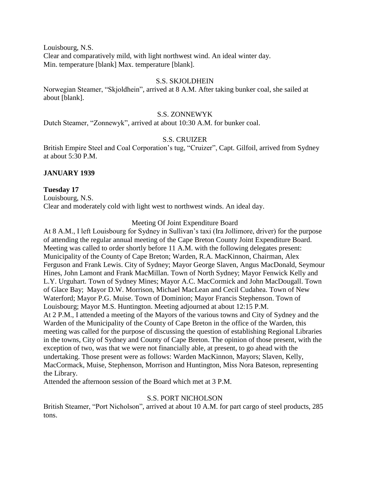Louisbourg, N.S. Clear and comparatively mild, with light northwest wind. An ideal winter day. Min. temperature [blank] Max. temperature [blank].

## S.S. SKJOLDHEIN

Norwegian Steamer, "Skjoldhein", arrived at 8 A.M. After taking bunker coal, she sailed at about [blank].

#### S.S. ZONNEWYK

Dutch Steamer, "Zonnewyk", arrived at about 10:30 A.M. for bunker coal.

## S.S. CRUIZER

British Empire Steel and Coal Corporation's tug, "Cruizer", Capt. Gilfoil, arrived from Sydney at about 5:30 P.M.

#### **JANUARY 1939**

#### **Tuesday 17**

Louisbourg, N.S. Clear and moderately cold with light west to northwest winds. An ideal day.

#### Meeting Of Joint Expenditure Board

At 8 A.M., I left Louisbourg for Sydney in Sullivan's taxi (Ira Jollimore, driver) for the purpose of attending the regular annual meeting of the Cape Breton County Joint Expenditure Board. Meeting was called to order shortly before 11 A.M. with the following delegates present: Municipality of the County of Cape Breton; Warden, R.A. MacKinnon, Chairman, Alex Ferguson and Frank Lewis. City of Sydney; Mayor George Slaven, Angus MacDonald, Seymour Hines, John Lamont and Frank MacMillan. Town of North Sydney; Mayor Fenwick Kelly and L.Y. Urguhart. Town of Sydney Mines; Mayor A.C. MacCormick and John MacDougall. Town of Glace Bay; Mayor D.W. Morrison, Michael MacLean and Cecil Cudahea. Town of New Waterford; Mayor P.G. Muise. Town of Dominion; Mayor Francis Stephenson. Town of Louisbourg; Mayor M.S. Huntington. Meeting adjourned at about 12:15 P.M. At 2 P.M., I attended a meeting of the Mayors of the various towns and City of Sydney and the Warden of the Municipality of the County of Cape Breton in the office of the Warden, this meeting was called for the purpose of discussing the question of establishing Regional Libraries in the towns, City of Sydney and County of Cape Breton. The opinion of those present, with the exception of two, was that we were not financially able, at present, to go ahead with the undertaking. Those present were as follows: Warden MacKinnon, Mayors; Slaven, Kelly, MacCormack, Muise, Stephenson, Morrison and Huntington, Miss Nora Bateson, representing the Library.

Attended the afternoon session of the Board which met at 3 P.M.

#### S.S. PORT NICHOLSON

British Steamer, "Port Nicholson", arrived at about 10 A.M. for part cargo of steel products, 285 tons.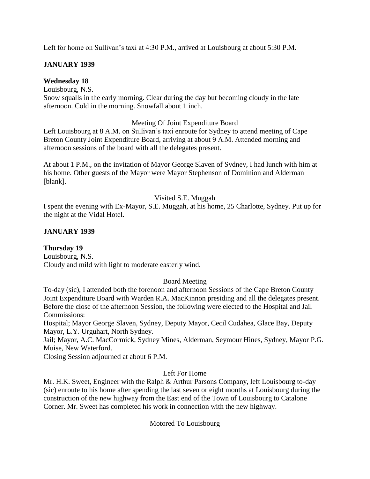Left for home on Sullivan's taxi at 4:30 P.M., arrived at Louisbourg at about 5:30 P.M.

# **JANUARY 1939**

# **Wednesday 18**

Louisbourg, N.S.

Snow squalls in the early morning. Clear during the day but becoming cloudy in the late afternoon. Cold in the morning. Snowfall about 1 inch.

# Meeting Of Joint Expenditure Board

Left Louisbourg at 8 A.M. on Sullivan's taxi enroute for Sydney to attend meeting of Cape Breton County Joint Expenditure Board, arriving at about 9 A.M. Attended morning and afternoon sessions of the board with all the delegates present.

At about 1 P.M., on the invitation of Mayor George Slaven of Sydney, I had lunch with him at his home. Other guests of the Mayor were Mayor Stephenson of Dominion and Alderman [blank].

## Visited S.E. Muggah

I spent the evening with Ex-Mayor, S.E. Muggah, at his home, 25 Charlotte, Sydney. Put up for the night at the Vidal Hotel.

# **JANUARY 1939**

# **Thursday 19**

Louisbourg, N.S. Cloudy and mild with light to moderate easterly wind.

# Board Meeting

To-day (sic), I attended both the forenoon and afternoon Sessions of the Cape Breton County Joint Expenditure Board with Warden R.A. MacKinnon presiding and all the delegates present. Before the close of the afternoon Session, the following were elected to the Hospital and Jail Commissions:

Hospital; Mayor George Slaven, Sydney, Deputy Mayor, Cecil Cudahea, Glace Bay, Deputy Mayor, L.Y. Urguhart, North Sydney.

Jail; Mayor, A.C. MacCormick, Sydney Mines, Alderman, Seymour Hines, Sydney, Mayor P.G. Muise, New Waterford.

Closing Session adjourned at about 6 P.M.

# Left For Home

Mr. H.K. Sweet, Engineer with the Ralph & Arthur Parsons Company, left Louisbourg to-day (sic) enroute to his home after spending the last seven or eight months at Louisbourg during the construction of the new highway from the East end of the Town of Louisbourg to Catalone Corner. Mr. Sweet has completed his work in connection with the new highway.

Motored To Louisbourg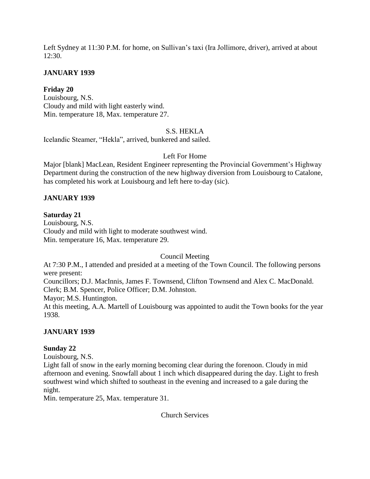Left Sydney at 11:30 P.M. for home, on Sullivan's taxi (Ira Jollimore, driver), arrived at about 12:30.

## **JANUARY 1939**

# **Friday 20**

Louisbourg, N.S. Cloudy and mild with light easterly wind. Min. temperature 18, Max. temperature 27.

# S.S. HEKLA

Icelandic Steamer, "Hekla", arrived, bunkered and sailed.

## Left For Home

Major [blank] MacLean, Resident Engineer representing the Provincial Government's Highway Department during the construction of the new highway diversion from Louisbourg to Catalone, has completed his work at Louisbourg and left here to-day (sic).

## **JANUARY 1939**

## **Saturday 21**

Louisbourg, N.S. Cloudy and mild with light to moderate southwest wind. Min. temperature 16, Max. temperature 29.

Council Meeting

At 7:30 P.M., I attended and presided at a meeting of the Town Council. The following persons were present:

Councillors; D.J. MacInnis, James F. Townsend, Clifton Townsend and Alex C. MacDonald. Clerk; B.M. Spencer, Police Officer; D.M. Johnston.

Mayor; M.S. Huntington.

At this meeting, A.A. Martell of Louisbourg was appointed to audit the Town books for the year 1938.

## **JANUARY 1939**

## **Sunday 22**

Louisbourg, N.S.

Light fall of snow in the early morning becoming clear during the forenoon. Cloudy in mid afternoon and evening. Snowfall about 1 inch which disappeared during the day. Light to fresh southwest wind which shifted to southeast in the evening and increased to a gale during the night.

Min. temperature 25, Max. temperature 31.

Church Services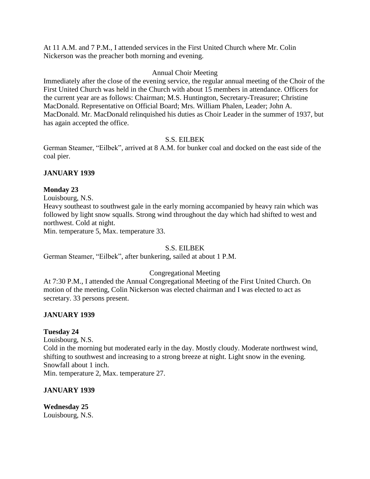At 11 A.M. and 7 P.M., I attended services in the First United Church where Mr. Colin Nickerson was the preacher both morning and evening.

## Annual Choir Meeting

Immediately after the close of the evening service, the regular annual meeting of the Choir of the First United Church was held in the Church with about 15 members in attendance. Officers for the current year are as follows: Chairman; M.S. Huntington, Secretary-Treasurer; Christine MacDonald. Representative on Official Board; Mrs. William Phalen, Leader; John A. MacDonald. Mr. MacDonald relinquished his duties as Choir Leader in the summer of 1937, but has again accepted the office.

## S.S. EILBEK

German Steamer, "Eilbek", arrived at 8 A.M. for bunker coal and docked on the east side of the coal pier.

## **JANUARY 1939**

## **Monday 23**

Louisbourg, N.S.

Heavy southeast to southwest gale in the early morning accompanied by heavy rain which was followed by light snow squalls. Strong wind throughout the day which had shifted to west and northwest. Cold at night.

Min. temperature 5, Max. temperature 33.

## S.S. EILBEK

German Steamer, "Eilbek", after bunkering, sailed at about 1 P.M.

# Congregational Meeting

At 7:30 P.M., I attended the Annual Congregational Meeting of the First United Church. On motion of the meeting, Colin Nickerson was elected chairman and I was elected to act as secretary. 33 persons present.

# **JANUARY 1939**

## **Tuesday 24**

Louisbourg, N.S. Cold in the morning but moderated early in the day. Mostly cloudy. Moderate northwest wind, shifting to southwest and increasing to a strong breeze at night. Light snow in the evening. Snowfall about 1 inch. Min. temperature 2, Max. temperature 27.

## **JANUARY 1939**

**Wednesday 25** Louisbourg, N.S.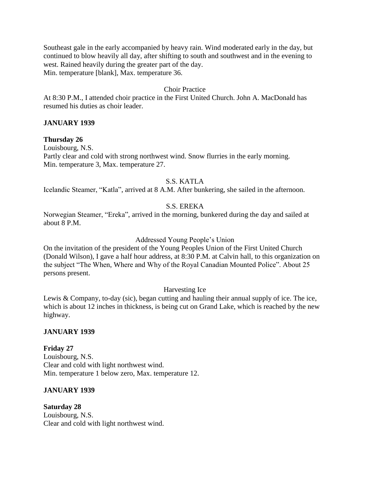Southeast gale in the early accompanied by heavy rain. Wind moderated early in the day, but continued to blow heavily all day, after shifting to south and southwest and in the evening to west. Rained heavily during the greater part of the day. Min. temperature [blank], Max. temperature 36.

## Choir Practice

At 8:30 P.M., I attended choir practice in the First United Church. John A. MacDonald has resumed his duties as choir leader.

## **JANUARY 1939**

## **Thursday 26**

Louisbourg, N.S. Partly clear and cold with strong northwest wind. Snow flurries in the early morning. Min. temperature 3, Max. temperature 27.

## S.S. KATLA

Icelandic Steamer, "Katla", arrived at 8 A.M. After bunkering, she sailed in the afternoon.

## S.S. EREKA

Norwegian Steamer, "Ereka", arrived in the morning, bunkered during the day and sailed at about 8 P.M.

#### Addressed Young People's Union

On the invitation of the president of the Young Peoples Union of the First United Church (Donald Wilson), I gave a half hour address, at 8:30 P.M. at Calvin hall, to this organization on the subject "The When, Where and Why of the Royal Canadian Mounted Police". About 25 persons present.

## Harvesting Ice

Lewis & Company, to-day (sic), began cutting and hauling their annual supply of ice. The ice, which is about 12 inches in thickness, is being cut on Grand Lake, which is reached by the new highway.

#### **JANUARY 1939**

## **Friday 27**

Louisbourg, N.S. Clear and cold with light northwest wind. Min. temperature 1 below zero, Max. temperature 12.

## **JANUARY 1939**

**Saturday 28** Louisbourg, N.S. Clear and cold with light northwest wind.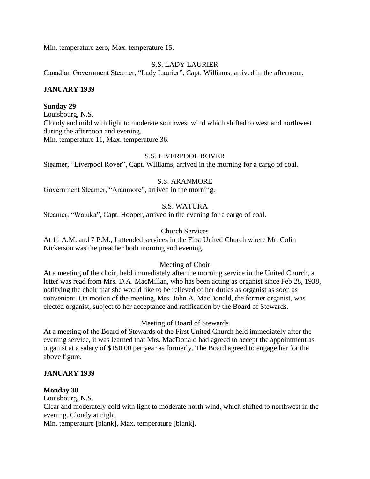Min. temperature zero, Max. temperature 15.

## S.S. LADY LAURIER

Canadian Government Steamer, "Lady Laurier", Capt. Williams, arrived in the afternoon.

## **JANUARY 1939**

## **Sunday 29**

Louisbourg, N.S. Cloudy and mild with light to moderate southwest wind which shifted to west and northwest during the afternoon and evening. Min. temperature 11, Max. temperature 36.

## S.S. LIVERPOOL ROVER

Steamer, "Liverpool Rover", Capt. Williams, arrived in the morning for a cargo of coal.

## S.S. ARANMORE

Government Steamer, "Aranmore", arrived in the morning.

# S.S. WATUKA

Steamer, "Watuka", Capt. Hooper, arrived in the evening for a cargo of coal.

## Church Services

At 11 A.M. and 7 P.M., I attended services in the First United Church where Mr. Colin Nickerson was the preacher both morning and evening.

## Meeting of Choir

At a meeting of the choir, held immediately after the morning service in the United Church, a letter was read from Mrs. D.A. MacMillan, who has been acting as organist since Feb 28, 1938, notifying the choir that she would like to be relieved of her duties as organist as soon as convenient. On motion of the meeting, Mrs. John A. MacDonald, the former organist, was elected organist, subject to her acceptance and ratification by the Board of Stewards.

Meeting of Board of Stewards

At a meeting of the Board of Stewards of the First United Church held immediately after the evening service, it was learned that Mrs. MacDonald had agreed to accept the appointment as organist at a salary of \$150.00 per year as formerly. The Board agreed to engage her for the above figure.

## **JANUARY 1939**

## **Monday 30**

Louisbourg, N.S.

Clear and moderately cold with light to moderate north wind, which shifted to northwest in the evening. Cloudy at night.

Min. temperature [blank], Max. temperature [blank].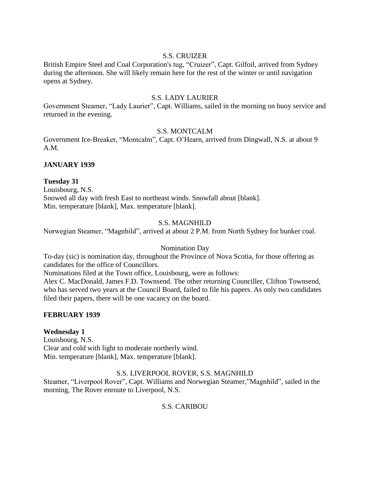# S.S. CRUIZER

British Empire Steel and Coal Corporation's tug, "Cruizer", Capt. Gilfoil, arrived from Sydney during the afternoon. She will likely remain here for the rest of the winter or until navigation opens at Sydney.

## S.S. LADY LAURIER

Government Steamer, "Lady Laurier", Capt. Williams, sailed in the morning on buoy service and returned in the evening.

# S.S. MONTCALM

Government Ice-Breaker, "Montcalm", Capt. O'Hearn, arrived from Dingwall, N.S. at about 9 A.M.

## **JANUARY 1939**

## **Tuesday 31**

Louisbourg, N.S. Snowed all day with fresh East to northeast winds. Snowfall about [blank]. Min. temperature [blank], Max. temperature [blank].

# S.S. MAGNHILD

Norwegian Steamer, "Magnhild", arrived at about 2 P.M. from North Sydney for bunker coal.

## Nomination Day

To-day (sic) is nomination day, throughout the Province of Nova Scotia, for those offering as candidates for the office of Councillors.

Nominations filed at the Town office, Louisbourg, were as follows:

Alex C. MacDonald, James F.D. Townsend. The other returning Counciller, Clifton Townsend, who has served two years at the Council Board, failed to file his papers. As only two candidates filed their papers, there will be one vacancy on the board.

## **FEBRUARY 1939**

## **Wednesday 1**

Louisbourg, N.S. Clear and cold with light to moderate northerly wind. Min. temperature [blank], Max. temperature [blank].

# S.S. LIVERPOOL ROVER, S.S. MAGNHILD

Steamer, "Liverpool Rover", Capt. Williams and Norwegian Steamer,"Magnhild", sailed in the morning, The Rover enroute to Liverpool, N.S.

S.S. CARIBOU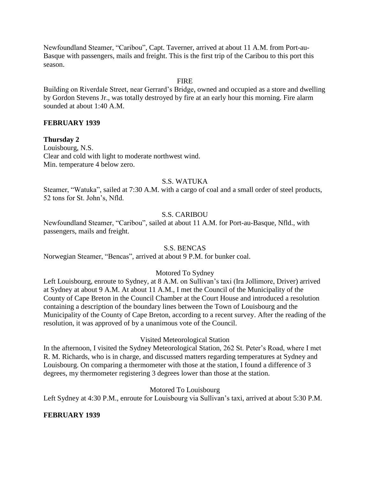Newfoundland Steamer, "Caribou", Capt. Taverner, arrived at about 11 A.M. from Port-au-Basque with passengers, mails and freight. This is the first trip of the Caribou to this port this season.

#### **FIRE**

Building on Riverdale Street, near Gerrard's Bridge, owned and occupied as a store and dwelling by Gordon Stevens Jr., was totally destroyed by fire at an early hour this morning. Fire alarm sounded at about 1:40 A.M.

## **FEBRUARY 1939**

**Thursday 2** Louisbourg, N.S. Clear and cold with light to moderate northwest wind. Min. temperature 4 below zero.

#### S.S. WATUKA

Steamer, "Watuka", sailed at 7:30 A.M. with a cargo of coal and a small order of steel products, 52 tons for St. John's, Nfld.

#### S.S. CARIBOU

Newfoundland Steamer, "Caribou", sailed at about 11 A.M. for Port-au-Basque, Nfld., with passengers, mails and freight.

#### S.S. BENCAS

Norwegian Steamer, "Bencas", arrived at about 9 P.M. for bunker coal.

## Motored To Sydney

Left Louisbourg, enroute to Sydney, at 8 A.M. on Sullivan's taxi (Ira Jollimore, Driver) arrived at Sydney at about 9 A.M. At about 11 A.M., I met the Council of the Municipality of the County of Cape Breton in the Council Chamber at the Court House and introduced a resolution containing a description of the boundary lines between the Town of Louisbourg and the Municipality of the County of Cape Breton, according to a recent survey. After the reading of the resolution, it was approved of by a unanimous vote of the Council.

#### Visited Meteorological Station

In the afternoon, I visited the Sydney Meteorological Station, 262 St. Peter's Road, where I met R. M. Richards, who is in charge, and discussed matters regarding temperatures at Sydney and Louisbourg. On comparing a thermometer with those at the station, I found a difference of 3 degrees, my thermometer registering 3 degrees lower than those at the station.

#### Motored To Louisbourg

Left Sydney at 4:30 P.M., enroute for Louisbourg via Sullivan's taxi, arrived at about 5:30 P.M.

## **FEBRUARY 1939**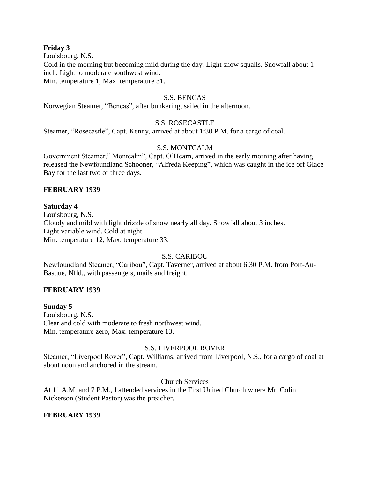#### **Friday 3**

Louisbourg, N.S.

Cold in the morning but becoming mild during the day. Light snow squalls. Snowfall about 1 inch. Light to moderate southwest wind.

Min. temperature 1, Max. temperature 31.

## S.S. BENCAS

Norwegian Steamer, "Bencas", after bunkering, sailed in the afternoon.

## S.S. ROSECASTLE

Steamer, "Rosecastle", Capt. Kenny, arrived at about 1:30 P.M. for a cargo of coal.

## S.S. MONTCALM

Government Steamer," Montcalm", Capt. O'Hearn, arrived in the early morning after having released the Newfoundland Schooner, "Alfreda Keeping", which was caught in the ice off Glace Bay for the last two or three days.

#### **FEBRUARY 1939**

#### **Saturday 4**

Louisbourg, N.S. Cloudy and mild with light drizzle of snow nearly all day. Snowfall about 3 inches. Light variable wind. Cold at night. Min. temperature 12, Max. temperature 33.

## S.S. CARIBOU

Newfoundland Steamer, "Caribou", Capt. Taverner, arrived at about 6:30 P.M. from Port-Au-Basque, Nfld., with passengers, mails and freight.

## **FEBRUARY 1939**

**Sunday 5** Louisbourg, N.S. Clear and cold with moderate to fresh northwest wind. Min. temperature zero, Max. temperature 13.

## S.S. LIVERPOOL ROVER

Steamer, "Liverpool Rover", Capt. Williams, arrived from Liverpool, N.S., for a cargo of coal at about noon and anchored in the stream.

## Church Services

At 11 A.M. and 7 P.M., I attended services in the First United Church where Mr. Colin Nickerson (Student Pastor) was the preacher.

## **FEBRUARY 1939**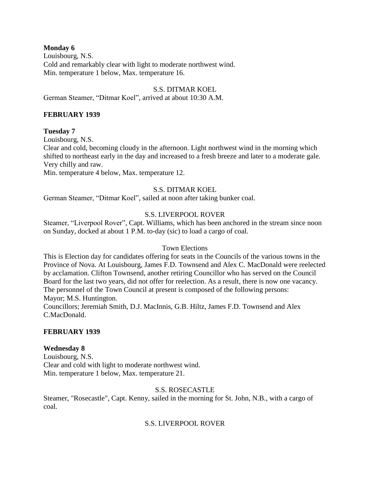## **Monday 6**

Louisbourg, N.S. Cold and remarkably clear with light to moderate northwest wind. Min. temperature 1 below, Max. temperature 16.

## S.S. DITMAR KOEL

German Steamer, "Ditmar Koel", arrived at about 10:30 A.M.

## **FEBRUARY 1939**

## **Tuesday 7**

Louisbourg, N.S.

Clear and cold, becoming cloudy in the afternoon. Light northwest wind in the morning which shifted to northeast early in the day and increased to a fresh breeze and later to a moderate gale. Very chilly and raw.

Min. temperature 4 below, Max. temperature 12.

## S.S. DITMAR KOEL

German Steamer, "Ditmar Koel", sailed at noon after taking bunker coal.

## S.S. LIVERPOOL ROVER

Steamer, "Liverpool Rover", Capt. Williams, which has been anchored in the stream since noon on Sunday, docked at about 1 P.M. to-day (sic) to load a cargo of coal.

## Town Elections

This is Election day for candidates offering for seats in the Councils of the various towns in the Province of Nova. At Louisbourg, James F.D. Townsend and Alex C. MacDonald were reelected by acclamation. Clifton Townsend, another retiring Councillor who has served on the Council Board for the last two years, did not offer for reelection. As a result, there is now one vacancy. The personnel of the Town Council at present is composed of the following persons: Mayor; M.S. Huntington.

Councillors; Jeremiah Smith, D.J. MacInnis, G.B. Hiltz, James F.D. Townsend and Alex C.MacDonald.

## **FEBRUARY 1939**

## **Wednesday 8**

Louisbourg, N.S. Clear and cold with light to moderate northwest wind. Min. temperature 1 below, Max. temperature 21.

## S.S. ROSECASTLE

Steamer, "Rosecastle", Capt. Kenny, sailed in the morning for St. John, N.B., with a cargo of coal.

# S.S. LIVERPOOL ROVER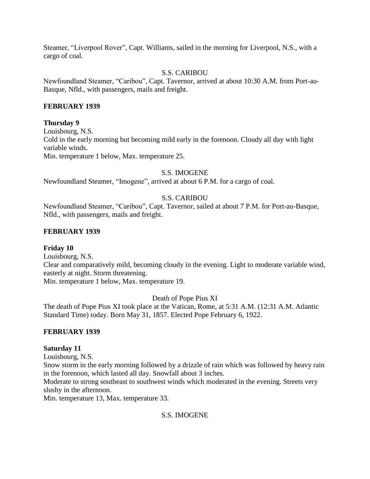Steamer, "Liverpool Rover", Capt. Williams, sailed in the morning for Liverpool, N.S., with a cargo of coal.

# S.S. CARIBOU

Newfoundland Steamer, "Caribou", Capt. Tavernor, arrived at about 10:30 A.M. from Port-au-Basque, Nfld., with passengers, mails and freight.

# **FEBRUARY 1939**

## **Thursday 9**

Louisbourg, N.S. Cold in the early morning but becoming mild early in the forenoon. Cloudy all day with light variable winds. Min. temperature 1 below, Max. temperature 25.

## S.S. IMOGENE

Newfoundland Steamer, "Imogene", arrived at about 6 P.M. for a cargo of coal.

# S.S. CARIBOU

Newfoundland Steamer, "Caribou", Capt. Tavernor, sailed at about 7 P.M. for Port-au-Basque, Nfld., with passengers, mails and freight.

## **FEBRUARY 1939**

## **Friday 10**

Louisbourg, N.S.

Clear and comparatively mild, becoming cloudy in the evening. Light to moderate variable wind, easterly at night. Storm threatening.

Min. temperature 1 below, Max. temperature 19.

Death of Pope Pius XI

The death of Pope Pius XI took place at the Vatican, Rome, at 5:31 A.M. (12:31 A.M. Atlantic Standard Time) today. Born May 31, 1857. Elected Pope February 6, 1922.

# **FEBRUARY 1939**

## **Saturday 11**

Louisbourg, N.S.

Snow storm in the early morning followed by a drizzle of rain which was followed by heavy rain in the forenoon, which lasted all day. Snowfall about 3 inches.

Moderate to strong southeast to southwest winds which moderated in the evening. Streets very slushy in the afternoon.

Min. temperature 13, Max. temperature 33.

# S.S. IMOGENE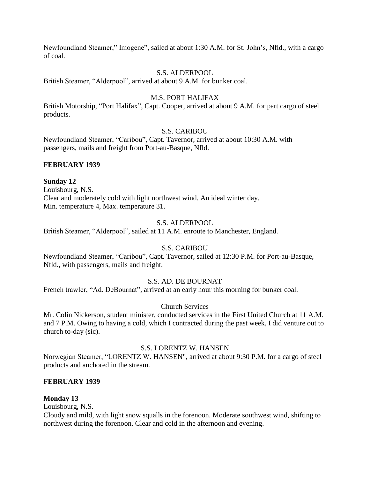Newfoundland Steamer," Imogene", sailed at about 1:30 A.M. for St. John's, Nfld., with a cargo of coal.

## S.S. ALDERPOOL

British Steamer, "Alderpool", arrived at about 9 A.M. for bunker coal.

## M.S. PORT HALIFAX

British Motorship, "Port Halifax", Capt. Cooper, arrived at about 9 A.M. for part cargo of steel products.

## S.S. CARIBOU

Newfoundland Steamer, "Caribou", Capt. Tavernor, arrived at about 10:30 A.M. with passengers, mails and freight from Port-au-Basque, Nfld.

## **FEBRUARY 1939**

## **Sunday 12**

Louisbourg, N.S. Clear and moderately cold with light northwest wind. An ideal winter day. Min. temperature 4, Max. temperature 31.

## S.S. ALDERPOOL

British Steamer, "Alderpool", sailed at 11 A.M. enroute to Manchester, England.

# S.S. CARIBOU

Newfoundland Steamer, "Caribou", Capt. Tavernor, sailed at 12:30 P.M. for Port-au-Basque, Nfld., with passengers, mails and freight.

## S.S. AD. DE BOURNAT

French trawler, "Ad. DeBournat", arrived at an early hour this morning for bunker coal.

## Church Services

Mr. Colin Nickerson, student minister, conducted services in the First United Church at 11 A.M. and 7 P.M. Owing to having a cold, which I contracted during the past week, I did venture out to church to-day (sic).

## S.S. LORENTZ W. HANSEN

Norwegian Steamer, "LORENTZ W. HANSEN", arrived at about 9:30 P.M. for a cargo of steel products and anchored in the stream.

## **FEBRUARY 1939**

## **Monday 13**

Louisbourg, N.S.

Cloudy and mild, with light snow squalls in the forenoon. Moderate southwest wind, shifting to northwest during the forenoon. Clear and cold in the afternoon and evening.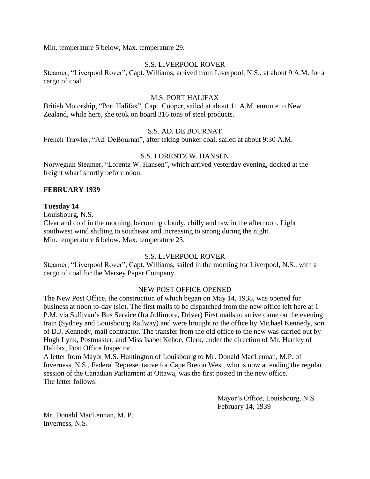Min. temperature 5 below, Max. temperature 29.

## S.S. LIVERPOOL ROVER

Steamer, "Liverpool Rover", Capt. Williams, arrived from Liverpool, N.S., at about 9 A.M. for a cargo of coal.

#### M.S. PORT HALIFAX

British Motorship, "Port Halifax", Capt. Cooper, sailed at about 11 A.M. enroute to New Zealand, while here, she took on board 316 tons of steel products.

#### S.S. AD. DE BOURNAT

French Trawler, "Ad. DeBournat", after taking bunker coal, sailed at about 9:30 A.M.

## S.S. LORENTZ W. HANSEN

Norwegian Steamer, "Lorentz W. Hansen", which arrived yesterday evening, docked at the freight wharf shortly before noon.

#### **FEBRUARY 1939**

#### **Tuesday 14**

Louisbourg, N.S.

Clear and cold in the morning, becoming cloudy, chilly and raw in the afternoon. Light southwest wind shifting to southeast and increasing to strong during the night. Min. temperature 6 below, Max. temperature 23.

## S.S. LIVERPOOL ROVER

Steamer, "Liverpool Rover", Capt. Williams, sailed in the morning for Liverpool, N.S., with a cargo of coal for the Mersey Paper Company.

# NEW POST OFFICE OPENED

The New Post Office, the construction of which began on May 14, 1938, was opened for business at noon to-day (sic). The first mails to be dispatched from the new office left here at 1 P.M. via Sullivan's Bus Service (Ira Jollimore, Driver) First mails to arrive came on the evening train (Sydney and Louisbourg Railway) and were brought to the office by Michael Kennedy, son of D.J. Kennedy, mail contractor. The transfer from the old office to the new was carried out by Hugh Lynk, Postmaster, and Miss Isabel Kehoe, Clerk, under the direction of Mr. Hartley of Halifax, Post Office Inspector.

A letter from Mayor M.S. Huntington of Louisbourg to Mr. Donald MacLennan, M.P. of Inverness, N.S., Federal Representative for Cape Breton West, who is now attending the regular session of the Canadian Parliament at Ottawa, was the first posted in the new office. The letter follows:

> Mayor's Office, Louisbourg, N.S. February 14, 1939

Mr. Donald MacLennan, M. P. Inverness, N.S.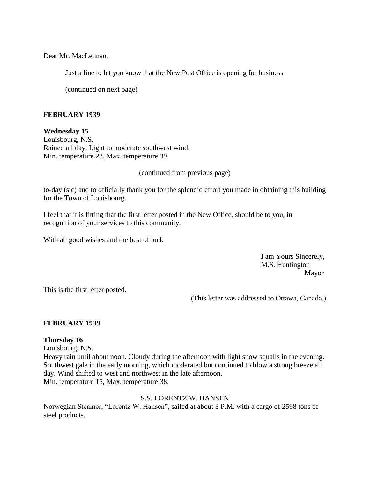Dear Mr. MacLennan,

Just a line to let you know that the New Post Office is opening for business

(continued on next page)

#### **FEBRUARY 1939**

**Wednesday 15**

Louisbourg, N.S. Rained all day. Light to moderate southwest wind. Min. temperature 23, Max. temperature 39.

(continued from previous page)

to-day (sic) and to officially thank you for the splendid effort you made in obtaining this building for the Town of Louisbourg.

I feel that it is fitting that the first letter posted in the New Office, should be to you, in recognition of your services to this community.

With all good wishes and the best of luck

I am Yours Sincerely, M.S. Huntington Mayor

This is the first letter posted.

(This letter was addressed to Ottawa, Canada.)

#### **FEBRUARY 1939**

#### **Thursday 16**

Louisbourg, N.S.

Heavy rain until about noon. Cloudy during the afternoon with light snow squalls in the evening. Southwest gale in the early morning, which moderated but continued to blow a strong breeze all day. Wind shifted to west and northwest in the late afternoon. Min. temperature 15, Max. temperature 38.

## S.S. LORENTZ W. HANSEN

Norwegian Steamer, "Lorentz W. Hansen", sailed at about 3 P.M. with a cargo of 2598 tons of steel products.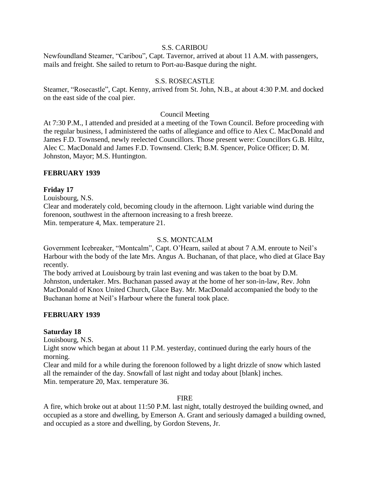#### S.S. CARIBOU

Newfoundland Steamer, "Caribou", Capt. Tavernor, arrived at about 11 A.M. with passengers, mails and freight. She sailed to return to Port-au-Basque during the night.

## S.S. ROSECASTLE

Steamer, "Rosecastle", Capt. Kenny, arrived from St. John, N.B., at about 4:30 P.M. and docked on the east side of the coal pier.

#### Council Meeting

At 7:30 P.M., I attended and presided at a meeting of the Town Council. Before proceeding with the regular business, I administered the oaths of allegiance and office to Alex C. MacDonald and James F.D. Townsend, newly reelected Councillors. Those present were: Councillors G.B. Hiltz, Alec C. MacDonald and James F.D. Townsend. Clerk; B.M. Spencer, Police Officer; D. M. Johnston, Mayor; M.S. Huntington.

## **FEBRUARY 1939**

#### **Friday 17**

Louisbourg, N.S.

Clear and moderately cold, becoming cloudy in the afternoon. Light variable wind during the forenoon, southwest in the afternoon increasing to a fresh breeze. Min. temperature 4, Max. temperature 21.

#### S.S. MONTCALM

Government Icebreaker, "Montcalm", Capt. O'Hearn, sailed at about 7 A.M. enroute to Neil's Harbour with the body of the late Mrs. Angus A. Buchanan, of that place, who died at Glace Bay recently.

The body arrived at Louisbourg by train last evening and was taken to the boat by D.M. Johnston, undertaker. Mrs. Buchanan passed away at the home of her son-in-law, Rev. John MacDonald of Knox United Church, Glace Bay. Mr. MacDonald accompanied the body to the Buchanan home at Neil's Harbour where the funeral took place.

#### **FEBRUARY 1939**

#### **Saturday 18**

Louisbourg, N.S.

Light snow which began at about 11 P.M. yesterday, continued during the early hours of the morning.

Clear and mild for a while during the forenoon followed by a light drizzle of snow which lasted all the remainder of the day. Snowfall of last night and today about [blank] inches. Min. temperature 20, Max. temperature 36.

#### **FIRE**

A fire, which broke out at about 11:50 P.M. last night, totally destroyed the building owned, and occupied as a store and dwelling, by Emerson A. Grant and seriously damaged a building owned, and occupied as a store and dwelling, by Gordon Stevens, Jr.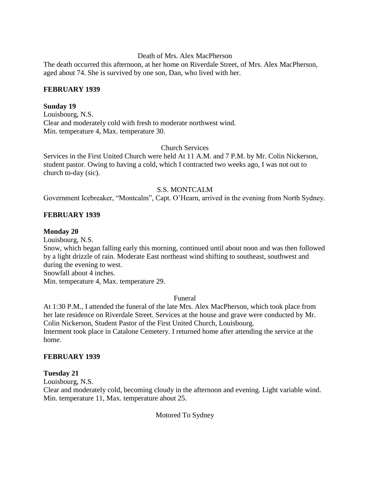#### Death of Mrs. Alex MacPherson

The death occurred this afternoon, at her home on Riverdale Street, of Mrs. Alex MacPherson, aged about 74. She is survived by one son, Dan, who lived with her.

## **FEBRUARY 1939**

## **Sunday 19**

Louisbourg, N.S. Clear and moderately cold with fresh to moderate northwest wind. Min. temperature 4, Max. temperature 30.

## Church Services

Services in the First United Church were held At 11 A.M. and 7 P.M. by Mr. Colin Nickerson, student pastor. Owing to having a cold, which I contracted two weeks ago, I was not out to church to-day (sic).

## S.S. MONTCALM

Government Icebreaker, "Montcalm", Capt. O'Hearn, arrived in the evening from North Sydney.

## **FEBRUARY 1939**

## **Monday 20**

Louisbourg, N.S. Snow, which began falling early this morning, continued until about noon and was then followed by a light drizzle of rain. Moderate East northeast wind shifting to southeast, southwest and during the evening to west. Snowfall about 4 inches. Min. temperature 4, Max. temperature 29.

#### Funeral

At 1:30 P.M., I attended the funeral of the late Mrs. Alex MacPherson, which took place from her late residence on Riverdale Street. Services at the house and grave were conducted by Mr. Colin Nickerson, Student Pastor of the First United Church, Louisbourg. Interment took place in Catalone Cemetery. I returned home after attending the service at the home.

## **FEBRUARY 1939**

## **Tuesday 21**

Louisbourg, N.S.

Clear and moderately cold, becoming cloudy in the afternoon and evening. Light variable wind. Min. temperature 11, Max. temperature about 25.

## Motored To Sydney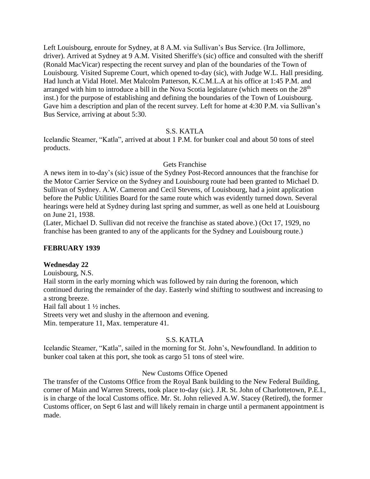Left Louisbourg, enroute for Sydney, at 8 A.M. via Sullivan's Bus Service. (Ira Jollimore, driver). Arrived at Sydney at 9 A.M. Visited Sheriffe's (sic) office and consulted with the sheriff (Ronald MacVicar) respecting the recent survey and plan of the boundaries of the Town of Louisbourg. Visited Supreme Court, which opened to-day (sic), with Judge W.L. Hall presiding. Had lunch at Vidal Hotel. Met Malcolm Patterson, K.C.M.L.A at his office at 1:45 P.M. and arranged with him to introduce a bill in the Nova Scotia legislature (which meets on the 28<sup>th</sup> inst.) for the purpose of establishing and defining the boundaries of the Town of Louisbourg. Gave him a description and plan of the recent survey. Left for home at 4:30 P.M. via Sullivan's Bus Service, arriving at about 5:30.

## S.S. KATLA

Icelandic Steamer, "Katla", arrived at about 1 P.M. for bunker coal and about 50 tons of steel products.

## Gets Franchise

A news item in to-day's (sic) issue of the Sydney Post-Record announces that the franchise for the Motor Carrier Service on the Sydney and Louisbourg route had been granted to Michael D. Sullivan of Sydney. A.W. Cameron and Cecil Stevens, of Louisbourg, had a joint application before the Public Utilities Board for the same route which was evidently turned down. Several hearings were held at Sydney during last spring and summer, as well as one held at Louisbourg on June 21, 1938.

(Later, Michael D. Sullivan did not receive the franchise as stated above.) (Oct 17, 1929, no franchise has been granted to any of the applicants for the Sydney and Louisbourg route.)

# **FEBRUARY 1939**

## **Wednesday 22**

Louisbourg, N.S.

Hail storm in the early morning which was followed by rain during the forenoon, which continued during the remainder of the day. Easterly wind shifting to southwest and increasing to a strong breeze.

Hail fall about 1 ½ inches.

Streets very wet and slushy in the afternoon and evening.

Min. temperature 11, Max. temperature 41.

# S.S. KATLA

Icelandic Steamer, "Katla", sailed in the morning for St. John's, Newfoundland. In addition to bunker coal taken at this port, she took as cargo 51 tons of steel wire.

## New Customs Office Opened

The transfer of the Customs Office from the Royal Bank building to the New Federal Building, corner of Main and Warren Streets, took place to-day (sic). J.R. St. John of Charlottetown, P.E.I., is in charge of the local Customs office. Mr. St. John relieved A.W. Stacey (Retired), the former Customs officer, on Sept 6 last and will likely remain in charge until a permanent appointment is made.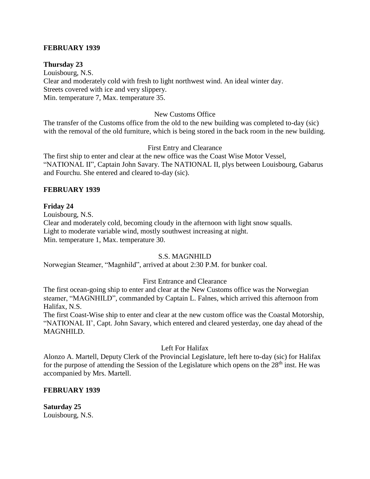## **FEBRUARY 1939**

#### **Thursday 23**

Louisbourg, N.S. Clear and moderately cold with fresh to light northwest wind. An ideal winter day. Streets covered with ice and very slippery. Min. temperature 7, Max. temperature 35.

#### New Customs Office

The transfer of the Customs office from the old to the new building was completed to-day (sic) with the removal of the old furniture, which is being stored in the back room in the new building.

#### First Entry and Clearance

The first ship to enter and clear at the new office was the Coast Wise Motor Vessel, "NATIONAL II", Captain John Savary. The NATIONAL II, plys between Louisbourg, Gabarus and Fourchu. She entered and cleared to-day (sic).

#### **FEBRUARY 1939**

#### **Friday 24**

Louisbourg, N.S. Clear and moderately cold, becoming cloudy in the afternoon with light snow squalls. Light to moderate variable wind, mostly southwest increasing at night. Min. temperature 1, Max. temperature 30.

#### S.S. MAGNHILD

Norwegian Steamer, "Magnhild", arrived at about 2:30 P.M. for bunker coal.

#### First Entrance and Clearance

The first ocean-going ship to enter and clear at the New Customs office was the Norwegian steamer, "MAGNHILD", commanded by Captain L. Falnes, which arrived this afternoon from Halifax, N.S.

The first Coast-Wise ship to enter and clear at the new custom office was the Coastal Motorship, "NATIONAL II', Capt. John Savary, which entered and cleared yesterday, one day ahead of the MAGNHILD.

#### Left For Halifax

Alonzo A. Martell, Deputy Clerk of the Provincial Legislature, left here to-day (sic) for Halifax for the purpose of attending the Session of the Legislature which opens on the  $28<sup>th</sup>$  inst. He was accompanied by Mrs. Martell.

#### **FEBRUARY 1939**

**Saturday 25** Louisbourg, N.S.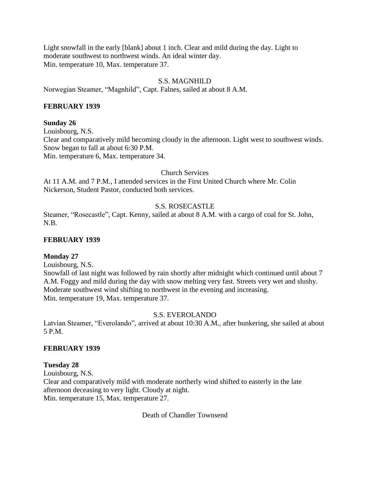Light snowfall in the early [blank] about 1 inch. Clear and mild during the day. Light to moderate southwest to northwest winds. An ideal winter day. Min. temperature 10, Max. temperature 37.

## S.S. MAGNHILD

Norwegian Steamer, "Magnhild", Capt. Falnes, sailed at about 8 A.M.

#### **FEBRUARY 1939**

#### **Sunday 26**

Louisbourg, N.S. Clear and comparatively mild becoming cloudy in the afternoon. Light west to southwest winds. Snow began to fall at about 6:30 P.M. Min. temperature 6, Max. temperature 34.

## Church Services

At 11 A.M. and 7 P.M., I attended services in the First United Church where Mr. Colin Nickerson, Student Pastor, conducted both services.

## S.S. ROSECASTLE

Steamer, "Rosecastle", Capt. Kenny, sailed at about 8 A.M. with a cargo of coal for St. John, N.B.

## **FEBRUARY 1939**

## **Monday 27**

Louisbourg, N.S.

Snowfall of last night was followed by rain shortly after midnight which continued until about 7 A.M. Foggy and mild during the day with snow melting very fast. Streets very wet and slushy. Moderate southwest wind shifting to northwest in the evening and increasing. Min. temperature 19, Max. temperature 37.

## S.S. EVEROLANDO

Latvian Steamer, "Everolando", arrived at about 10:30 A.M., after bunkering, she sailed at about 5 P.M.

#### **FEBRUARY 1939**

## **Tuesday 28**

Louisbourg, N.S. Clear and comparatively mild with moderate northerly wind shifted to easterly in the late afternoon deceasing to very light. Cloudy at night. Min. temperature 15, Max. temperature 27.

Death of Chandler Townsend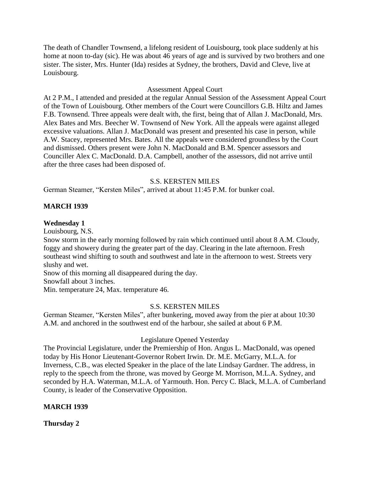The death of Chandler Townsend, a lifelong resident of Louisbourg, took place suddenly at his home at noon to-day (sic). He was about 46 years of age and is survived by two brothers and one sister. The sister, Mrs. Hunter (Ida) resides at Sydney, the brothers, David and Cleve, live at Louisbourg.

## Assessment Appeal Court

At 2 P.M., I attended and presided at the regular Annual Session of the Assessment Appeal Court of the Town of Louisbourg. Other members of the Court were Councillors G.B. Hiltz and James F.B. Townsend. Three appeals were dealt with, the first, being that of Allan J. MacDonald, Mrs. Alex Bates and Mrs. Beecher W. Townsend of New York. All the appeals were against alleged excessive valuations. Allan J. MacDonald was present and presented his case in person, while A.W. Stacey, represented Mrs. Bates. All the appeals were considered groundless by the Court and dismissed. Others present were John N. MacDonald and B.M. Spencer assessors and Counciller Alex C. MacDonald. D.A. Campbell, another of the assessors, did not arrive until after the three cases had been disposed of.

## S.S. KERSTEN MILES

German Steamer, "Kersten Miles", arrived at about 11:45 P.M. for bunker coal.

## **MARCH 1939**

## **Wednesday 1**

Louisbourg, N.S.

Snow storm in the early morning followed by rain which continued until about 8 A.M. Cloudy, foggy and showery during the greater part of the day. Clearing in the late afternoon. Fresh southeast wind shifting to south and southwest and late in the afternoon to west. Streets very slushy and wet.

Snow of this morning all disappeared during the day. Snowfall about 3 inches.

Min. temperature 24, Max. temperature 46.

## S.S. KERSTEN MILES

German Steamer, "Kersten Miles", after bunkering, moved away from the pier at about 10:30 A.M. and anchored in the southwest end of the harbour, she sailed at about 6 P.M.

## Legislature Opened Yesterday

The Provincial Legislature, under the Premiership of Hon. Angus L. MacDonald, was opened today by His Honor Lieutenant-Governor Robert Irwin. Dr. M.E. McGarry, M.L.A. for Inverness, C.B., was elected Speaker in the place of the late Lindsay Gardner. The address, in reply to the speech from the throne, was moved by George M. Morrison, M.L.A. Sydney, and seconded by H.A. Waterman, M.L.A. of Yarmouth. Hon. Percy C. Black, M.L.A. of Cumberland County, is leader of the Conservative Opposition.

## **MARCH 1939**

**Thursday 2**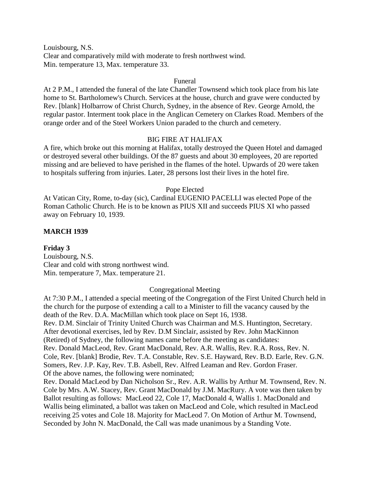Louisbourg, N.S. Clear and comparatively mild with moderate to fresh northwest wind. Min. temperature 13, Max. temperature 33.

#### Funeral

At 2 P.M., I attended the funeral of the late Chandler Townsend which took place from his late home to St. Bartholomew's Church. Services at the house, church and grave were conducted by Rev. [blank] Holbarrow of Christ Church, Sydney, in the absence of Rev. George Arnold, the regular pastor. Interment took place in the Anglican Cemetery on Clarkes Road. Members of the orange order and of the Steel Workers Union paraded to the church and cemetery.

## BIG FIRE AT HALIFAX

A fire, which broke out this morning at Halifax, totally destroyed the Queen Hotel and damaged or destroyed several other buildings. Of the 87 guests and about 30 employees, 20 are reported missing and are believed to have perished in the flames of the hotel. Upwards of 20 were taken to hospitals suffering from injuries. Later, 28 persons lost their lives in the hotel fire.

#### Pope Elected

At Vatican City, Rome, to-day (sic), Cardinal EUGENIO PACELLI was elected Pope of the Roman Catholic Church. He is to be known as PIUS XII and succeeds PIUS XI who passed away on February 10, 1939.

#### **MARCH 1939**

**Friday 3** Louisbourg, N.S. Clear and cold with strong northwest wind. Min. temperature 7, Max. temperature 21.

#### Congregational Meeting

At 7:30 P.M., I attended a special meeting of the Congregation of the First United Church held in the church for the purpose of extending a call to a Minister to fill the vacancy caused by the death of the Rev. D.A. MacMillan which took place on Sept 16, 1938. Rev. D.M. Sinclair of Trinity United Church was Chairman and M.S. Huntington, Secretary.

After devotional exercises, led by Rev. D.M Sinclair, assisted by Rev. John MacKinnon (Retired) of Sydney, the following names came before the meeting as candidates: Rev. Donald MacLeod, Rev. Grant MacDonald, Rev. A.R. Wallis, Rev. R.A. Ross, Rev. N. Cole, Rev. [blank] Brodie, Rev. T.A. Constable, Rev. S.E. Hayward, Rev. B.D. Earle, Rev. G.N. Somers, Rev. J.P. Kay, Rev. T.B. Asbell, Rev. Alfred Leaman and Rev. Gordon Fraser. Of the above names, the following were nominated;

Rev. Donald MacLeod by Dan Nicholson Sr., Rev. A.R. Wallis by Arthur M. Townsend, Rev. N. Cole by Mrs. A.W. Stacey, Rev. Grant MacDonald by J.M. MacRury. A vote was then taken by Ballot resulting as follows: MacLeod 22, Cole 17, MacDonald 4, Wallis 1. MacDonald and Wallis being eliminated, a ballot was taken on MacLeod and Cole, which resulted in MacLeod receiving 25 votes and Cole 18. Majority for MacLeod 7. On Motion of Arthur M. Townsend, Seconded by John N. MacDonald, the Call was made unanimous by a Standing Vote.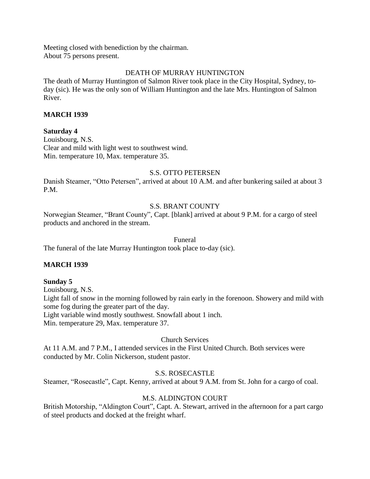Meeting closed with benediction by the chairman. About 75 persons present.

# DEATH OF MURRAY HUNTINGTON

The death of Murray Huntington of Salmon River took place in the City Hospital, Sydney, today (sic). He was the only son of William Huntington and the late Mrs. Huntington of Salmon River.

## **MARCH 1939**

## **Saturday 4**

Louisbourg, N.S. Clear and mild with light west to southwest wind. Min. temperature 10, Max. temperature 35.

## S.S. OTTO PETERSEN

Danish Steamer, "Otto Petersen", arrived at about 10 A.M. and after bunkering sailed at about 3 P.M.

# S.S. BRANT COUNTY

Norwegian Steamer, "Brant County", Capt. [blank] arrived at about 9 P.M. for a cargo of steel products and anchored in the stream.

#### Funeral

The funeral of the late Murray Huntington took place to-day (sic).

## **MARCH 1939**

#### **Sunday 5**

Louisbourg, N.S. Light fall of snow in the morning followed by rain early in the forenoon. Showery and mild with some fog during the greater part of the day. Light variable wind mostly southwest. Snowfall about 1 inch.

Min. temperature 29, Max. temperature 37.

## Church Services

At 11 A.M. and 7 P.M., I attended services in the First United Church. Both services were conducted by Mr. Colin Nickerson, student pastor.

## S.S. ROSECASTLE

Steamer, "Rosecastle", Capt. Kenny, arrived at about 9 A.M. from St. John for a cargo of coal.

## M.S. ALDINGTON COURT

British Motorship, "Aldington Court", Capt. A. Stewart, arrived in the afternoon for a part cargo of steel products and docked at the freight wharf.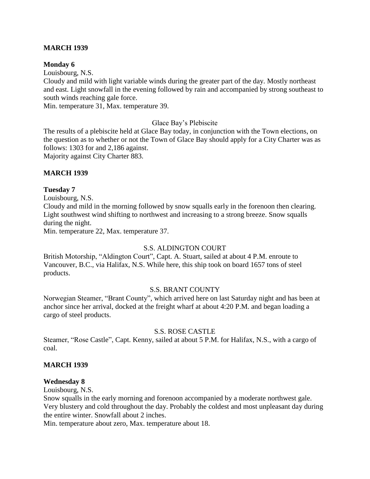## **MARCH 1939**

## **Monday 6**

Louisbourg, N.S.

Cloudy and mild with light variable winds during the greater part of the day. Mostly northeast and east. Light snowfall in the evening followed by rain and accompanied by strong southeast to south winds reaching gale force.

Min. temperature 31, Max. temperature 39.

Glace Bay's Plebiscite

The results of a plebiscite held at Glace Bay today, in conjunction with the Town elections, on the question as to whether or not the Town of Glace Bay should apply for a City Charter was as follows: 1303 for and 2,186 against.

Majority against City Charter 883.

## **MARCH 1939**

## **Tuesday 7**

Louisbourg, N.S.

Cloudy and mild in the morning followed by snow squalls early in the forenoon then clearing. Light southwest wind shifting to northwest and increasing to a strong breeze. Snow squalls during the night.

Min. temperature 22, Max. temperature 37.

## S.S. ALDINGTON COURT

British Motorship, "Aldington Court", Capt. A. Stuart, sailed at about 4 P.M. enroute to Vancouver, B.C., via Halifax, N.S. While here, this ship took on board 1657 tons of steel products.

## S.S. BRANT COUNTY

Norwegian Steamer, "Brant County", which arrived here on last Saturday night and has been at anchor since her arrival, docked at the freight wharf at about 4:20 P.M. and began loading a cargo of steel products.

## S.S. ROSE CASTLE

Steamer, "Rose Castle", Capt. Kenny, sailed at about 5 P.M. for Halifax, N.S., with a cargo of coal.

## **MARCH 1939**

## **Wednesday 8**

Louisbourg, N.S.

Snow squalls in the early morning and forenoon accompanied by a moderate northwest gale. Very blustery and cold throughout the day. Probably the coldest and most unpleasant day during the entire winter. Snowfall about 2 inches.

Min. temperature about zero, Max. temperature about 18.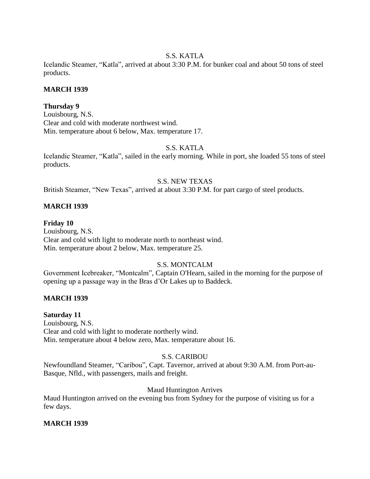## S.S. KATLA

Icelandic Steamer, "Katla", arrived at about 3:30 P.M. for bunker coal and about 50 tons of steel products.

# **MARCH 1939**

# **Thursday 9**

Louisbourg, N.S. Clear and cold with moderate northwest wind. Min. temperature about 6 below, Max. temperature 17.

# S.S. KATLA

Icelandic Steamer, "Katla", sailed in the early morning. While in port, she loaded 55 tons of steel products.

## S.S. NEW TEXAS

British Steamer, "New Texas", arrived at about 3:30 P.M. for part cargo of steel products.

## **MARCH 1939**

## **Friday 10**

Louisbourg, N.S. Clear and cold with light to moderate north to northeast wind. Min. temperature about 2 below, Max. temperature 25.

# S.S. MONTCALM

Government Icebreaker, "Montcalm", Captain O'Hearn, sailed in the morning for the purpose of opening up a passage way in the Bras d'Or Lakes up to Baddeck.

# **MARCH 1939**

## **Saturday 11**

Louisbourg, N.S. Clear and cold with light to moderate northerly wind. Min. temperature about 4 below zero, Max. temperature about 16.

# S.S. CARIBOU

Newfoundland Steamer, "Caribou", Capt. Tavernor, arrived at about 9:30 A.M. from Port-au-Basque, Nfld., with passengers, mails and freight.

## Maud Huntington Arrives

Maud Huntington arrived on the evening bus from Sydney for the purpose of visiting us for a few days.

## **MARCH 1939**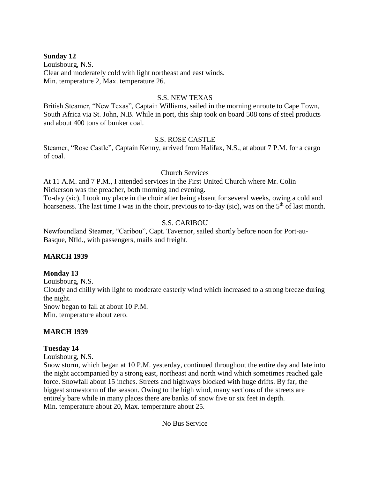## **Sunday 12**

Louisbourg, N.S. Clear and moderately cold with light northeast and east winds. Min. temperature 2, Max. temperature 26.

## S.S. NEW TEXAS

British Steamer, "New Texas", Captain Williams, sailed in the morning enroute to Cape Town, South Africa via St. John, N.B. While in port, this ship took on board 508 tons of steel products and about 400 tons of bunker coal.

## S.S. ROSE CASTLE

Steamer, "Rose Castle", Captain Kenny, arrived from Halifax, N.S., at about 7 P.M. for a cargo of coal.

## Church Services

At 11 A.M. and 7 P.M., I attended services in the First United Church where Mr. Colin Nickerson was the preacher, both morning and evening.

To-day (sic), I took my place in the choir after being absent for several weeks, owing a cold and hoarseness. The last time I was in the choir, previous to to-day (sic), was on the 5<sup>th</sup> of last month.

# S.S. CARIBOU

Newfoundland Steamer, "Caribou", Capt. Tavernor, sailed shortly before noon for Port-au-Basque, Nfld., with passengers, mails and freight.

# **MARCH 1939**

# **Monday 13**

Louisbourg, N.S. Cloudy and chilly with light to moderate easterly wind which increased to a strong breeze during the night. Snow began to fall at about 10 P.M. Min. temperature about zero.

# **MARCH 1939**

# **Tuesday 14**

Louisbourg, N.S.

Snow storm, which began at 10 P.M. yesterday, continued throughout the entire day and late into the night accompanied by a strong east, northeast and north wind which sometimes reached gale force. Snowfall about 15 inches. Streets and highways blocked with huge drifts. By far, the biggest snowstorm of the season. Owing to the high wind, many sections of the streets are entirely bare while in many places there are banks of snow five or six feet in depth. Min. temperature about 20, Max. temperature about 25.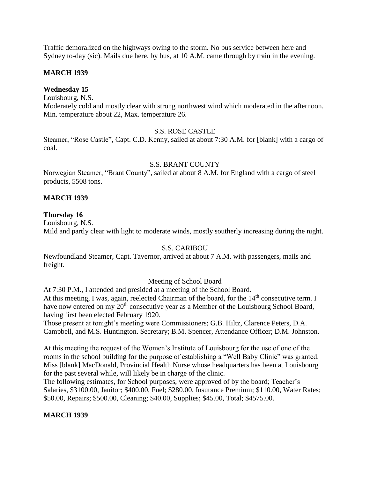Traffic demoralized on the highways owing to the storm. No bus service between here and Sydney to-day (sic). Mails due here, by bus, at 10 A.M. came through by train in the evening.

## **MARCH 1939**

# **Wednesday 15**

Louisbourg, N.S.

Moderately cold and mostly clear with strong northwest wind which moderated in the afternoon. Min. temperature about 22, Max. temperature 26.

## S.S. ROSE CASTLE

Steamer, "Rose Castle", Capt. C.D. Kenny, sailed at about 7:30 A.M. for [blank] with a cargo of coal.

#### S.S. BRANT COUNTY

Norwegian Steamer, "Brant County", sailed at about 8 A.M. for England with a cargo of steel products, 5508 tons.

## **MARCH 1939**

## **Thursday 16**

Louisbourg, N.S. Mild and partly clear with light to moderate winds, mostly southerly increasing during the night.

## S.S. CARIBOU

Newfoundland Steamer, Capt. Tavernor, arrived at about 7 A.M. with passengers, mails and freight.

## Meeting of School Board

At 7:30 P.M., I attended and presided at a meeting of the School Board. At this meeting, I was, again, reelected Chairman of the board, for the 14<sup>th</sup> consecutive term. I have now entered on my 20<sup>th</sup> consecutive year as a Member of the Louisbourg School Board, having first been elected February 1920.

Those present at tonight's meeting were Commissioners; G.B. Hiltz, Clarence Peters, D.A. Campbell, and M.S. Huntington. Secretary; B.M. Spencer, Attendance Officer; D.M. Johnston.

At this meeting the request of the Women's Institute of Louisbourg for the use of one of the rooms in the school building for the purpose of establishing a "Well Baby Clinic" was granted. Miss [blank] MacDonald, Provincial Health Nurse whose headquarters has been at Louisbourg for the past several while, will likely be in charge of the clinic.

The following estimates, for School purposes, were approved of by the board; Teacher's Salaries, \$3100.00, Janitor; \$400.00, Fuel; \$280.00, Insurance Premium; \$110.00, Water Rates; \$50.00, Repairs; \$500.00, Cleaning; \$40.00, Supplies; \$45.00, Total; \$4575.00.

# **MARCH 1939**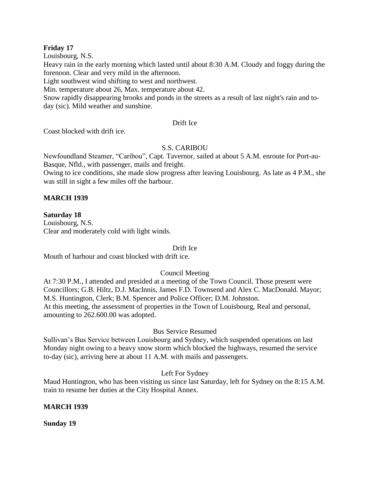## **Friday 17**

Louisbourg, N.S.

Heavy rain in the early morning which lasted until about 8:30 A.M. Cloudy and foggy during the forenoon. Clear and very mild in the afternoon.

Light southwest wind shifting to west and northwest.

Min. temperature about 26, Max. temperature about 42.

Snow rapidly disappearing brooks and ponds in the streets as a result of last night's rain and today (sic). Mild weather and sunshine.

## Drift Ice

Coast blocked with drift ice.

# S.S. CARIBOU

Newfoundland Steamer, "Caribou", Capt. Tavernor, sailed at about 5 A.M. enroute for Port-au-Basque, Nfld., with passenger, mails and freight.

Owing to ice conditions, she made slow progress after leaving Louisbourg. As late as 4 P.M., she was still in sight a few miles off the harbour.

# **MARCH 1939**

## **Saturday 18**

Louisbourg, N.S. Clear and moderately cold with light winds.

## Drift Ice

Mouth of harbour and coast blocked with drift ice.

# Council Meeting

At 7:30 P.M., I attended and presided at a meeting of the Town Council. Those present were Councillors; G.B. Hiltz, D.J. MacInnis, James F.D. Townsend and Alex C. MacDonald. Mayor; M.S. Huntington, Clerk; B.M. Spencer and Police Officer; D.M. Johnston. At this meeting, the assessment of properties in the Town of Louisbourg, Real and personal, amounting to 262.600.00 was adopted.

# Bus Service Resumed

Sullivan's Bus Service between Louisbourg and Sydney, which suspended operations on last Monday night owing to a heavy snow storm which blocked the highways, resumed the service to-day (sic), arriving here at about 11 A.M. with mails and passengers.

# Left For Sydney

Maud Huntington, who has been visiting us since last Saturday, left for Sydney on the 8:15 A.M. train to resume her duties at the City Hospital Annex.

## **MARCH 1939**

**Sunday 19**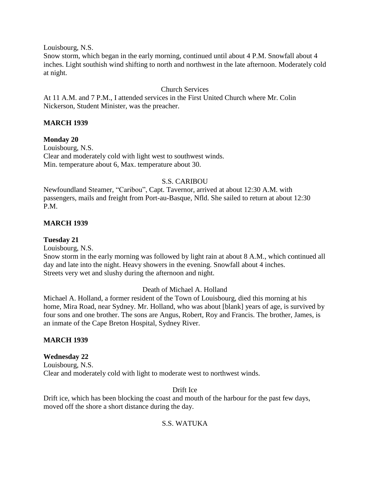Louisbourg, N.S.

Snow storm, which began in the early morning, continued until about 4 P.M. Snowfall about 4 inches. Light southish wind shifting to north and northwest in the late afternoon. Moderately cold at night.

## Church Services

At 11 A.M. and 7 P.M., I attended services in the First United Church where Mr. Colin Nickerson, Student Minister, was the preacher.

## **MARCH 1939**

**Monday 20** Louisbourg, N.S. Clear and moderately cold with light west to southwest winds. Min. temperature about 6, Max. temperature about 30.

## S.S. CARIBOU

Newfoundland Steamer, "Caribou", Capt. Tavernor, arrived at about 12:30 A.M. with passengers, mails and freight from Port-au-Basque, Nfld. She sailed to return at about 12:30 P.M.

## **MARCH 1939**

#### **Tuesday 21**

Louisbourg, N.S.

Snow storm in the early morning was followed by light rain at about 8 A.M., which continued all day and late into the night. Heavy showers in the evening. Snowfall about 4 inches. Streets very wet and slushy during the afternoon and night.

## Death of Michael A. Holland

Michael A. Holland, a former resident of the Town of Louisbourg, died this morning at his home, Mira Road, near Sydney. Mr. Holland, who was about [blank] years of age, is survived by four sons and one brother. The sons are Angus, Robert, Roy and Francis. The brother, James, is an inmate of the Cape Breton Hospital, Sydney River.

#### **MARCH 1939**

#### **Wednesday 22**

Louisbourg, N.S. Clear and moderately cold with light to moderate west to northwest winds.

#### Drift Ice

Drift ice, which has been blocking the coast and mouth of the harbour for the past few days, moved off the shore a short distance during the day.

## S.S. WATUKA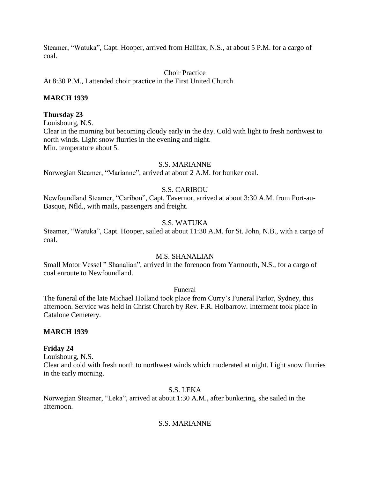Steamer, "Watuka", Capt. Hooper, arrived from Halifax, N.S., at about 5 P.M. for a cargo of coal.

Choir Practice

At 8:30 P.M., I attended choir practice in the First United Church.

## **MARCH 1939**

## **Thursday 23**

Louisbourg, N.S.

Clear in the morning but becoming cloudy early in the day. Cold with light to fresh northwest to north winds. Light snow flurries in the evening and night. Min. temperature about 5.

#### S.S. MARIANNE

Norwegian Steamer, "Marianne", arrived at about 2 A.M. for bunker coal.

## S.S. CARIBOU

Newfoundland Steamer, "Caribou", Capt. Tavernor, arrived at about 3:30 A.M. from Port-au-Basque, Nfld., with mails, passengers and freight.

## S.S. WATUKA

Steamer, "Watuka", Capt. Hooper, sailed at about 11:30 A.M. for St. John, N.B., with a cargo of coal.

## M.S. SHANALIAN

Small Motor Vessel " Shanalian", arrived in the forenoon from Yarmouth, N.S., for a cargo of coal enroute to Newfoundland.

Funeral

The funeral of the late Michael Holland took place from Curry's Funeral Parlor, Sydney, this afternoon. Service was held in Christ Church by Rev. F.R. Holbarrow. Interment took place in Catalone Cemetery.

#### **MARCH 1939**

#### **Friday 24**

Louisbourg, N.S. Clear and cold with fresh north to northwest winds which moderated at night. Light snow flurries in the early morning.

S.S. LEKA

Norwegian Steamer, "Leka", arrived at about 1:30 A.M., after bunkering, she sailed in the afternoon.

## S.S. MARIANNE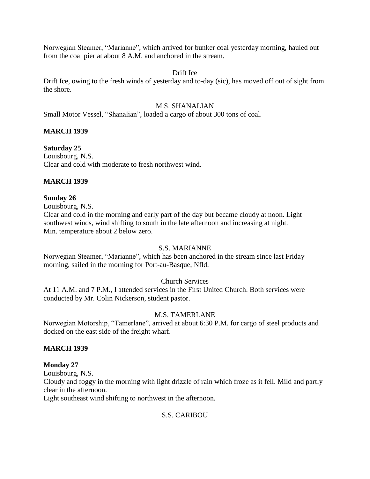Norwegian Steamer, "Marianne", which arrived for bunker coal yesterday morning, hauled out from the coal pier at about 8 A.M. and anchored in the stream.

## Drift Ice

Drift Ice, owing to the fresh winds of yesterday and to-day (sic), has moved off out of sight from the shore.

## M.S. SHANALIAN

Small Motor Vessel, "Shanalian", loaded a cargo of about 300 tons of coal.

## **MARCH 1939**

## **Saturday 25**

Louisbourg, N.S. Clear and cold with moderate to fresh northwest wind.

#### **MARCH 1939**

## **Sunday 26**

Louisbourg, N.S.

Clear and cold in the morning and early part of the day but became cloudy at noon. Light southwest winds, wind shifting to south in the late afternoon and increasing at night. Min. temperature about 2 below zero.

#### S.S. MARIANNE

Norwegian Steamer, "Marianne", which has been anchored in the stream since last Friday morning, sailed in the morning for Port-au-Basque, Nfld.

## Church Services

At 11 A.M. and 7 P.M., I attended services in the First United Church. Both services were conducted by Mr. Colin Nickerson, student pastor.

## M.S. TAMERLANE

Norwegian Motorship, "Tamerlane", arrived at about 6:30 P.M. for cargo of steel products and docked on the east side of the freight wharf.

#### **MARCH 1939**

#### **Monday 27**

Louisbourg, N.S.

Cloudy and foggy in the morning with light drizzle of rain which froze as it fell. Mild and partly clear in the afternoon.

Light southeast wind shifting to northwest in the afternoon.

## S.S. CARIBOU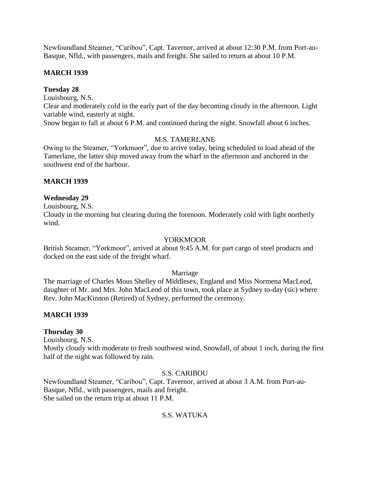Newfoundland Steamer, "Caribou", Capt. Tavernor, arrived at about 12:30 P.M. from Port-au-Basque, Nfld., with passengers, mails and freight. She sailed to return at about 10 P.M.

## **MARCH 1939**

#### **Tuesday 28**

Louisbourg, N.S.

Clear and moderately cold in the early part of the day becoming cloudy in the afternoon. Light variable wind, easterly at night.

Snow began to fall at about 6 P.M. and continued during the night. Snowfall about 6 inches.

## M.S. TAMERLANE

Owing to the Steamer, "Yorkmoor", due to arrive today, being scheduled to load ahead of the Tamerlane, the latter ship moved away from the wharf in the afternoon and anchored in the southwest end of the harbour.

## **MARCH 1939**

## **Wednesday 29**

Louisbourg, N.S.

Cloudy in the morning but clearing during the forenoon. Moderately cold with light northerly wind.

#### YORKMOOR

British Steamer, "Yorkmoor", arrived at about 9:45 A.M. for part cargo of steel products and docked on the east side of the freight wharf.

#### Marriage

The marriage of Charles Mous Shelley of Middlesex, England and Miss Normena MacLeod, daughter of Mr. and Mrs. John MacLeod of this town, took place at Sydney to-day (sic) where Rev. John MacKinnon (Retired) of Sydney, performed the ceremony.

#### **MARCH 1939**

#### **Thursday 30**

Louisbourg, N.S.

Mostly cloudy with moderate to fresh southwest wind. Snowfall, of about 1 inch, during the first half of the night was followed by rain.

#### S.S. CARIBOU

Newfoundland Steamer, "Caribou", Capt. Tavernor, arrived at about 3 A.M. from Port-au-Basque, Nfld., with passengers, mails and freight. She sailed on the return trip at about 11 P.M.

## S.S. WATUKA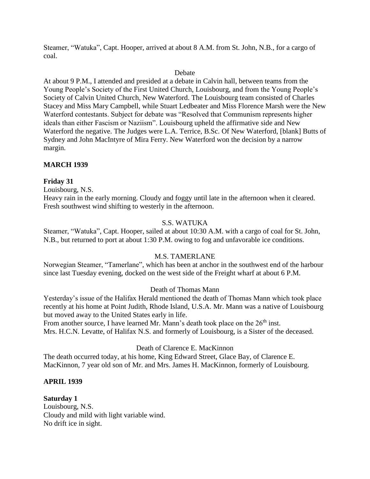Steamer, "Watuka", Capt. Hooper, arrived at about 8 A.M. from St. John, N.B., for a cargo of coal.

#### Debate

At about 9 P.M., I attended and presided at a debate in Calvin hall, between teams from the Young People's Society of the First United Church, Louisbourg, and from the Young People's Society of Calvin United Church, New Waterford. The Louisbourg team consisted of Charles Stacey and Miss Mary Campbell, while Stuart Ledbeater and Miss Florence Marsh were the New Waterford contestants. Subject for debate was "Resolved that Communism represents higher ideals than either Fascism or Naziism". Louisbourg upheld the affirmative side and New Waterford the negative. The Judges were L.A. Terrice, B.Sc. Of New Waterford, [blank] Butts of Sydney and John MacIntyre of Mira Ferry. New Waterford won the decision by a narrow margin.

## **MARCH 1939**

## **Friday 31**

Louisbourg, N.S.

Heavy rain in the early morning. Cloudy and foggy until late in the afternoon when it cleared. Fresh southwest wind shifting to westerly in the afternoon.

## S.S. WATUKA

Steamer, "Watuka", Capt. Hooper, sailed at about 10:30 A.M. with a cargo of coal for St. John, N.B., but returned to port at about 1:30 P.M. owing to fog and unfavorable ice conditions.

## M.S. TAMERLANE

Norwegian Steamer, "Tamerlane", which has been at anchor in the southwest end of the harbour since last Tuesday evening, docked on the west side of the Freight wharf at about 6 P.M.

## Death of Thomas Mann

Yesterday's issue of the Halifax Herald mentioned the death of Thomas Mann which took place recently at his home at Point Judith, Rhode Island, U.S.A. Mr. Mann was a native of Louisbourg but moved away to the United States early in life.

From another source, I have learned Mr. Mann's death took place on the 26<sup>th</sup> inst. Mrs. H.C.N. Levatte, of Halifax N.S. and formerly of Louisbourg, is a Sister of the deceased.

Death of Clarence E. MacKinnon

The death occurred today, at his home, King Edward Street, Glace Bay, of Clarence E. MacKinnon, 7 year old son of Mr. and Mrs. James H. MacKinnon, formerly of Louisbourg.

## **APRIL 1939**

**Saturday 1** Louisbourg, N.S. Cloudy and mild with light variable wind. No drift ice in sight.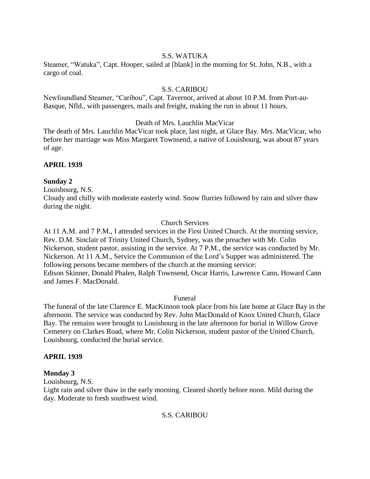## S.S. WATUKA

Steamer, "Watuka", Capt. Hooper, sailed at [blank] in the morning for St. John, N.B., with a cargo of coal.

#### S.S. CARIBOU

Newfoundland Steamer, "Caribou", Capt. Tavernor, arrived at about 10 P.M. from Port-au-Basque, Nfld., with passengers, mails and freight, making the run in about 11 hours.

Death of Mrs. Lauchlin MacVicar

The death of Mrs. Lauchlin MacVicar took place, last night, at Glace Bay. Mrs. MacVicar, who before her marriage was Miss Margaret Townsend, a native of Louisbourg, was about 87 years of age.

#### **APRIL 1939**

## **Sunday 2**

Louisbourg, N.S.

Cloudy and chilly with moderate easterly wind. Snow flurries followed by rain and silver thaw during the night.

## Church Services

At 11 A.M. and 7 P.M., I attended services in the First United Church. At the morning service, Rev. D.M. Sinclair of Trinity United Church, Sydney, was the preacher with Mr. Colin Nickerson, student pastor, assisting in the service. At 7 P.M., the service was conducted by Mr. Nickerson. At 11 A.M., Service the Communion of the Lord's Supper was administered. The following persons became members of the church at the morning service: Edison Skinner, Donald Phalen, Ralph Townsend, Oscar Harris, Lawrence Cann, Howard Cann and James F. MacDonald.

#### Funeral

The funeral of the late Clarence E. MacKinnon took place from his late home at Glace Bay in the afternoon. The service was conducted by Rev. John MacDonald of Knox United Church, Glace Bay. The remains were brought to Louisbourg in the late afternoon for burial in Willow Grove Cemetery on Clarkes Road, where Mr. Colin Nickerson, student pastor of the United Church, Louisbourg, conducted the burial service.

#### **APRIL 1939**

#### **Monday 3**

Louisbourg, N.S.

Light rain and silver thaw in the early morning. Cleared shortly before noon. Mild during the day. Moderate to fresh southwest wind.

## S.S. CARIBOU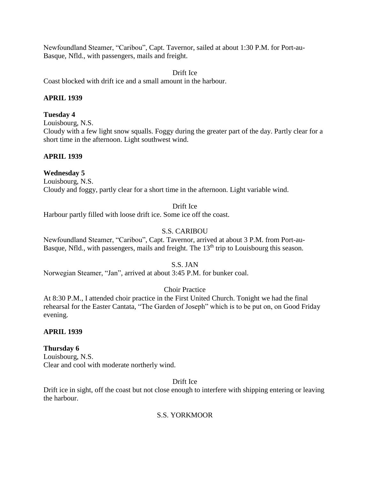Newfoundland Steamer, "Caribou", Capt. Tavernor, sailed at about 1:30 P.M. for Port-au-Basque, Nfld., with passengers, mails and freight.

Drift Ice Coast blocked with drift ice and a small amount in the harbour.

## **APRIL 1939**

#### **Tuesday 4**

Louisbourg, N.S.

Cloudy with a few light snow squalls. Foggy during the greater part of the day. Partly clear for a short time in the afternoon. Light southwest wind.

## **APRIL 1939**

## **Wednesday 5**

Louisbourg, N.S. Cloudy and foggy, partly clear for a short time in the afternoon. Light variable wind.

#### Drift Ice

Harbour partly filled with loose drift ice. Some ice off the coast.

## S.S. CARIBOU

Newfoundland Steamer, "Caribou", Capt. Tavernor, arrived at about 3 P.M. from Port-au-Basque, Nfld., with passengers, mails and freight. The 13<sup>th</sup> trip to Louisbourg this season.

#### S.S. JAN

Norwegian Steamer, "Jan", arrived at about 3:45 P.M. for bunker coal.

Choir Practice

At 8:30 P.M., I attended choir practice in the First United Church. Tonight we had the final rehearsal for the Easter Cantata, "The Garden of Joseph" which is to be put on, on Good Friday evening.

#### **APRIL 1939**

#### **Thursday 6**

Louisbourg, N.S. Clear and cool with moderate northerly wind.

#### Drift Ice

Drift ice in sight, off the coast but not close enough to interfere with shipping entering or leaving the harbour.

## S.S. YORKMOOR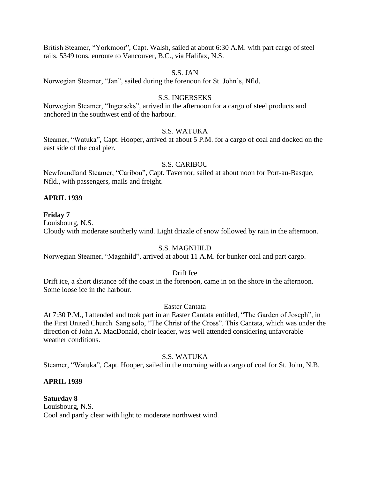British Steamer, "Yorkmoor", Capt. Walsh, sailed at about 6:30 A.M. with part cargo of steel rails, 5349 tons, enroute to Vancouver, B.C., via Halifax, N.S.

#### S.S. JAN

Norwegian Steamer, "Jan", sailed during the forenoon for St. John's, Nfld.

#### S.S. INGERSEKS

Norwegian Steamer, "Ingerseks", arrived in the afternoon for a cargo of steel products and anchored in the southwest end of the harbour.

## S.S. WATUKA

Steamer, "Watuka", Capt. Hooper, arrived at about 5 P.M. for a cargo of coal and docked on the east side of the coal pier.

#### S.S. CARIBOU

Newfoundland Steamer, "Caribou", Capt. Tavernor, sailed at about noon for Port-au-Basque, Nfld., with passengers, mails and freight.

#### **APRIL 1939**

#### **Friday 7**

Louisbourg, N.S.

Cloudy with moderate southerly wind. Light drizzle of snow followed by rain in the afternoon.

#### S.S. MAGNHILD

Norwegian Steamer, "Magnhild", arrived at about 11 A.M. for bunker coal and part cargo.

#### Drift Ice

Drift ice, a short distance off the coast in the forenoon, came in on the shore in the afternoon. Some loose ice in the harbour.

#### Easter Cantata

At 7:30 P.M., I attended and took part in an Easter Cantata entitled, "The Garden of Joseph", in the First United Church. Sang solo, "The Christ of the Cross". This Cantata, which was under the direction of John A. MacDonald, choir leader, was well attended considering unfavorable weather conditions.

#### S.S. WATUKA

Steamer, "Watuka", Capt. Hooper, sailed in the morning with a cargo of coal for St. John, N.B.

#### **APRIL 1939**

**Saturday 8** Louisbourg, N.S. Cool and partly clear with light to moderate northwest wind.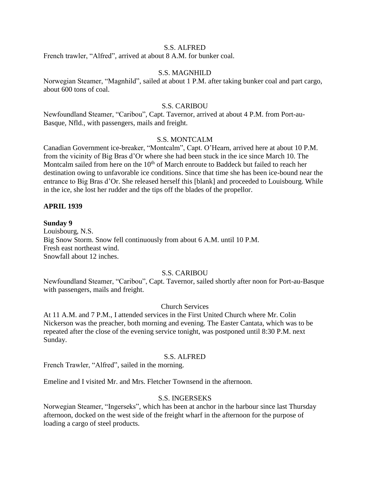#### S.S. ALFRED

French trawler, "Alfred", arrived at about 8 A.M. for bunker coal.

#### S.S. MAGNHILD

Norwegian Steamer, "Magnhild", sailed at about 1 P.M. after taking bunker coal and part cargo, about 600 tons of coal.

#### S.S. CARIBOU

Newfoundland Steamer, "Caribou", Capt. Tavernor, arrived at about 4 P.M. from Port-au-Basque, Nfld., with passengers, mails and freight.

#### S.S. MONTCALM

Canadian Government ice-breaker, "Montcalm", Capt. O'Hearn, arrived here at about 10 P.M. from the vicinity of Big Bras d'Or where she had been stuck in the ice since March 10. The Montcalm sailed from here on the 10<sup>th</sup> of March enroute to Baddeck but failed to reach her destination owing to unfavorable ice conditions. Since that time she has been ice-bound near the entrance to Big Bras d'Or. She released herself this [blank] and proceeded to Louisbourg. While in the ice, she lost her rudder and the tips off the blades of the propellor.

#### **APRIL 1939**

#### **Sunday 9**

Louisbourg, N.S. Big Snow Storm. Snow fell continuously from about 6 A.M. until 10 P.M. Fresh east northeast wind. Snowfall about 12 inches.

#### S.S. CARIBOU

Newfoundland Steamer, "Caribou", Capt. Tavernor, sailed shortly after noon for Port-au-Basque with passengers, mails and freight.

#### Church Services

At 11 A.M. and 7 P.M., I attended services in the First United Church where Mr. Colin Nickerson was the preacher, both morning and evening. The Easter Cantata, which was to be repeated after the close of the evening service tonight, was postponed until 8:30 P.M. next Sunday.

#### S.S. ALFRED

French Trawler, "Alfred", sailed in the morning.

Emeline and I visited Mr. and Mrs. Fletcher Townsend in the afternoon.

#### S.S. INGERSEKS

Norwegian Steamer, "Ingerseks", which has been at anchor in the harbour since last Thursday afternoon, docked on the west side of the freight wharf in the afternoon for the purpose of loading a cargo of steel products.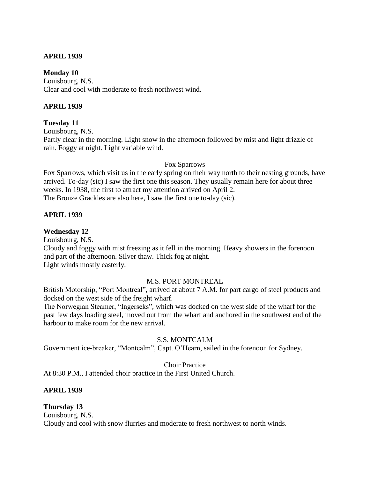## **APRIL 1939**

#### **Monday 10**

Louisbourg, N.S. Clear and cool with moderate to fresh northwest wind.

## **APRIL 1939**

#### **Tuesday 11**

Louisbourg, N.S.

Partly clear in the morning. Light snow in the afternoon followed by mist and light drizzle of rain. Foggy at night. Light variable wind.

## Fox Sparrows

Fox Sparrows, which visit us in the early spring on their way north to their nesting grounds, have arrived. To-day (sic) I saw the first one this season. They usually remain here for about three weeks. In 1938, the first to attract my attention arrived on April 2. The Bronze Grackles are also here, I saw the first one to-day (sic).

## **APRIL 1939**

## **Wednesday 12**

Louisbourg, N.S.

Cloudy and foggy with mist freezing as it fell in the morning. Heavy showers in the forenoon and part of the afternoon. Silver thaw. Thick fog at night. Light winds mostly easterly.

#### M.S. PORT MONTREAL

British Motorship, "Port Montreal", arrived at about 7 A.M. for part cargo of steel products and docked on the west side of the freight wharf.

The Norwegian Steamer, "Ingerseks", which was docked on the west side of the wharf for the past few days loading steel, moved out from the wharf and anchored in the southwest end of the harbour to make room for the new arrival.

## S.S. MONTCALM

Government ice-breaker, "Montcalm", Capt. O'Hearn, sailed in the forenoon for Sydney.

Choir Practice

At 8:30 P.M., I attended choir practice in the First United Church.

## **APRIL 1939**

## **Thursday 13**

Louisbourg, N.S. Cloudy and cool with snow flurries and moderate to fresh northwest to north winds.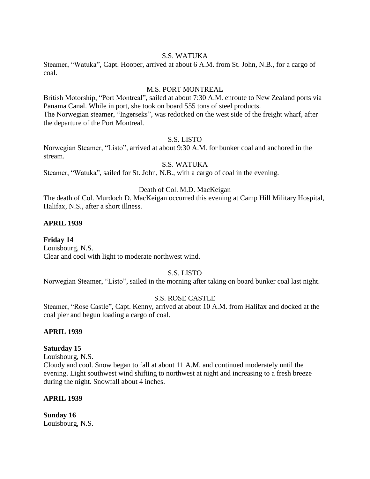#### S.S. WATUKA

Steamer, "Watuka", Capt. Hooper, arrived at about 6 A.M. from St. John, N.B., for a cargo of coal.

## M.S. PORT MONTREAL

British Motorship, "Port Montreal", sailed at about 7:30 A.M. enroute to New Zealand ports via Panama Canal. While in port, she took on board 555 tons of steel products. The Norwegian steamer, "Ingerseks", was redocked on the west side of the freight wharf, after the departure of the Port Montreal.

#### S.S. LISTO

Norwegian Steamer, "Listo", arrived at about 9:30 A.M. for bunker coal and anchored in the stream.

## S.S. WATUKA

Steamer, "Watuka", sailed for St. John, N.B., with a cargo of coal in the evening.

## Death of Col. M.D. MacKeigan

The death of Col. Murdoch D. MacKeigan occurred this evening at Camp Hill Military Hospital, Halifax, N.S., after a short illness.

## **APRIL 1939**

**Friday 14** Louisbourg, N.S. Clear and cool with light to moderate northwest wind.

## S.S. LISTO

Norwegian Steamer, "Listo", sailed in the morning after taking on board bunker coal last night.

#### S.S. ROSE CASTLE

Steamer, "Rose Castle", Capt. Kenny, arrived at about 10 A.M. from Halifax and docked at the coal pier and begun loading a cargo of coal.

#### **APRIL 1939**

#### **Saturday 15**

Louisbourg, N.S.

Cloudy and cool. Snow began to fall at about 11 A.M. and continued moderately until the evening. Light southwest wind shifting to northwest at night and increasing to a fresh breeze during the night. Snowfall about 4 inches.

#### **APRIL 1939**

**Sunday 16** Louisbourg, N.S.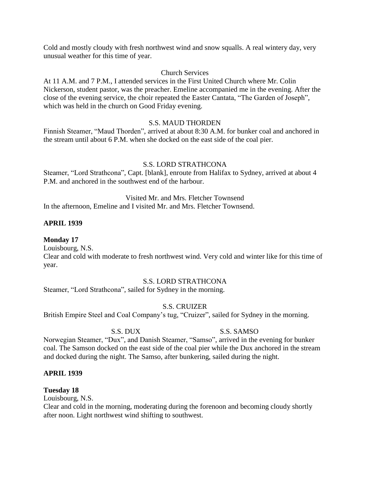Cold and mostly cloudy with fresh northwest wind and snow squalls. A real wintery day, very unusual weather for this time of year.

#### Church Services

At 11 A.M. and 7 P.M., I attended services in the First United Church where Mr. Colin Nickerson, student pastor, was the preacher. Emeline accompanied me in the evening. After the close of the evening service, the choir repeated the Easter Cantata, "The Garden of Joseph", which was held in the church on Good Friday evening.

## S.S. MAUD THORDEN

Finnish Steamer, "Maud Thorden", arrived at about 8:30 A.M. for bunker coal and anchored in the stream until about 6 P.M. when she docked on the east side of the coal pier.

#### S.S. LORD STRATHCONA

Steamer, "Lord Strathcona", Capt. [blank], enroute from Halifax to Sydney, arrived at about 4 P.M. and anchored in the southwest end of the harbour.

# Visited Mr. and Mrs. Fletcher Townsend

In the afternoon, Emeline and I visited Mr. and Mrs. Fletcher Townsend.

#### **APRIL 1939**

## **Monday 17**

Louisbourg, N.S. Clear and cold with moderate to fresh northwest wind. Very cold and winter like for this time of year.

## S.S. LORD STRATHCONA

Steamer, "Lord Strathcona", sailed for Sydney in the morning.

S.S. CRUIZER

British Empire Steel and Coal Company's tug, "Cruizer", sailed for Sydney in the morning.

#### S.S. DUX S.S. SAMSO

Norwegian Steamer, "Dux", and Danish Steamer, "Samso", arrived in the evening for bunker coal. The Samson docked on the east side of the coal pier while the Dux anchored in the stream and docked during the night. The Samso, after bunkering, sailed during the night.

#### **APRIL 1939**

#### **Tuesday 18**

Louisbourg, N.S.

Clear and cold in the morning, moderating during the forenoon and becoming cloudy shortly after noon. Light northwest wind shifting to southwest.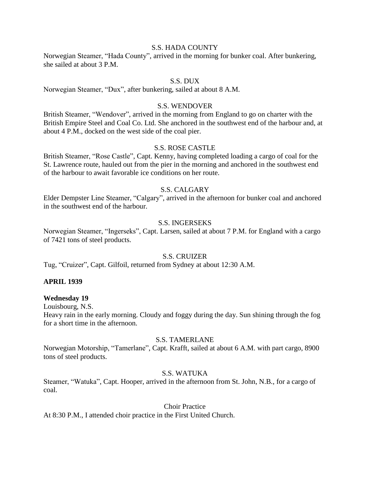#### S.S. HADA COUNTY

Norwegian Steamer, "Hada County", arrived in the morning for bunker coal. After bunkering, she sailed at about 3 P.M.

#### S.S. DUX

Norwegian Steamer, "Dux", after bunkering, sailed at about 8 A.M.

#### S.S. WENDOVER

British Steamer, "Wendover", arrived in the morning from England to go on charter with the British Empire Steel and Coal Co. Ltd. She anchored in the southwest end of the harbour and, at about 4 P.M., docked on the west side of the coal pier.

#### S.S. ROSE CASTLE

British Steamer, "Rose Castle", Capt. Kenny, having completed loading a cargo of coal for the St. Lawrence route, hauled out from the pier in the morning and anchored in the southwest end of the harbour to await favorable ice conditions on her route.

## S.S. CALGARY

Elder Dempster Line Steamer, "Calgary", arrived in the afternoon for bunker coal and anchored in the southwest end of the harbour.

#### S.S. INGERSEKS

Norwegian Steamer, "Ingerseks", Capt. Larsen, sailed at about 7 P.M. for England with a cargo of 7421 tons of steel products.

#### S.S. CRUIZER

Tug, "Cruizer", Capt. Gilfoil, returned from Sydney at about 12:30 A.M.

#### **APRIL 1939**

#### **Wednesday 19**

Louisbourg, N.S.

Heavy rain in the early morning. Cloudy and foggy during the day. Sun shining through the fog for a short time in the afternoon.

#### S.S. TAMERLANE

Norwegian Motorship, "Tamerlane", Capt. Krafft, sailed at about 6 A.M. with part cargo, 8900 tons of steel products.

#### S.S. WATUKA

Steamer, "Watuka", Capt. Hooper, arrived in the afternoon from St. John, N.B., for a cargo of coal.

Choir Practice

At 8:30 P.M., I attended choir practice in the First United Church.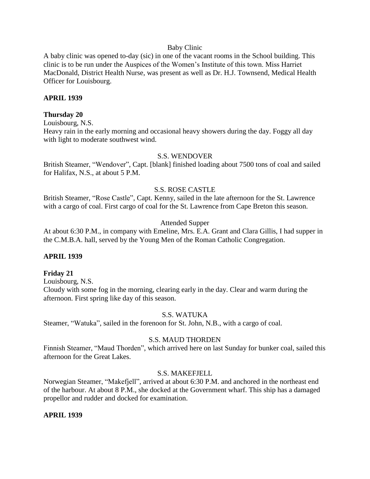#### Baby Clinic

A baby clinic was opened to-day (sic) in one of the vacant rooms in the School building. This clinic is to be run under the Auspices of the Women's Institute of this town. Miss Harriet MacDonald, District Health Nurse, was present as well as Dr. H.J. Townsend, Medical Health Officer for Louisbourg.

#### **APRIL 1939**

#### **Thursday 20**

Louisbourg, N.S. Heavy rain in the early morning and occasional heavy showers during the day. Foggy all day with light to moderate southwest wind.

#### S.S. WENDOVER

British Steamer, "Wendover", Capt. [blank] finished loading about 7500 tons of coal and sailed for Halifax, N.S., at about 5 P.M.

#### S.S. ROSE CASTLE

British Steamer, "Rose Castle", Capt. Kenny, sailed in the late afternoon for the St. Lawrence with a cargo of coal. First cargo of coal for the St. Lawrence from Cape Breton this season.

#### Attended Supper

At about 6:30 P.M., in company with Emeline, Mrs. E.A. Grant and Clara Gillis, I had supper in the C.M.B.A. hall, served by the Young Men of the Roman Catholic Congregation.

#### **APRIL 1939**

#### **Friday 21**

Louisbourg, N.S. Cloudy with some fog in the morning, clearing early in the day. Clear and warm during the afternoon. First spring like day of this season.

#### S.S. WATUKA

Steamer, "Watuka", sailed in the forenoon for St. John, N.B., with a cargo of coal.

#### S.S. MAUD THORDEN

Finnish Steamer, "Maud Thorden", which arrived here on last Sunday for bunker coal, sailed this afternoon for the Great Lakes.

#### S.S. MAKEFJELL

Norwegian Steamer, "Makefjell", arrived at about 6:30 P.M. and anchored in the northeast end of the harbour. At about 8 P.M., she docked at the Government wharf. This ship has a damaged propellor and rudder and docked for examination.

#### **APRIL 1939**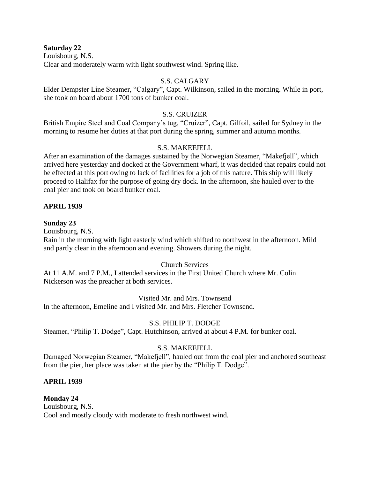**Saturday 22**

Louisbourg, N.S. Clear and moderately warm with light southwest wind. Spring like.

## S.S. CALGARY

Elder Dempster Line Steamer, "Calgary", Capt. Wilkinson, sailed in the morning. While in port, she took on board about 1700 tons of bunker coal.

## S.S. CRUIZER

British Empire Steel and Coal Company's tug, "Cruizer", Capt. Gilfoil, sailed for Sydney in the morning to resume her duties at that port during the spring, summer and autumn months.

## S.S. MAKEFJELL

After an examination of the damages sustained by the Norwegian Steamer, "Makefjell", which arrived here yesterday and docked at the Government wharf, it was decided that repairs could not be effected at this port owing to lack of facilities for a job of this nature. This ship will likely proceed to Halifax for the purpose of going dry dock. In the afternoon, she hauled over to the coal pier and took on board bunker coal.

## **APRIL 1939**

## **Sunday 23**

Louisbourg, N.S.

Rain in the morning with light easterly wind which shifted to northwest in the afternoon. Mild and partly clear in the afternoon and evening. Showers during the night.

## Church Services

At 11 A.M. and 7 P.M., I attended services in the First United Church where Mr. Colin Nickerson was the preacher at both services.

## Visited Mr. and Mrs. Townsend

In the afternoon, Emeline and I visited Mr. and Mrs. Fletcher Townsend.

## S.S. PHILIP T. DODGE

Steamer, "Philip T. Dodge", Capt. Hutchinson, arrived at about 4 P.M. for bunker coal.

## S.S. MAKEFJELL

Damaged Norwegian Steamer, "Makefjell", hauled out from the coal pier and anchored southeast from the pier, her place was taken at the pier by the "Philip T. Dodge".

## **APRIL 1939**

**Monday 24** Louisbourg, N.S. Cool and mostly cloudy with moderate to fresh northwest wind.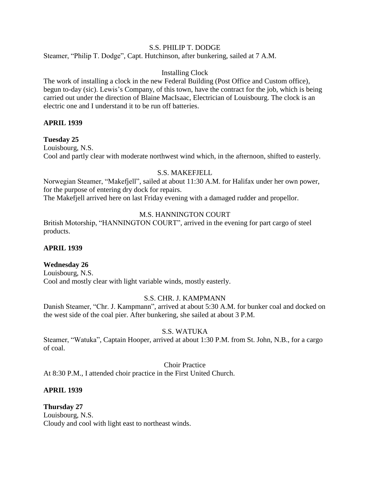## S.S. PHILIP T. DODGE

Steamer, "Philip T. Dodge", Capt. Hutchinson, after bunkering, sailed at 7 A.M.

#### Installing Clock

The work of installing a clock in the new Federal Building (Post Office and Custom office), begun to-day (sic). Lewis's Company, of this town, have the contract for the job, which is being carried out under the direction of Blaine MacIsaac, Electrician of Louisbourg. The clock is an electric one and I understand it to be run off batteries.

#### **APRIL 1939**

#### **Tuesday 25**

Louisbourg, N.S. Cool and partly clear with moderate northwest wind which, in the afternoon, shifted to easterly.

#### S.S. MAKEFJELL

Norwegian Steamer, "Makefjell", sailed at about 11:30 A.M. for Halifax under her own power, for the purpose of entering dry dock for repairs.

The Makefjell arrived here on last Friday evening with a damaged rudder and propellor.

## M.S. HANNINGTON COURT

British Motorship, "HANNINGTON COURT", arrived in the evening for part cargo of steel products.

#### **APRIL 1939**

#### **Wednesday 26**

Louisbourg, N.S. Cool and mostly clear with light variable winds, mostly easterly.

#### S.S. CHR. J. KAMPMANN

Danish Steamer, "Chr. J. Kampmann", arrived at about 5:30 A.M. for bunker coal and docked on the west side of the coal pier. After bunkering, she sailed at about 3 P.M.

#### S.S. WATUKA

Steamer, "Watuka", Captain Hooper, arrived at about 1:30 P.M. from St. John, N.B., for a cargo of coal.

Choir Practice

At 8:30 P.M., I attended choir practice in the First United Church.

#### **APRIL 1939**

**Thursday 27** Louisbourg, N.S. Cloudy and cool with light east to northeast winds.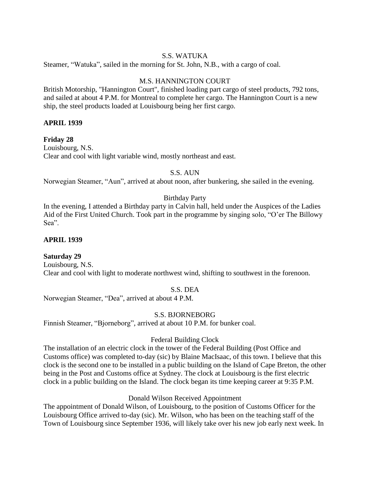## S.S. WATUKA

Steamer, "Watuka", sailed in the morning for St. John, N.B., with a cargo of coal.

## M.S. HANNINGTON COURT

British Motorship, "Hannington Court", finished loading part cargo of steel products, 792 tons, and sailed at about 4 P.M. for Montreal to complete her cargo. The Hannington Court is a new ship, the steel products loaded at Louisbourg being her first cargo.

## **APRIL 1939**

## **Friday 28**

Louisbourg, N.S. Clear and cool with light variable wind, mostly northeast and east.

## S.S. AUN

Norwegian Steamer, "Aun", arrived at about noon, after bunkering, she sailed in the evening.

## Birthday Party

In the evening, I attended a Birthday party in Calvin hall, held under the Auspices of the Ladies Aid of the First United Church. Took part in the programme by singing solo, "O'er The Billowy Sea".

#### **APRIL 1939**

## **Saturday 29**

Louisbourg, N.S. Clear and cool with light to moderate northwest wind, shifting to southwest in the forenoon.

#### S.S. DEA

Norwegian Steamer, "Dea", arrived at about 4 P.M.

## S.S. BJORNEBORG

Finnish Steamer, "Bjorneborg", arrived at about 10 P.M. for bunker coal.

## Federal Building Clock

The installation of an electric clock in the tower of the Federal Building (Post Office and Customs office) was completed to-day (sic) by Blaine MacIsaac, of this town. I believe that this clock is the second one to be installed in a public building on the Island of Cape Breton, the other being in the Post and Customs office at Sydney. The clock at Louisbourg is the first electric clock in a public building on the Island. The clock began its time keeping career at 9:35 P.M.

## Donald Wilson Received Appointment

The appointment of Donald Wilson, of Louisbourg, to the position of Customs Officer for the Louisbourg Office arrived to-day (sic). Mr. Wilson, who has been on the teaching staff of the Town of Louisbourg since September 1936, will likely take over his new job early next week. In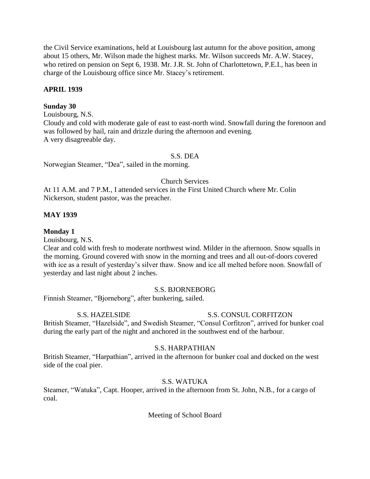the Civil Service examinations, held at Louisbourg last autumn for the above position, among about 15 others, Mr. Wilson made the highest marks. Mr. Wilson succeeds Mr. A.W. Stacey, who retired on pension on Sept 6, 1938. Mr. J.R. St. John of Charlottetown, P.E.I., has been in charge of the Louisbourg office since Mr. Stacey's retirement.

## **APRIL 1939**

#### **Sunday 30**

Louisbourg, N.S.

Cloudy and cold with moderate gale of east to east-north wind. Snowfall during the forenoon and was followed by hail, rain and drizzle during the afternoon and evening. A very disagreeable day.

## S.S. DEA

Norwegian Steamer, "Dea", sailed in the morning.

#### Church Services

At 11 A.M. and 7 P.M., I attended services in the First United Church where Mr. Colin Nickerson, student pastor, was the preacher.

## **MAY 1939**

## **Monday 1**

Louisbourg, N.S.

Clear and cold with fresh to moderate northwest wind. Milder in the afternoon. Snow squalls in the morning. Ground covered with snow in the morning and trees and all out-of-doors covered with ice as a result of yesterday's silver thaw. Snow and ice all melted before noon. Snowfall of yesterday and last night about 2 inches.

## S.S. BJORNEBORG

Finnish Steamer, "Bjorneborg", after bunkering, sailed.

## S.S. HAZELSIDE S.S. CONSUL CORFITZON

British Steamer, "Hazelside", and Swedish Steamer, "Consul Corfitzon", arrived for bunker coal during the early part of the night and anchored in the southwest end of the harbour.

#### S.S. HARPATHIAN

British Steamer, "Harpathian", arrived in the afternoon for bunker coal and docked on the west side of the coal pier.

#### S.S. WATUKA

Steamer, "Watuka", Capt. Hooper, arrived in the afternoon from St. John, N.B., for a cargo of coal.

#### Meeting of School Board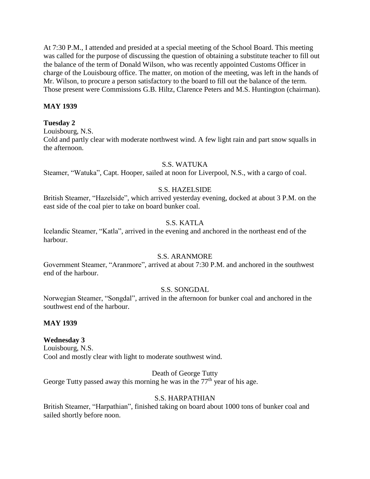At 7:30 P.M., I attended and presided at a special meeting of the School Board. This meeting was called for the purpose of discussing the question of obtaining a substitute teacher to fill out the balance of the term of Donald Wilson, who was recently appointed Customs Officer in charge of the Louisbourg office. The matter, on motion of the meeting, was left in the hands of Mr. Wilson, to procure a person satisfactory to the board to fill out the balance of the term. Those present were Commissions G.B. Hiltz, Clarence Peters and M.S. Huntington (chairman).

#### **MAY 1939**

#### **Tuesday 2**

Louisbourg, N.S.

Cold and partly clear with moderate northwest wind. A few light rain and part snow squalls in the afternoon.

#### S.S. WATUKA

Steamer, "Watuka", Capt. Hooper, sailed at noon for Liverpool, N.S., with a cargo of coal.

#### S.S. HAZELSIDE

British Steamer, "Hazelside", which arrived yesterday evening, docked at about 3 P.M. on the east side of the coal pier to take on board bunker coal.

## S.S. KATLA

Icelandic Steamer, "Katla", arrived in the evening and anchored in the northeast end of the harbour.

## S.S. ARANMORE

Government Steamer, "Aranmore", arrived at about 7:30 P.M. and anchored in the southwest end of the harbour.

#### S.S. SONGDAL

Norwegian Steamer, "Songdal", arrived in the afternoon for bunker coal and anchored in the southwest end of the harbour.

#### **MAY 1939**

#### **Wednesday 3**

Louisbourg, N.S. Cool and mostly clear with light to moderate southwest wind.

#### Death of George Tutty

George Tutty passed away this morning he was in the  $77<sup>th</sup>$  year of his age.

#### S.S. HARPATHIAN

British Steamer, "Harpathian", finished taking on board about 1000 tons of bunker coal and sailed shortly before noon.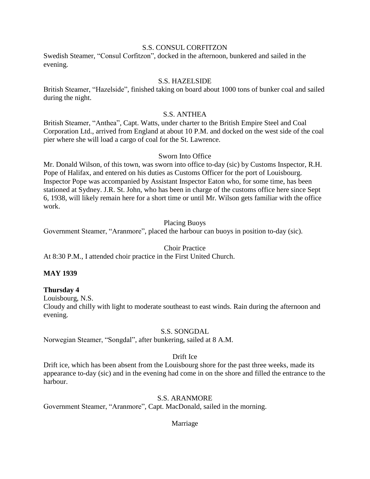#### S.S. CONSUL CORFITZON

Swedish Steamer, "Consul Corfitzon", docked in the afternoon, bunkered and sailed in the evening.

#### S.S. HAZELSIDE

British Steamer, "Hazelside", finished taking on board about 1000 tons of bunker coal and sailed during the night.

## S.S. ANTHEA

British Steamer, "Anthea", Capt. Watts, under charter to the British Empire Steel and Coal Corporation Ltd., arrived from England at about 10 P.M. and docked on the west side of the coal pier where she will load a cargo of coal for the St. Lawrence.

#### Sworn Into Office

Mr. Donald Wilson, of this town, was sworn into office to-day (sic) by Customs Inspector, R.H. Pope of Halifax, and entered on his duties as Customs Officer for the port of Louisbourg. Inspector Pope was accompanied by Assistant Inspector Eaton who, for some time, has been stationed at Sydney. J.R. St. John, who has been in charge of the customs office here since Sept 6, 1938, will likely remain here for a short time or until Mr. Wilson gets familiar with the office work.

#### Placing Buoys

Government Steamer, "Aranmore", placed the harbour can buoys in position to-day (sic).

#### Choir Practice

At 8:30 P.M., I attended choir practice in the First United Church.

#### **MAY 1939**

#### **Thursday 4**

Louisbourg, N.S.

Cloudy and chilly with light to moderate southeast to east winds. Rain during the afternoon and evening.

#### S.S. SONGDAL

Norwegian Steamer, "Songdal", after bunkering, sailed at 8 A.M.

#### Drift Ice

Drift ice, which has been absent from the Louisbourg shore for the past three weeks, made its appearance to-day (sic) and in the evening had come in on the shore and filled the entrance to the harbour.

#### S.S. ARANMORE

Government Steamer, "Aranmore", Capt. MacDonald, sailed in the morning.

#### Marriage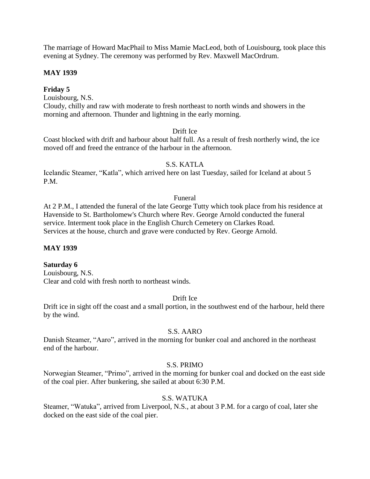The marriage of Howard MacPhail to Miss Mamie MacLeod, both of Louisbourg, took place this evening at Sydney. The ceremony was performed by Rev. Maxwell MacOrdrum.

#### **MAY 1939**

## **Friday 5**

Louisbourg, N.S. Cloudy, chilly and raw with moderate to fresh northeast to north winds and showers in the morning and afternoon. Thunder and lightning in the early morning.

#### Drift Ice

Coast blocked with drift and harbour about half full. As a result of fresh northerly wind, the ice moved off and freed the entrance of the harbour in the afternoon.

#### S.S. KATLA

Icelandic Steamer, "Katla", which arrived here on last Tuesday, sailed for Iceland at about 5 P.M.

#### Funeral

At 2 P.M., I attended the funeral of the late George Tutty which took place from his residence at Havenside to St. Bartholomew's Church where Rev. George Arnold conducted the funeral service. Interment took place in the English Church Cemetery on Clarkes Road. Services at the house, church and grave were conducted by Rev. George Arnold.

#### **MAY 1939**

#### **Saturday 6**

Louisbourg, N.S. Clear and cold with fresh north to northeast winds.

#### Drift Ice

Drift ice in sight off the coast and a small portion, in the southwest end of the harbour, held there by the wind.

#### S.S. AARO

Danish Steamer, "Aaro", arrived in the morning for bunker coal and anchored in the northeast end of the harbour.

#### S.S. PRIMO

Norwegian Steamer, "Primo", arrived in the morning for bunker coal and docked on the east side of the coal pier. After bunkering, she sailed at about 6:30 P.M.

#### S.S. WATUKA

Steamer, "Watuka", arrived from Liverpool, N.S., at about 3 P.M. for a cargo of coal, later she docked on the east side of the coal pier.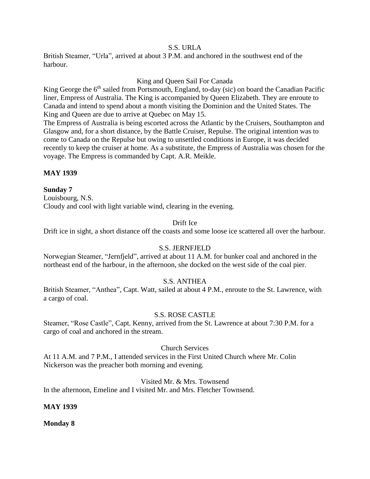## S.S. URLA

British Steamer, "Urla", arrived at about 3 P.M. and anchored in the southwest end of the harbour.

## King and Queen Sail For Canada

King George the  $6<sup>th</sup>$  sailed from Portsmouth, England, to-day (sic) on board the Canadian Pacific liner, Empress of Australia. The King is accompanied by Queen Elizabeth. They are enroute to Canada and intend to spend about a month visiting the Dominion and the United States. The King and Queen are due to arrive at Quebec on May 15.

The Empress of Australia is being escorted across the Atlantic by the Cruisers, Southampton and Glasgow and, for a short distance, by the Battle Cruiser, Repulse. The original intention was to come to Canada on the Repulse but owing to unsettled conditions in Europe, it was decided recently to keep the cruiser at home. As a substitute, the Empress of Australia was chosen for the voyage. The Empress is commanded by Capt. A.R. Meikle.

## **MAY 1939**

## **Sunday 7**

Louisbourg, N.S. Cloudy and cool with light variable wind, clearing in the evening.

## Drift Ice

Drift ice in sight, a short distance off the coasts and some loose ice scattered all over the harbour.

## S.S. JERNFJELD

Norwegian Steamer, "Jernfjeld", arrived at about 11 A.M. for bunker coal and anchored in the northeast end of the harbour, in the afternoon, she docked on the west side of the coal pier.

#### S.S. ANTHEA

British Steamer, "Anthea", Capt. Watt, sailed at about 4 P.M., enroute to the St. Lawrence, with a cargo of coal.

#### S.S. ROSE CASTLE

Steamer, "Rose Castle", Capt. Kenny, arrived from the St. Lawrence at about 7:30 P.M. for a cargo of coal and anchored in the stream.

#### Church Services

At 11 A.M. and 7 P.M., I attended services in the First United Church where Mr. Colin Nickerson was the preacher both morning and evening.

#### Visited Mr. & Mrs. Townsend

In the afternoon, Emeline and I visited Mr. and Mrs. Fletcher Townsend.

#### **MAY 1939**

**Monday 8**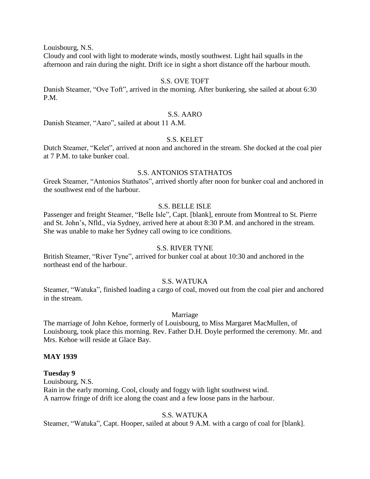Louisbourg, N.S.

Cloudy and cool with light to moderate winds, mostly southwest. Light hail squalls in the afternoon and rain during the night. Drift ice in sight a short distance off the harbour mouth.

#### S.S. OVE TOFT

Danish Steamer, "Ove Toft", arrived in the morning. After bunkering, she sailed at about 6:30 P.M.

#### S.S. AARO

Danish Steamer, "Aaro", sailed at about 11 A.M.

#### S.S. KELET

Dutch Steamer, "Kelet", arrived at noon and anchored in the stream. She docked at the coal pier at 7 P.M. to take bunker coal.

#### S.S. ANTONIOS STATHATOS

Greek Steamer, "Antonios Stathatos", arrived shortly after noon for bunker coal and anchored in the southwest end of the harbour.

## S.S. BELLE ISLE

Passenger and freight Steamer, "Belle Isle", Capt. [blank], enroute from Montreal to St. Pierre and St. John's, Nfld., via Sydney, arrived here at about 8:30 P.M. and anchored in the stream. She was unable to make her Sydney call owing to ice conditions.

#### S.S. RIVER TYNE

British Steamer, "River Tyne", arrived for bunker coal at about 10:30 and anchored in the northeast end of the harbour.

#### S.S. WATUKA

Steamer, "Watuka", finished loading a cargo of coal, moved out from the coal pier and anchored in the stream.

#### Marriage

The marriage of John Kehoe, formerly of Louisbourg, to Miss Margaret MacMullen, of Louisbourg, took place this morning. Rev. Father D.H. Doyle performed the ceremony. Mr. and Mrs. Kehoe will reside at Glace Bay.

#### **MAY 1939**

#### **Tuesday 9**

Louisbourg, N.S. Rain in the early morning. Cool, cloudy and foggy with light southwest wind. A narrow fringe of drift ice along the coast and a few loose pans in the harbour.

#### S.S. WATUKA

Steamer, "Watuka", Capt. Hooper, sailed at about 9 A.M. with a cargo of coal for [blank].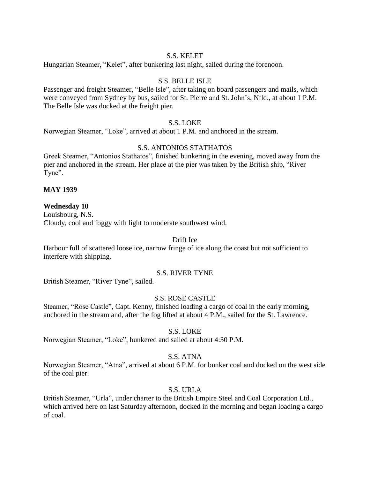#### S.S. KELET

Hungarian Steamer, "Kelet", after bunkering last night, sailed during the forenoon.

#### S.S. BELLE ISLE

Passenger and freight Steamer, "Belle Isle", after taking on board passengers and mails, which were conveyed from Sydney by bus, sailed for St. Pierre and St. John's, Nfld., at about 1 P.M. The Belle Isle was docked at the freight pier.

#### S.S. LOKE

Norwegian Steamer, "Loke", arrived at about 1 P.M. and anchored in the stream.

#### S.S. ANTONIOS STATHATOS

Greek Steamer, "Antonios Stathatos", finished bunkering in the evening, moved away from the pier and anchored in the stream. Her place at the pier was taken by the British ship, "River Tyne".

#### **MAY 1939**

#### **Wednesday 10**

Louisbourg, N.S. Cloudy, cool and foggy with light to moderate southwest wind.

#### Drift Ice

Harbour full of scattered loose ice, narrow fringe of ice along the coast but not sufficient to interfere with shipping.

#### S.S. RIVER TYNE

British Steamer, "River Tyne", sailed.

#### S.S. ROSE CASTLE

Steamer, "Rose Castle", Capt. Kenny, finished loading a cargo of coal in the early morning, anchored in the stream and, after the fog lifted at about 4 P.M., sailed for the St. Lawrence.

#### S.S. LOKE

Norwegian Steamer, "Loke", bunkered and sailed at about 4:30 P.M.

## S.S. ATNA

Norwegian Steamer, "Atna", arrived at about 6 P.M. for bunker coal and docked on the west side of the coal pier.

#### S.S. URLA

British Steamer, "Urla", under charter to the British Empire Steel and Coal Corporation Ltd., which arrived here on last Saturday afternoon, docked in the morning and began loading a cargo of coal.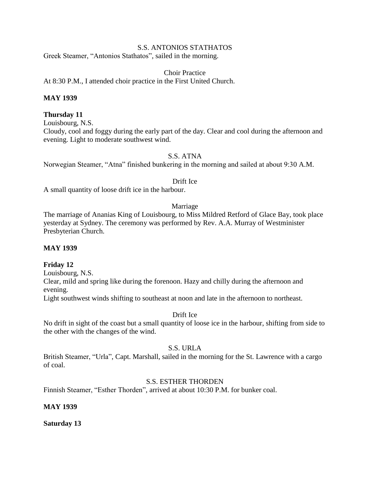#### S.S. ANTONIOS STATHATOS

Greek Steamer, "Antonios Stathatos", sailed in the morning.

Choir Practice At 8:30 P.M., I attended choir practice in the First United Church.

#### **MAY 1939**

#### **Thursday 11**

Louisbourg, N.S.

Cloudy, cool and foggy during the early part of the day. Clear and cool during the afternoon and evening. Light to moderate southwest wind.

S.S. ATNA

Norwegian Steamer, "Atna" finished bunkering in the morning and sailed at about 9:30 A.M.

Drift Ice

A small quantity of loose drift ice in the harbour.

#### Marriage

The marriage of Ananias King of Louisbourg, to Miss Mildred Retford of Glace Bay, took place yesterday at Sydney. The ceremony was performed by Rev. A.A. Murray of Westminister Presbyterian Church.

#### **MAY 1939**

#### **Friday 12**

Louisbourg, N.S.

Clear, mild and spring like during the forenoon. Hazy and chilly during the afternoon and evening.

Light southwest winds shifting to southeast at noon and late in the afternoon to northeast.

#### Drift Ice

No drift in sight of the coast but a small quantity of loose ice in the harbour, shifting from side to the other with the changes of the wind.

#### S.S. URLA

British Steamer, "Urla", Capt. Marshall, sailed in the morning for the St. Lawrence with a cargo of coal.

#### S.S. ESTHER THORDEN

Finnish Steamer, "Esther Thorden", arrived at about 10:30 P.M. for bunker coal.

#### **MAY 1939**

**Saturday 13**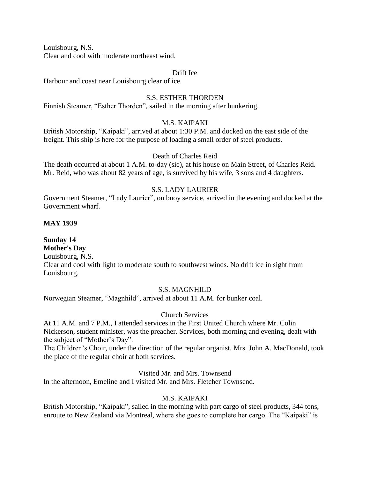Louisbourg, N.S.

Clear and cool with moderate northeast wind.

#### Drift Ice

Harbour and coast near Louisbourg clear of ice.

#### S.S. ESTHER THORDEN

Finnish Steamer, "Esther Thorden", sailed in the morning after bunkering.

#### M.S. KAIPAKI

British Motorship, "Kaipaki", arrived at about 1:30 P.M. and docked on the east side of the freight. This ship is here for the purpose of loading a small order of steel products.

#### Death of Charles Reid

The death occurred at about 1 A.M. to-day (sic), at his house on Main Street, of Charles Reid. Mr. Reid, who was about 82 years of age, is survived by his wife, 3 sons and 4 daughters.

## S.S. LADY LAURIER

Government Steamer, "Lady Laurier", on buoy service, arrived in the evening and docked at the Government wharf.

#### **MAY 1939**

#### **Sunday 14 Mother's Day**

Louisbourg, N.S.

Clear and cool with light to moderate south to southwest winds. No drift ice in sight from Louisbourg.

#### S.S. MAGNHILD

Norwegian Steamer, "Magnhild", arrived at about 11 A.M. for bunker coal.

#### Church Services

At 11 A.M. and 7 P.M., I attended services in the First United Church where Mr. Colin Nickerson, student minister, was the preacher. Services, both morning and evening, dealt with the subject of "Mother's Day".

The Children's Choir, under the direction of the regular organist, Mrs. John A. MacDonald, took the place of the regular choir at both services.

Visited Mr. and Mrs. Townsend

In the afternoon, Emeline and I visited Mr. and Mrs. Fletcher Townsend.

#### M.S. KAIPAKI

British Motorship, "Kaipaki", sailed in the morning with part cargo of steel products, 344 tons, enroute to New Zealand via Montreal, where she goes to complete her cargo. The "Kaipaki" is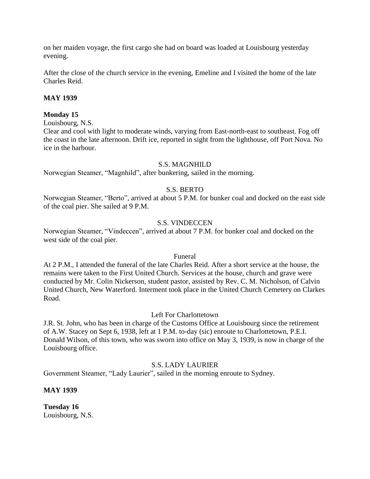on her maiden voyage, the first cargo she had on board was loaded at Louisbourg yesterday evening.

After the close of the church service in the evening, Emeline and I visited the home of the late Charles Reid.

## **MAY 1939**

#### **Monday 15**

Louisbourg, N.S.

Clear and cool with light to moderate winds, varying from East-north-east to southeast. Fog off the coast in the late afternoon. Drift ice, reported in sight from the lighthouse, off Port Nova. No ice in the harbour.

#### S.S. MAGNHILD

Norwegian Steamer, "Magnhild", after bunkering, sailed in the morning.

## S.S. BERTO

Norwegian Steamer, "Berto", arrived at about 5 P.M. for bunker coal and docked on the east side of the coal pier. She sailed at 9 P.M.

#### S.S. VINDECCEN

Norwegian Steamer, "Vindeccen", arrived at about 7 P.M. for bunker coal and docked on the west side of the coal pier.

#### Funeral

At 2 P.M., I attended the funeral of the late Charles Reid. After a short service at the house, the remains were taken to the First United Church. Services at the house, church and grave were conducted by Mr. Colin Nickerson, student pastor, assisted by Rev. C. M. Nicholson, of Calvin United Church, New Waterford. Interment took place in the United Church Cemetery on Clarkes Road.

#### Left For Charlottetown

J.R. St. John, who has been in charge of the Customs Office at Louisbourg since the retirement of A.W. Stacey on Sept 6, 1938, left at 1 P.M. to-day (sic) enroute to Charlottetown, P.E.I. Donald Wilson, of this town, who was sworn into office on May 3, 1939, is now in charge of the Louisbourg office.

#### S.S. LADY LAURIER

Government Steamer, "Lady Laurier", sailed in the morning enroute to Sydney.

#### **MAY 1939**

**Tuesday 16** Louisbourg, N.S.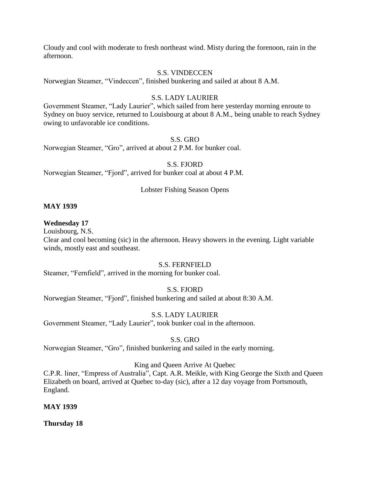Cloudy and cool with moderate to fresh northeast wind. Misty during the forenoon, rain in the afternoon.

#### S.S. VINDECCEN

Norwegian Steamer, "Vindeccen", finished bunkering and sailed at about 8 A.M.

#### S.S. LADY LAURIER

Government Steamer, "Lady Laurier", which sailed from here yesterday morning enroute to Sydney on buoy service, returned to Louisbourg at about 8 A.M., being unable to reach Sydney owing to unfavorable ice conditions.

#### S.S. GRO

Norwegian Steamer, "Gro", arrived at about 2 P.M. for bunker coal.

#### S.S. FJORD

Norwegian Steamer, "Fjord", arrived for bunker coal at about 4 P.M.

#### Lobster Fishing Season Opens

#### **MAY 1939**

#### **Wednesday 17**

Louisbourg, N.S.

Clear and cool becoming (sic) in the afternoon. Heavy showers in the evening. Light variable winds, mostly east and southeast.

#### S.S. FERNFIELD

Steamer, "Fernfield", arrived in the morning for bunker coal.

#### S.S. FJORD

Norwegian Steamer, "Fjord", finished bunkering and sailed at about 8:30 A.M.

#### S.S. LADY LAURIER

Government Steamer, "Lady Laurier", took bunker coal in the afternoon.

#### S.S. GRO

Norwegian Steamer, "Gro", finished bunkering and sailed in the early morning.

#### King and Queen Arrive At Quebec

C.P.R. liner, "Empress of Australia", Capt. A.R. Meikle, with King George the Sixth and Queen Elizabeth on board, arrived at Quebec to-day (sic), after a 12 day voyage from Portsmouth, England.

#### **MAY 1939**

**Thursday 18**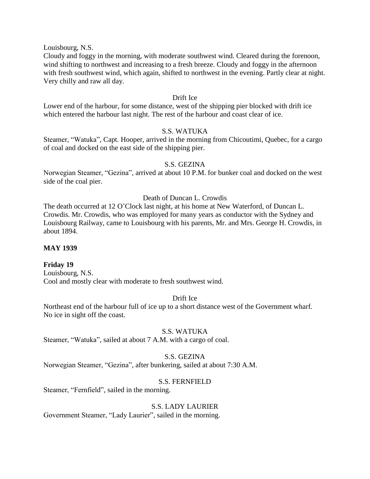Louisbourg, N.S.

Cloudy and foggy in the morning, with moderate southwest wind. Cleared during the forenoon, wind shifting to northwest and increasing to a fresh breeze. Cloudy and foggy in the afternoon with fresh southwest wind, which again, shifted to northwest in the evening. Partly clear at night. Very chilly and raw all day.

#### Drift Ice

Lower end of the harbour, for some distance, west of the shipping pier blocked with drift ice which entered the harbour last night. The rest of the harbour and coast clear of ice.

#### S.S. WATUKA

Steamer, "Watuka", Capt. Hooper, arrived in the morning from Chicoutimi, Quebec, for a cargo of coal and docked on the east side of the shipping pier.

#### S.S. GEZINA

Norwegian Steamer, "Gezina", arrived at about 10 P.M. for bunker coal and docked on the west side of the coal pier.

#### Death of Duncan L. Crowdis

The death occurred at 12 O'Clock last night, at his home at New Waterford, of Duncan L. Crowdis. Mr. Crowdis, who was employed for many years as conductor with the Sydney and Louisbourg Railway, came to Louisbourg with his parents, Mr. and Mrs. George H. Crowdis, in about 1894.

#### **MAY 1939**

#### **Friday 19**

Louisbourg, N.S. Cool and mostly clear with moderate to fresh southwest wind.

#### Drift Ice

Northeast end of the harbour full of ice up to a short distance west of the Government wharf. No ice in sight off the coast.

#### S.S. WATUKA

Steamer, "Watuka", sailed at about 7 A.M. with a cargo of coal.

#### S.S. GEZINA

Norwegian Steamer, "Gezina", after bunkering, sailed at about 7:30 A.M.

#### S.S. FERNFIELD

Steamer, "Fernfield", sailed in the morning.

#### S.S. LADY LAURIER

Government Steamer, "Lady Laurier", sailed in the morning.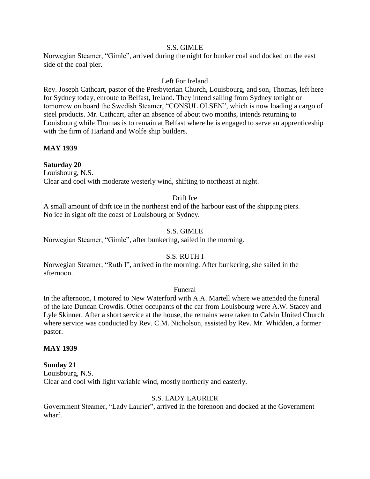#### S.S. GIMLE

Norwegian Steamer, "Gimle", arrived during the night for bunker coal and docked on the east side of the coal pier.

#### Left For Ireland

Rev. Joseph Cathcart, pastor of the Presbyterian Church, Louisbourg, and son, Thomas, left here for Sydney today, enroute to Belfast, Ireland. They intend sailing from Sydney tonight or tomorrow on board the Swedish Steamer, "CONSUL OLSEN", which is now loading a cargo of steel products. Mr. Cathcart, after an absence of about two months, intends returning to Louisbourg while Thomas is to remain at Belfast where he is engaged to serve an apprenticeship with the firm of Harland and Wolfe ship builders.

#### **MAY 1939**

## **Saturday 20**

Louisbourg, N.S. Clear and cool with moderate westerly wind, shifting to northeast at night.

#### Drift Ice

A small amount of drift ice in the northeast end of the harbour east of the shipping piers. No ice in sight off the coast of Louisbourg or Sydney.

## S.S. GIMLE

Norwegian Steamer, "Gimle", after bunkering, sailed in the morning.

## S.S. RUTH I

Norwegian Steamer, "Ruth I", arrived in the morning. After bunkering, she sailed in the afternoon.

#### Funeral

In the afternoon, I motored to New Waterford with A.A. Martell where we attended the funeral of the late Duncan Crowdis. Other occupants of the car from Louisbourg were A.W. Stacey and Lyle Skinner. After a short service at the house, the remains were taken to Calvin United Church where service was conducted by Rev. C.M. Nicholson, assisted by Rev. Mr. Whidden, a former pastor.

#### **MAY 1939**

#### **Sunday 21**

Louisbourg, N.S. Clear and cool with light variable wind, mostly northerly and easterly.

#### S.S. LADY LAURIER

Government Steamer, "Lady Laurier", arrived in the forenoon and docked at the Government wharf.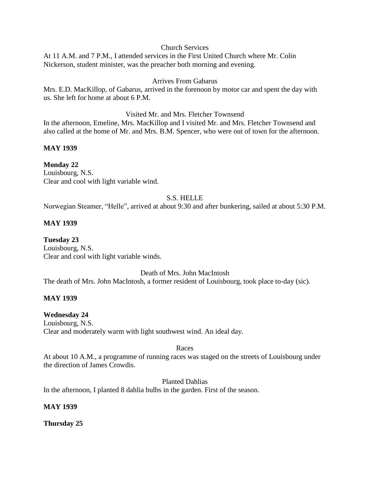#### Church Services

At 11 A.M. and 7 P.M., I attended services in the First United Church where Mr. Colin Nickerson, student minister, was the preacher both morning and evening.

## Arrives From Gabarus

Mrs. E.D. MacKillop, of Gabarus, arrived in the forenoon by motor car and spent the day with us. She left for home at about 6 P.M.

#### Visited Mr. and Mrs. Fletcher Townsend

In the afternoon, Emeline, Mrs. MacKillop and I visited Mr. and Mrs. Fletcher Townsend and also called at the home of Mr. and Mrs. B.M. Spencer, who were out of town for the afternoon.

## **MAY 1939**

## **Monday 22**

Louisbourg, N.S. Clear and cool with light variable wind.

## S.S. HELLE

Norwegian Steamer, "Helle", arrived at about 9:30 and after bunkering, sailed at about 5:30 P.M.

## **MAY 1939**

**Tuesday 23** Louisbourg, N.S. Clear and cool with light variable winds.

Death of Mrs. John MacIntosh

The death of Mrs. John MacIntosh, a former resident of Louisbourg, took place to-day (sic).

#### **MAY 1939**

#### **Wednesday 24**

Louisbourg, N.S. Clear and moderately warm with light southwest wind. An ideal day.

#### Races

At about 10 A.M., a programme of running races was staged on the streets of Louisbourg under the direction of James Crowdis.

#### Planted Dahlias

In the afternoon, I planted 8 dahlia bulbs in the garden. First of the season.

#### **MAY 1939**

**Thursday 25**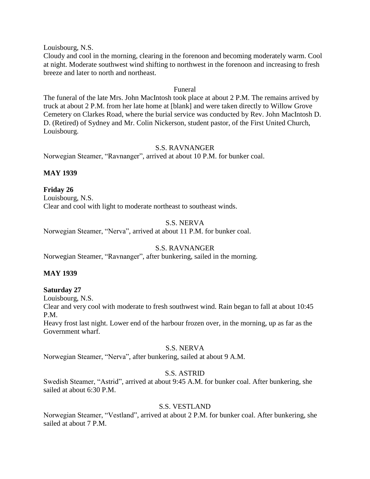Louisbourg, N.S.

Cloudy and cool in the morning, clearing in the forenoon and becoming moderately warm. Cool at night. Moderate southwest wind shifting to northwest in the forenoon and increasing to fresh breeze and later to north and northeast.

## Funeral

The funeral of the late Mrs. John MacIntosh took place at about 2 P.M. The remains arrived by truck at about 2 P.M. from her late home at [blank] and were taken directly to Willow Grove Cemetery on Clarkes Road, where the burial service was conducted by Rev. John MacIntosh D. D. (Retired) of Sydney and Mr. Colin Nickerson, student pastor, of the First United Church, Louisbourg.

#### S.S. RAVNANGER

Norwegian Steamer, "Ravnanger", arrived at about 10 P.M. for bunker coal.

## **MAY 1939**

**Friday 26** Louisbourg, N.S. Clear and cool with light to moderate northeast to southeast winds.

## S.S. NERVA

Norwegian Steamer, "Nerva", arrived at about 11 P.M. for bunker coal.

## S.S. RAVNANGER

Norwegian Steamer, "Ravnanger", after bunkering, sailed in the morning.

#### **MAY 1939**

#### **Saturday 27**

Louisbourg, N.S.

Clear and very cool with moderate to fresh southwest wind. Rain began to fall at about 10:45 P.M.

Heavy frost last night. Lower end of the harbour frozen over, in the morning, up as far as the Government wharf.

#### S.S. NERVA

Norwegian Steamer, "Nerva", after bunkering, sailed at about 9 A.M.

#### S.S. ASTRID

Swedish Steamer, "Astrid", arrived at about 9:45 A.M. for bunker coal. After bunkering, she sailed at about 6:30 P.M.

## S.S. VESTLAND

Norwegian Steamer, "Vestland", arrived at about 2 P.M. for bunker coal. After bunkering, she sailed at about 7 P.M.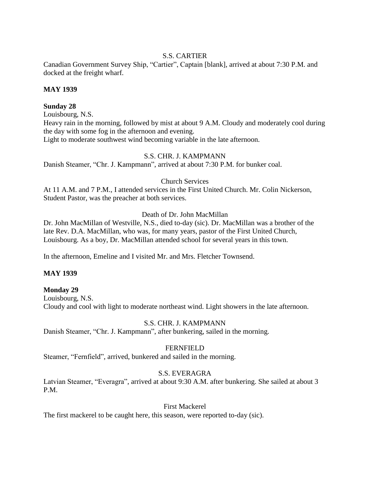## S.S. CARTIER

Canadian Government Survey Ship, "Cartier", Captain [blank], arrived at about 7:30 P.M. and docked at the freight wharf.

## **MAY 1939**

## **Sunday 28**

Louisbourg, N.S.

Heavy rain in the morning, followed by mist at about 9 A.M. Cloudy and moderately cool during the day with some fog in the afternoon and evening.

Light to moderate southwest wind becoming variable in the late afternoon.

## S.S. CHR. J. KAMPMANN

Danish Steamer, "Chr. J. Kampmann", arrived at about 7:30 P.M. for bunker coal.

## Church Services

At 11 A.M. and 7 P.M., I attended services in the First United Church. Mr. Colin Nickerson, Student Pastor, was the preacher at both services.

## Death of Dr. John MacMillan

Dr. John MacMillan of Westville, N.S., died to-day (sic). Dr. MacMillan was a brother of the late Rev. D.A. MacMillan, who was, for many years, pastor of the First United Church, Louisbourg. As a boy, Dr. MacMillan attended school for several years in this town.

In the afternoon, Emeline and I visited Mr. and Mrs. Fletcher Townsend.

## **MAY 1939**

## **Monday 29**

Louisbourg, N.S. Cloudy and cool with light to moderate northeast wind. Light showers in the late afternoon.

## S.S. CHR. J. KAMPMANN

Danish Steamer, "Chr. J. Kampmann", after bunkering, sailed in the morning.

## FERNFIELD

Steamer, "Fernfield", arrived, bunkered and sailed in the morning.

## S.S. EVERAGRA

Latvian Steamer, "Everagra", arrived at about 9:30 A.M. after bunkering. She sailed at about 3 P.M.

#### First Mackerel

The first mackerel to be caught here, this season, were reported to-day (sic).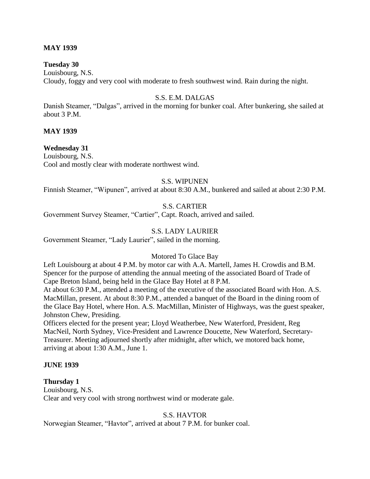#### **MAY 1939**

#### **Tuesday 30**

Louisbourg, N.S. Cloudy, foggy and very cool with moderate to fresh southwest wind. Rain during the night.

#### S.S. E.M. DALGAS

Danish Steamer, "Dalgas", arrived in the morning for bunker coal. After bunkering, she sailed at about 3 P.M.

#### **MAY 1939**

#### **Wednesday 31**

Louisbourg, N.S. Cool and mostly clear with moderate northwest wind.

#### S.S. WIPUNEN

Finnish Steamer, "Wipunen", arrived at about 8:30 A.M., bunkered and sailed at about 2:30 P.M.

#### S.S. CARTIER

Government Survey Steamer, "Cartier", Capt. Roach, arrived and sailed.

#### S.S. LADY LAURIER

Government Steamer, "Lady Laurier", sailed in the morning.

#### Motored To Glace Bay

Left Louisbourg at about 4 P.M. by motor car with A.A. Martell, James H. Crowdis and B.M. Spencer for the purpose of attending the annual meeting of the associated Board of Trade of Cape Breton Island, being held in the Glace Bay Hotel at 8 P.M.

At about 6:30 P.M., attended a meeting of the executive of the associated Board with Hon. A.S. MacMillan, present. At about 8:30 P.M., attended a banquet of the Board in the dining room of the Glace Bay Hotel, where Hon. A.S. MacMillan, Minister of Highways, was the guest speaker, Johnston Chew, Presiding.

Officers elected for the present year; Lloyd Weatherbee, New Waterford, President, Reg MacNeil, North Sydney, Vice-President and Lawrence Doucette, New Waterford, Secretary-Treasurer. Meeting adjourned shortly after midnight, after which, we motored back home, arriving at about 1:30 A.M., June 1.

#### **JUNE 1939**

#### **Thursday 1**

Louisbourg, N.S. Clear and very cool with strong northwest wind or moderate gale.

#### S.S. HAVTOR

Norwegian Steamer, "Havtor", arrived at about 7 P.M. for bunker coal.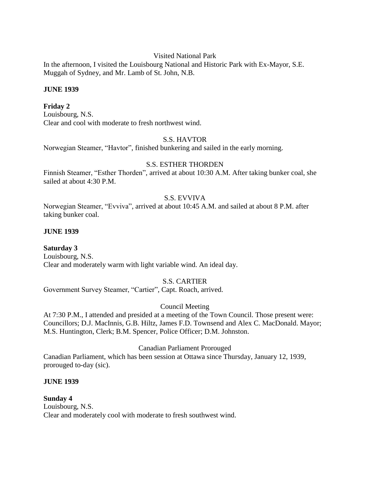Visited National Park

In the afternoon, I visited the Louisbourg National and Historic Park with Ex-Mayor, S.E. Muggah of Sydney, and Mr. Lamb of St. John, N.B.

## **JUNE 1939**

## **Friday 2**

Louisbourg, N.S. Clear and cool with moderate to fresh northwest wind.

## S.S. HAVTOR

Norwegian Steamer, "Havtor", finished bunkering and sailed in the early morning.

## S.S. ESTHER THORDEN

Finnish Steamer, "Esther Thorden", arrived at about 10:30 A.M. After taking bunker coal, she sailed at about 4:30 P.M.

## S.S. EVVIVA

Norwegian Steamer, "Evviva", arrived at about 10:45 A.M. and sailed at about 8 P.M. after taking bunker coal.

## **JUNE 1939**

## **Saturday 3**

Louisbourg, N.S. Clear and moderately warm with light variable wind. An ideal day.

## S.S. CARTIER

Government Survey Steamer, "Cartier", Capt. Roach, arrived.

## Council Meeting

At 7:30 P.M., I attended and presided at a meeting of the Town Council. Those present were: Councillors; D.J. MacInnis, G.B. Hiltz, James F.D. Townsend and Alex C. MacDonald. Mayor; M.S. Huntington, Clerk; B.M. Spencer, Police Officer; D.M. Johnston.

#### Canadian Parliament Prorouged

Canadian Parliament, which has been session at Ottawa since Thursday, January 12, 1939, prorouged to-day (sic).

#### **JUNE 1939**

#### **Sunday 4** Louisbourg, N.S. Clear and moderately cool with moderate to fresh southwest wind.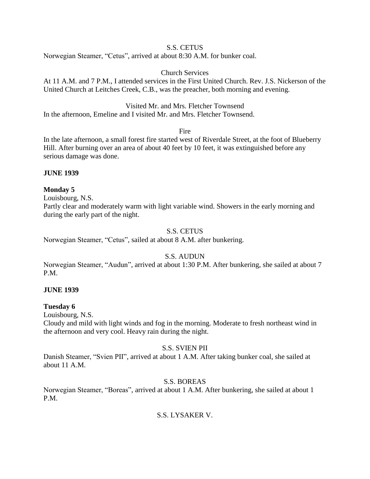## S.S. CETUS

Norwegian Steamer, "Cetus", arrived at about 8:30 A.M. for bunker coal.

## Church Services

At 11 A.M. and 7 P.M., I attended services in the First United Church. Rev. J.S. Nickerson of the United Church at Leitches Creek, C.B., was the preacher, both morning and evening.

Visited Mr. and Mrs. Fletcher Townsend

In the afternoon, Emeline and I visited Mr. and Mrs. Fletcher Townsend.

Fire

In the late afternoon, a small forest fire started west of Riverdale Street, at the foot of Blueberry Hill. After burning over an area of about 40 feet by 10 feet, it was extinguished before any serious damage was done.

## **JUNE 1939**

## **Monday 5**

Louisbourg, N.S.

Partly clear and moderately warm with light variable wind. Showers in the early morning and during the early part of the night.

## S.S. CETUS

Norwegian Steamer, "Cetus", sailed at about 8 A.M. after bunkering.

## S.S. AUDUN

Norwegian Steamer, "Audun", arrived at about 1:30 P.M. After bunkering, she sailed at about 7 P.M.

#### **JUNE 1939**

#### **Tuesday 6**

Louisbourg, N.S.

Cloudy and mild with light winds and fog in the morning. Moderate to fresh northeast wind in the afternoon and very cool. Heavy rain during the night.

#### S.S. SVIEN PII

Danish Steamer, "Svien PII", arrived at about 1 A.M. After taking bunker coal, she sailed at about 11 A.M.

#### S.S. BOREAS

Norwegian Steamer, "Boreas", arrived at about 1 A.M. After bunkering, she sailed at about 1 P.M.

## S.S. LYSAKER V.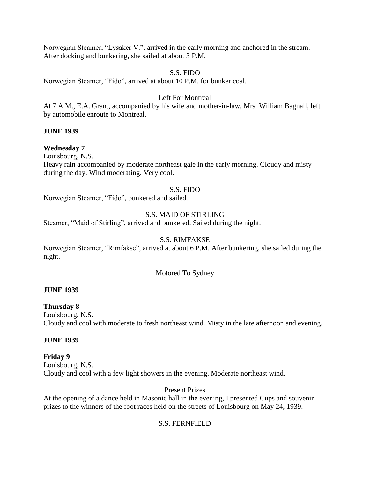Norwegian Steamer, "Lysaker V.", arrived in the early morning and anchored in the stream. After docking and bunkering, she sailed at about 3 P.M.

### S.S. FIDO

Norwegian Steamer, "Fido", arrived at about 10 P.M. for bunker coal.

### Left For Montreal

At 7 A.M., E.A. Grant, accompanied by his wife and mother-in-law, Mrs. William Bagnall, left by automobile enroute to Montreal.

### **JUNE 1939**

### **Wednesday 7**

Louisbourg, N.S.

Heavy rain accompanied by moderate northeast gale in the early morning. Cloudy and misty during the day. Wind moderating. Very cool.

#### S.S. FIDO

Norwegian Steamer, "Fido", bunkered and sailed.

### S.S. MAID OF STIRLING

Steamer, "Maid of Stirling", arrived and bunkered. Sailed during the night.

### S.S. RIMFAKSE

Norwegian Steamer, "Rimfakse", arrived at about 6 P.M. After bunkering, she sailed during the night.

#### Motored To Sydney

#### **JUNE 1939**

### **Thursday 8**

Louisbourg, N.S. Cloudy and cool with moderate to fresh northeast wind. Misty in the late afternoon and evening.

### **JUNE 1939**

### **Friday 9**

Louisbourg, N.S. Cloudy and cool with a few light showers in the evening. Moderate northeast wind.

### Present Prizes

At the opening of a dance held in Masonic hall in the evening, I presented Cups and souvenir prizes to the winners of the foot races held on the streets of Louisbourg on May 24, 1939.

### S.S. FERNFIELD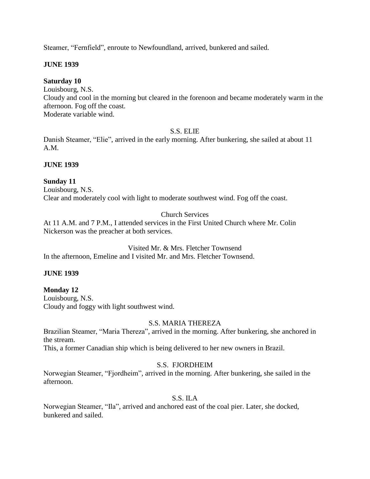Steamer, "Fernfield", enroute to Newfoundland, arrived, bunkered and sailed.

### **JUNE 1939**

### **Saturday 10**

Louisbourg, N.S. Cloudy and cool in the morning but cleared in the forenoon and became moderately warm in the afternoon. Fog off the coast. Moderate variable wind.

## S.S. ELIE

Danish Steamer, "Elie", arrived in the early morning. After bunkering, she sailed at about 11 A.M.

### **JUNE 1939**

### **Sunday 11**

Louisbourg, N.S. Clear and moderately cool with light to moderate southwest wind. Fog off the coast.

## Church Services

At 11 A.M. and 7 P.M., I attended services in the First United Church where Mr. Colin Nickerson was the preacher at both services.

Visited Mr. & Mrs. Fletcher Townsend In the afternoon, Emeline and I visited Mr. and Mrs. Fletcher Townsend.

### **JUNE 1939**

## **Monday 12**

Louisbourg, N.S. Cloudy and foggy with light southwest wind.

## S.S. MARIA THEREZA

Brazilian Steamer, "Maria Thereza", arrived in the morning. After bunkering, she anchored in the stream.

This, a former Canadian ship which is being delivered to her new owners in Brazil.

## S.S. FJORDHEIM

Norwegian Steamer, "Fjordheim", arrived in the morning. After bunkering, she sailed in the afternoon.

### S.S. ILA

Norwegian Steamer, "Ila", arrived and anchored east of the coal pier. Later, she docked, bunkered and sailed.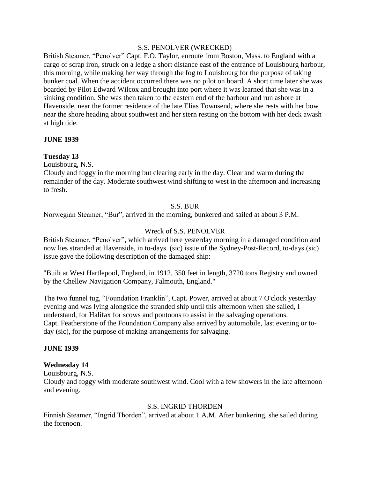#### S.S. PENOLVER (WRECKED)

British Steamer, "Penolver" Capt. F.O. Taylor, enroute from Boston, Mass. to England with a cargo of scrap iron, struck on a ledge a short distance east of the entrance of Louisbourg harbour, this morning, while making her way through the fog to Louisbourg for the purpose of taking bunker coal. When the accident occurred there was no pilot on board. A short time later she was boarded by Pilot Edward Wilcox and brought into port where it was learned that she was in a sinking condition. She was then taken to the eastern end of the harbour and run ashore at Havenside, near the former residence of the late Elias Townsend, where she rests with her bow near the shore heading about southwest and her stern resting on the bottom with her deck awash at high tide.

### **JUNE 1939**

### **Tuesday 13**

Louisbourg, N.S.

Cloudy and foggy in the morning but clearing early in the day. Clear and warm during the remainder of the day. Moderate southwest wind shifting to west in the afternoon and increasing to fresh.

### S.S. BUR

Norwegian Steamer, "Bur", arrived in the morning, bunkered and sailed at about 3 P.M.

### Wreck of S.S. PENOLVER

British Steamer, "Penolver", which arrived here yesterday morning in a damaged condition and now lies stranded at Havenside, in to-days (sic) issue of the Sydney-Post-Record, to-days (sic) issue gave the following description of the damaged ship:

"Built at West Hartlepool, England, in 1912, 350 feet in length, 3720 tons Registry and owned by the Chellew Navigation Company, Falmouth, England."

The two funnel tug, "Foundation Franklin", Capt. Power, arrived at about 7 O'clock yesterday evening and was lying alongside the stranded ship until this afternoon when she sailed, I understand, for Halifax for scows and pontoons to assist in the salvaging operations. Capt. Featherstone of the Foundation Company also arrived by automobile, last evening or today (sic), for the purpose of making arrangements for salvaging.

### **JUNE 1939**

### **Wednesday 14**

Louisbourg, N.S.

Cloudy and foggy with moderate southwest wind. Cool with a few showers in the late afternoon and evening.

#### S.S. INGRID THORDEN

Finnish Steamer, "Ingrid Thorden", arrived at about 1 A.M. After bunkering, she sailed during the forenoon.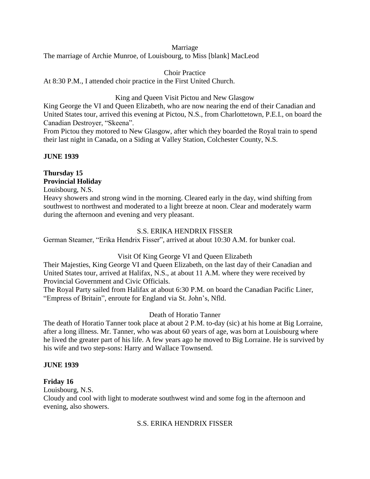### Marriage

The marriage of Archie Munroe, of Louisbourg, to Miss [blank] MacLeod

Choir Practice At 8:30 P.M., I attended choir practice in the First United Church.

King and Queen Visit Pictou and New Glasgow

King George the VI and Queen Elizabeth, who are now nearing the end of their Canadian and United States tour, arrived this evening at Pictou, N.S., from Charlottetown, P.E.I., on board the Canadian Destroyer, "Skeena".

From Pictou they motored to New Glasgow, after which they boarded the Royal train to spend their last night in Canada, on a Siding at Valley Station, Colchester County, N.S.

### **JUNE 1939**

## **Thursday 15 Provincial Holiday**

Louisbourg, N.S.

Heavy showers and strong wind in the morning. Cleared early in the day, wind shifting from southwest to northwest and moderated to a light breeze at noon. Clear and moderately warm during the afternoon and evening and very pleasant.

## S.S. ERIKA HENDRIX FISSER

German Steamer, "Erika Hendrix Fisser", arrived at about 10:30 A.M. for bunker coal.

### Visit Of King George VI and Queen Elizabeth

Their Majesties, King George VI and Queen Elizabeth, on the last day of their Canadian and United States tour, arrived at Halifax, N.S., at about 11 A.M. where they were received by Provincial Government and Civic Officials.

The Royal Party sailed from Halifax at about 6:30 P.M. on board the Canadian Pacific Liner, "Empress of Britain", enroute for England via St. John's, Nfld.

## Death of Horatio Tanner

The death of Horatio Tanner took place at about 2 P.M. to-day (sic) at his home at Big Lorraine, after a long illness. Mr. Tanner, who was about 60 years of age, was born at Louisbourg where he lived the greater part of his life. A few years ago he moved to Big Lorraine. He is survived by his wife and two step-sons: Harry and Wallace Townsend.

### **JUNE 1939**

### **Friday 16**

Louisbourg, N.S.

Cloudy and cool with light to moderate southwest wind and some fog in the afternoon and evening, also showers.

### S.S. ERIKA HENDRIX FISSER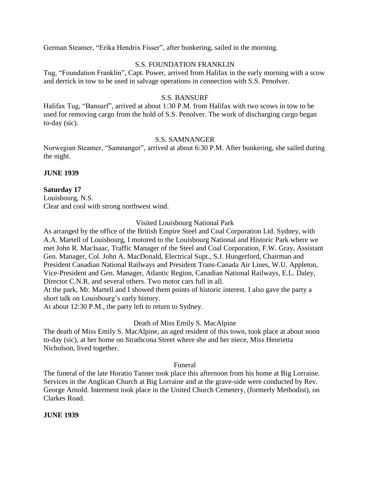German Steamer, "Erika Hendrix Fisser", after bunkering, sailed in the morning.

### S.S. FOUNDATION FRANKLIN

Tug, "Foundation Franklin", Capt. Power, arrived from Halifax in the early morning with a scow and derrick in tow to be used in salvage operations in connection with S.S. Penolver.

### S.S. BANSURF

Halifax Tug, "Bansurf", arrived at about 1:30 P.M. from Halifax with two scows in tow to be used for removing cargo from the hold of S.S. Penolver. The work of discharging cargo began to-day (sic).

#### S.S. SAMNANGER

Norwegian Steamer, "Samnanger", arrived at about 6:30 P.M. After bunkering, she sailed during the night.

#### **JUNE 1939**

#### **Saturday 17**

Louisbourg, N.S. Clear and cool with strong northwest wind.

### Visited Louisbourg National Park

As arranged by the office of the British Empire Steel and Coal Corporation Ltd. Sydney, with A.A. Martell of Louisbourg, I motored to the Louisbourg National and Historic Park where we met John R. MacIsaac, Traffic Manager of the Steel and Coal Corporation, F.W. Gray, Assistant Gen. Manager, Col. John A. MacDonald, Electrical Supt., S.J. Hungerford, Chairman and President Canadian National Railways and President Trans-Canada Air Lines, W.U. Appleton, Vice-President and Gen. Manager, Atlantic Region, Canadian National Railways, E.L. Daley, Director C.N.R. and several others. Two motor cars full in all.

At the park, Mr. Martell and I showed them points of historic interest. I also gave the party a short talk on Louisbourg's early history.

At about 12:30 P.M., the party left to return to Sydney.

### Death of Miss Emily S. MacAlpine

The death of Miss Emily S. MacAlpine, an aged resident of this town, took place at about noon to-day (sic), at her home on Strathcona Street where she and her niece, Miss Henrietta Nicholson, lived together.

Funeral

The funeral of the late Horatio Tanner took place this afternoon from his home at Big Lorraine. Services in the Anglican Church at Big Lorraine and at the grave-side were conducted by Rev. George Arnold. Interment took place in the United Church Cemetery, (formerly Methodist), on Clarkes Road.

#### **JUNE 1939**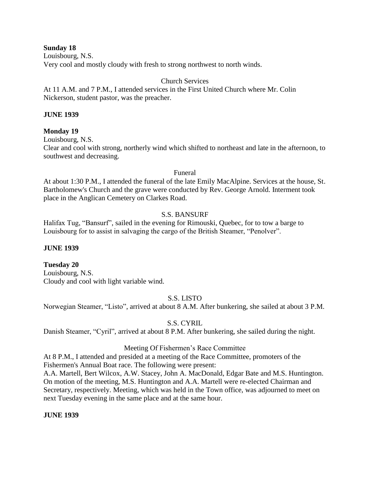**Sunday 18**

Louisbourg, N.S. Very cool and mostly cloudy with fresh to strong northwest to north winds.

## Church Services

At 11 A.M. and 7 P.M., I attended services in the First United Church where Mr. Colin Nickerson, student pastor, was the preacher.

## **JUNE 1939**

## **Monday 19**

Louisbourg, N.S. Clear and cool with strong, northerly wind which shifted to northeast and late in the afternoon, to southwest and decreasing.

### Funeral

At about 1:30 P.M., I attended the funeral of the late Emily MacAlpine. Services at the house, St. Bartholomew's Church and the grave were conducted by Rev. George Arnold. Interment took place in the Anglican Cemetery on Clarkes Road.

## S.S. BANSURF

Halifax Tug, "Bansurf", sailed in the evening for Rimouski, Quebec, for to tow a barge to Louisbourg for to assist in salvaging the cargo of the British Steamer, "Penolver".

## **JUNE 1939**

**Tuesday 20** Louisbourg, N.S. Cloudy and cool with light variable wind.

## S.S. LISTO

Norwegian Steamer, "Listo", arrived at about 8 A.M. After bunkering, she sailed at about 3 P.M.

## S.S. CYRIL

Danish Steamer, "Cyril", arrived at about 8 P.M. After bunkering, she sailed during the night.

## Meeting Of Fishermen's Race Committee

At 8 P.M., I attended and presided at a meeting of the Race Committee, promoters of the Fishermen's Annual Boat race. The following were present:

A.A. Martell, Bert Wilcox, A.W. Stacey, John A. MacDonald, Edgar Bate and M.S. Huntington. On motion of the meeting, M.S. Huntington and A.A. Martell were re-elected Chairman and Secretary, respectively. Meeting, which was held in the Town office, was adjourned to meet on next Tuesday evening in the same place and at the same hour.

## **JUNE 1939**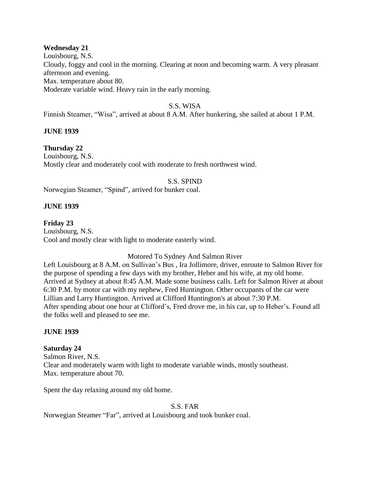### **Wednesday 21**

Louisbourg, N.S. Cloudy, foggy and cool in the morning. Clearing at noon and becoming warm. A very pleasant afternoon and evening. Max. temperature about 80. Moderate variable wind. Heavy rain in the early morning.

### S.S. WISA

Finnish Steamer, "Wisa", arrived at about 8 A.M. After bunkering, she sailed at about 1 P.M.

#### **JUNE 1939**

#### **Thursday 22**

Louisbourg, N.S. Mostly clear and moderately cool with moderate to fresh northwest wind.

#### S.S. SPIND

Norwegian Steamer, "Spind", arrived for bunker coal.

#### **JUNE 1939**

**Friday 23** Louisbourg, N.S. Cool and mostly clear with light to moderate easterly wind.

### Motored To Sydney And Salmon River

Left Louisbourg at 8 A.M. on Sullivan's Bus , Ira Jollimore, driver, enroute to Salmon River for the purpose of spending a few days with my brother, Heber and his wife, at my old home. Arrived at Sydney at about 8:45 A.M. Made some business calls. Left for Salmon River at about 6:30 P.M. by motor car with my nephew, Fred Huntington. Other occupants of the car were Lillian and Larry Huntington. Arrived at Clifford Huntington's at about 7:30 P.M. After spending about one hour at Clifford's, Fred drove me, in his car, up to Heber's. Found all the folks well and pleased to see me.

#### **JUNE 1939**

#### **Saturday 24**

Salmon River, N.S. Clear and moderately warm with light to moderate variable winds, mostly southeast. Max. temperature about 70.

Spent the day relaxing around my old home.

S.S. FAR

Norwegian Steamer "Far", arrived at Louisbourg and took bunker coal.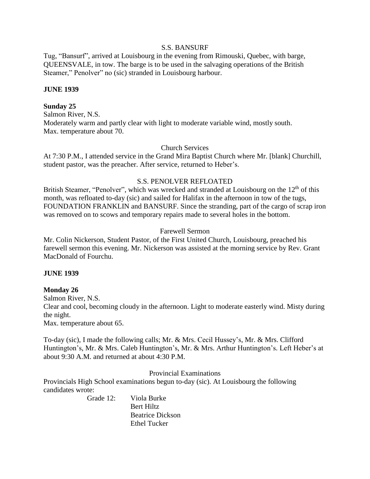#### S.S. BANSURF

Tug, "Bansurf", arrived at Louisbourg in the evening from Rimouski, Quebec, with barge, QUEENSVALE, in tow. The barge is to be used in the salvaging operations of the British Steamer," Penolver" no (sic) stranded in Louisbourg harbour.

### **JUNE 1939**

### **Sunday 25**

Salmon River, N.S. Moderately warm and partly clear with light to moderate variable wind, mostly south. Max. temperature about 70.

#### Church Services

At 7:30 P.M., I attended service in the Grand Mira Baptist Church where Mr. [blank] Churchill, student pastor, was the preacher. After service, returned to Heber's.

#### S.S. PENOLVER REFLOATED

British Steamer, "Penolver", which was wrecked and stranded at Louisbourg on the 12<sup>th</sup> of this month, was refloated to-day (sic) and sailed for Halifax in the afternoon in tow of the tugs, FOUNDATION FRANKLIN and BANSURF. Since the stranding, part of the cargo of scrap iron was removed on to scows and temporary repairs made to several holes in the bottom.

### Farewell Sermon

Mr. Colin Nickerson, Student Pastor, of the First United Church, Louisbourg, preached his farewell sermon this evening. Mr. Nickerson was assisted at the morning service by Rev. Grant MacDonald of Fourchu.

#### **JUNE 1939**

### **Monday 26**

Salmon River, N.S.

Clear and cool, becoming cloudy in the afternoon. Light to moderate easterly wind. Misty during the night.

Max. temperature about 65.

To-day (sic), I made the following calls; Mr. & Mrs. Cecil Hussey's, Mr. & Mrs. Clifford Huntington's, Mr. & Mrs. Caleb Huntington's, Mr. & Mrs. Arthur Huntington's. Left Heber's at about 9:30 A.M. and returned at about 4:30 P.M.

Provincial Examinations

Provincials High School examinations begun to-day (sic). At Louisbourg the following candidates wrote:

> Grade 12: Viola Burke Bert Hiltz Beatrice Dickson Ethel Tucker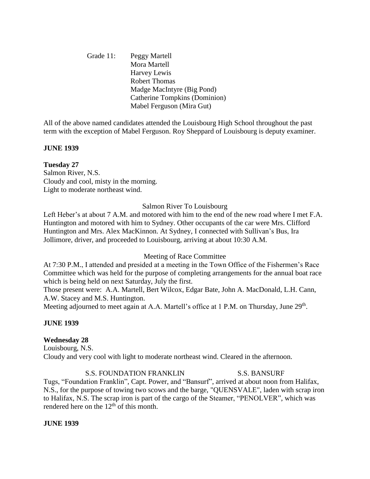Grade 11: Peggy Martell Mora Martell Harvey Lewis Robert Thomas Madge MacIntyre (Big Pond) Catherine Tompkins (Dominion) Mabel Ferguson (Mira Gut)

All of the above named candidates attended the Louisbourg High School throughout the past term with the exception of Mabel Ferguson. Roy Sheppard of Louisbourg is deputy examiner.

### **JUNE 1939**

### **Tuesday 27**

Salmon River, N.S. Cloudy and cool, misty in the morning. Light to moderate northeast wind.

#### Salmon River To Louisbourg

Left Heber's at about 7 A.M. and motored with him to the end of the new road where I met F.A. Huntington and motored with him to Sydney. Other occupants of the car were Mrs. Clifford Huntington and Mrs. Alex MacKinnon. At Sydney, I connected with Sullivan's Bus, Ira Jollimore, driver, and proceeded to Louisbourg, arriving at about 10:30 A.M.

### Meeting of Race Committee

At 7:30 P.M., I attended and presided at a meeting in the Town Office of the Fishermen's Race Committee which was held for the purpose of completing arrangements for the annual boat race which is being held on next Saturday, July the first.

Those present were: A.A. Martell, Bert Wilcox, Edgar Bate, John A. MacDonald, L.H. Cann, A.W. Stacey and M.S. Huntington.

Meeting adjourned to meet again at A.A. Martell's office at 1 P.M. on Thursday, June 29<sup>th</sup>.

### **JUNE 1939**

### **Wednesday 28**

Louisbourg, N.S. Cloudy and very cool with light to moderate northeast wind. Cleared in the afternoon.

#### S.S. FOUNDATION FRANKLIN S.S. BANSURF

Tugs, "Foundation Franklin", Capt. Power, and "Bansurf", arrived at about noon from Halifax, N.S., for the purpose of towing two scows and the barge, "QUENSVALE", laden with scrap iron to Halifax, N.S. The scrap iron is part of the cargo of the Steamer, "PENOLVER", which was rendered here on the  $12<sup>th</sup>$  of this month.

#### **JUNE 1939**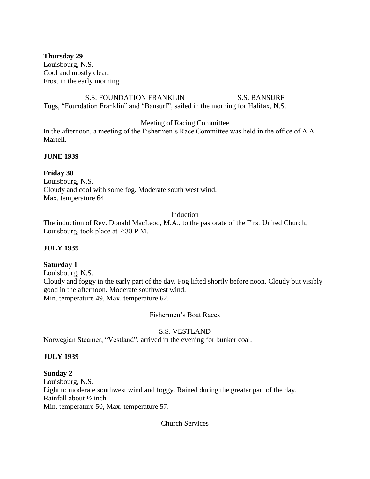**Thursday 29** Louisbourg, N.S. Cool and mostly clear. Frost in the early morning.

S.S. FOUNDATION FRANKLIN S.S. BANSURF Tugs, "Foundation Franklin" and "Bansurf", sailed in the morning for Halifax, N.S.

Meeting of Racing Committee

In the afternoon, a meeting of the Fishermen's Race Committee was held in the office of A.A. Martell.

**JUNE 1939**

**Friday 30** Louisbourg, N.S. Cloudy and cool with some fog. Moderate south west wind. Max. temperature 64.

### Induction

The induction of Rev. Donald MacLeod, M.A., to the pastorate of the First United Church, Louisbourg, took place at 7:30 P.M.

### **JULY 1939**

### **Saturday 1**

Louisbourg, N.S. Cloudy and foggy in the early part of the day. Fog lifted shortly before noon. Cloudy but visibly good in the afternoon. Moderate southwest wind. Min. temperature 49, Max. temperature 62.

Fishermen's Boat Races

## S.S. VESTLAND

Norwegian Steamer, "Vestland", arrived in the evening for bunker coal.

### **JULY 1939**

## **Sunday 2**

Louisbourg, N.S. Light to moderate southwest wind and foggy. Rained during the greater part of the day. Rainfall about ½ inch. Min. temperature 50, Max. temperature 57.

Church Services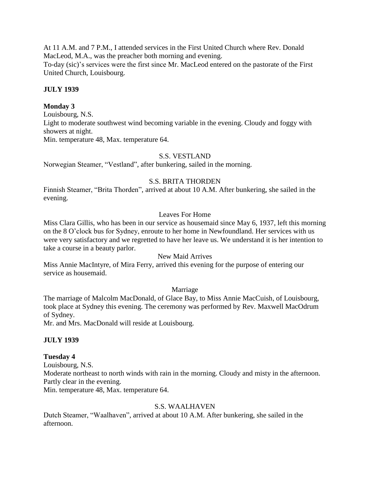At 11 A.M. and 7 P.M., I attended services in the First United Church where Rev. Donald MacLeod, M.A., was the preacher both morning and evening. To-day (sic)'s services were the first since Mr. MacLeod entered on the pastorate of the First United Church, Louisbourg.

### **JULY 1939**

### **Monday 3**

Louisbourg, N.S. Light to moderate southwest wind becoming variable in the evening. Cloudy and foggy with showers at night. Min. temperature 48, Max. temperature 64.

# S.S. VESTLAND

Norwegian Steamer, "Vestland", after bunkering, sailed in the morning.

### S.S. BRITA THORDEN

Finnish Steamer, "Brita Thorden", arrived at about 10 A.M. After bunkering, she sailed in the evening.

### Leaves For Home

Miss Clara Gillis, who has been in our service as housemaid since May 6, 1937, left this morning on the 8 O'clock bus for Sydney, enroute to her home in Newfoundland. Her services with us were very satisfactory and we regretted to have her leave us. We understand it is her intention to take a course in a beauty parlor.

## New Maid Arrives

Miss Annie MacIntyre, of Mira Ferry, arrived this evening for the purpose of entering our service as housemaid.

### Marriage

The marriage of Malcolm MacDonald, of Glace Bay, to Miss Annie MacCuish, of Louisbourg, took place at Sydney this evening. The ceremony was performed by Rev. Maxwell MacOdrum of Sydney.

Mr. and Mrs. MacDonald will reside at Louisbourg.

### **JULY 1939**

### **Tuesday 4**

Louisbourg, N.S.

Moderate northeast to north winds with rain in the morning. Cloudy and misty in the afternoon. Partly clear in the evening.

Min. temperature 48, Max. temperature 64.

### S.S. WAALHAVEN

Dutch Steamer, "Waalhaven", arrived at about 10 A.M. After bunkering, she sailed in the afternoon.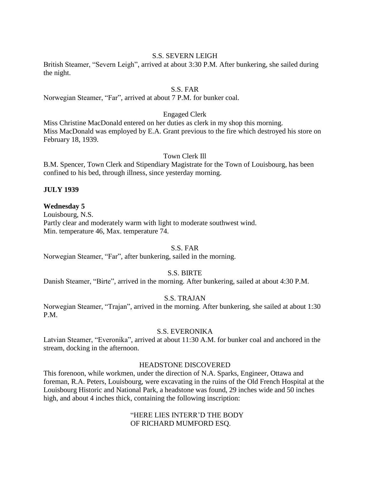### S.S. SEVERN LEIGH

British Steamer, "Severn Leigh", arrived at about 3:30 P.M. After bunkering, she sailed during the night.

### S.S. FAR

Norwegian Steamer, "Far", arrived at about 7 P.M. for bunker coal.

#### Engaged Clerk

Miss Christine MacDonald entered on her duties as clerk in my shop this morning. Miss MacDonald was employed by E.A. Grant previous to the fire which destroyed his store on February 18, 1939.

#### Town Clerk Ill

B.M. Spencer, Town Clerk and Stipendiary Magistrate for the Town of Louisbourg, has been confined to his bed, through illness, since yesterday morning.

#### **JULY 1939**

#### **Wednesday 5**

Louisbourg, N.S. Partly clear and moderately warm with light to moderate southwest wind. Min. temperature 46, Max. temperature 74.

#### S.S. FAR

Norwegian Steamer, "Far", after bunkering, sailed in the morning.

#### S.S. BIRTE

Danish Steamer, "Birte", arrived in the morning. After bunkering, sailed at about 4:30 P.M.

#### S.S. TRAJAN

Norwegian Steamer, "Trajan", arrived in the morning. After bunkering, she sailed at about 1:30 P.M.

#### S.S. EVERONIKA

Latvian Steamer, "Everonika", arrived at about 11:30 A.M. for bunker coal and anchored in the stream, docking in the afternoon.

#### HEADSTONE DISCOVERED

This forenoon, while workmen, under the direction of N.A. Sparks, Engineer, Ottawa and foreman, R.A. Peters, Louisbourg, were excavating in the ruins of the Old French Hospital at the Louisbourg Historic and National Park, a headstone was found, 29 inches wide and 50 inches high, and about 4 inches thick, containing the following inscription:

> "HERE LIES INTERR'D THE BODY OF RICHARD MUMFORD ESQ.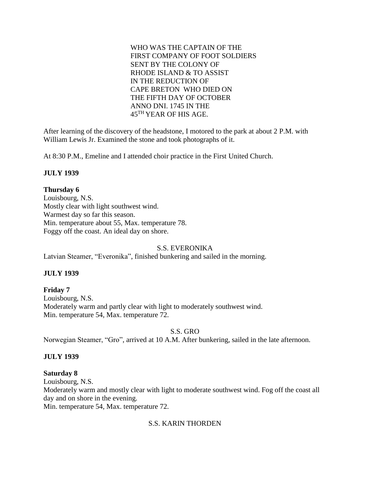WHO WAS THE CAPTAIN OF THE FIRST COMPANY OF FOOT SOLDIERS SENT BY THE COLONY OF RHODE ISLAND & TO ASSIST IN THE REDUCTION OF CAPE BRETON WHO DIED ON THE FIFTH DAY OF OCTOBER ANNO DNI. 1745 IN THE 45TH YEAR OF HIS AGE.

After learning of the discovery of the headstone, I motored to the park at about 2 P.M. with William Lewis Jr. Examined the stone and took photographs of it.

At 8:30 P.M., Emeline and I attended choir practice in the First United Church.

### **JULY 1939**

### **Thursday 6**

Louisbourg, N.S. Mostly clear with light southwest wind. Warmest day so far this season. Min. temperature about 55, Max. temperature 78. Foggy off the coast. An ideal day on shore.

### S.S. EVERONIKA

Latvian Steamer, "Everonika", finished bunkering and sailed in the morning.

## **JULY 1939**

**Friday 7** Louisbourg, N.S. Moderately warm and partly clear with light to moderately southwest wind. Min. temperature 54, Max. temperature 72.

### S.S. GRO

Norwegian Steamer, "Gro", arrived at 10 A.M. After bunkering, sailed in the late afternoon.

### **JULY 1939**

### **Saturday 8**

Louisbourg, N.S.

Moderately warm and mostly clear with light to moderate southwest wind. Fog off the coast all day and on shore in the evening.

Min. temperature 54, Max. temperature 72.

### S.S. KARIN THORDEN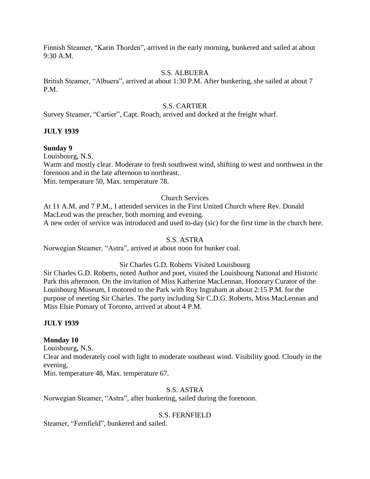Finnish Steamer, "Karin Thorden", arrived in the early morning, bunkered and sailed at about 9:30 A.M.

### S.S. ALBUERA

British Steamer, "Albuera", arrived at about 1:30 P.M. After bunkering, she sailed at about 7 P.M.

## S.S. CARTIER

Survey Steamer, "Cartier", Capt. Roach, arrived and docked at the freight wharf.

## **JULY 1939**

### **Sunday 9**

Louisbourg, N.S.

Warm and mostly clear. Moderate to fresh southwest wind, shifting to west and northwest in the forenoon and in the late afternoon to northeast.

Min. temperature 50, Max. temperature 78.

### Church Services

At 11 A.M. and 7 P.M., I attended services in the First United Church where Rev. Donald MacLeod was the preacher, both morning and evening. A new order of service was introduced and used to-day (sic) for the first time in the church here.

### S.S. ASTRA

Norwegian Steamer, "Astra", arrived at about noon for bunker coal.

## Sir Charles G.D. Roberts Visited Louisbourg

Sir Charles G.D. Roberts, noted Author and poet, visited the Louisbourg National and Historic Park this afternoon. On the invitation of Miss Katherine MacLennan, Honorary Curator of the Louisbourg Museum, I motored to the Park with Roy Ingraham at about 2:15 P.M. for the purpose of meeting Sir Charles. The party including Sir C.D.G. Roberts, Miss MacLennan and Miss Elsie Pomary of Toronto, arrived at about 4 P.M.

### **JULY 1939**

## **Monday 10**

Louisbourg, N.S.

Clear and moderately cool with light to moderate southeast wind. Visibility good. Cloudy in the evening.

Min. temperature 48, Max. temperature 67.

## S.S. ASTRA

Norwegian Steamer, "Astra", after bunkering, sailed during the forenoon.

## S.S. FERNFIELD

Steamer, "Fernfield", bunkered and sailed.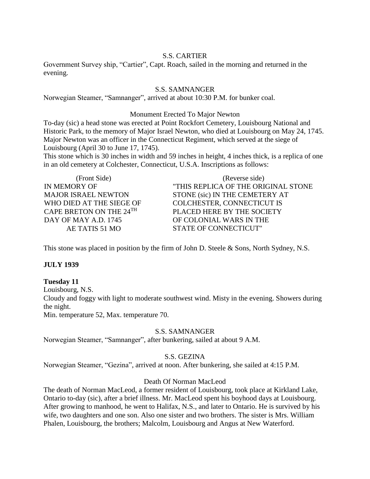### S.S. CARTIER

Government Survey ship, "Cartier", Capt. Roach, sailed in the morning and returned in the evening.

### S.S. SAMNANGER

Norwegian Steamer, "Samnanger", arrived at about 10:30 P.M. for bunker coal.

#### Monument Erected To Major Newton

To-day (sic) a head stone was erected at Point Rockfort Cemetery, Louisbourg National and Historic Park, to the memory of Major Israel Newton, who died at Louisbourg on May 24, 1745. Major Newton was an officer in the Connecticut Regiment, which served at the siege of Louisbourg (April 30 to June 17, 1745).

This stone which is 30 inches in width and 59 inches in height, 4 inches thick, is a replica of one in an old cemetery at Colchester, Connecticut, U.S.A. Inscriptions as follows:

(Front Side) IN MEMORY OF MAJOR ISRAEL NEWTON WHO DIED AT THE SIEGE OF CAPE BRETON ON THE 24TH DAY OF MAY A.D. 1745 AE TATIS 51 MO

(Reverse side) "THIS REPLICA OF THE ORIGINAL STONE STONE (sic) IN THE CEMETERY AT COLCHESTER, CONNECTICUT IS PLACED HERE BY THE SOCIETY OF COLONIAL WARS IN THE STATE OF CONNECTICUT"

This stone was placed in position by the firm of John D. Steele & Sons, North Sydney, N.S.

### **JULY 1939**

#### **Tuesday 11**

Louisbourg, N.S.

Cloudy and foggy with light to moderate southwest wind. Misty in the evening. Showers during the night.

Min. temperature 52, Max. temperature 70.

#### S.S. SAMNANGER

Norwegian Steamer, "Samnanger", after bunkering, sailed at about 9 A.M.

### S.S. GEZINA

Norwegian Steamer, "Gezina", arrived at noon. After bunkering, she sailed at 4:15 P.M.

### Death Of Norman MacLeod

The death of Norman MacLeod, a former resident of Louisbourg, took place at Kirkland Lake, Ontario to-day (sic), after a brief illness. Mr. MacLeod spent his boyhood days at Louisbourg. After growing to manhood, he went to Halifax, N.S., and later to Ontario. He is survived by his wife, two daughters and one son. Also one sister and two brothers. The sister is Mrs. William Phalen, Louisbourg, the brothers; Malcolm, Louisbourg and Angus at New Waterford.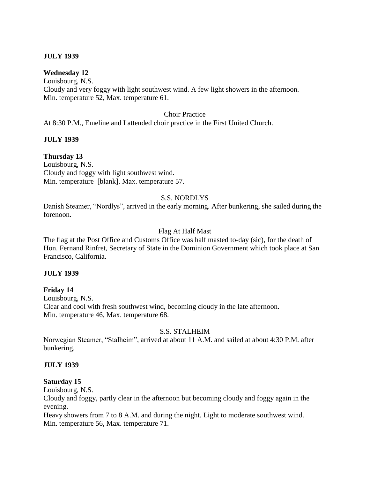### **JULY 1939**

### **Wednesday 12**

Louisbourg, N.S. Cloudy and very foggy with light southwest wind. A few light showers in the afternoon. Min. temperature 52, Max. temperature 61.

#### Choir Practice

At 8:30 P.M., Emeline and I attended choir practice in the First United Church.

### **JULY 1939**

## **Thursday 13**

Louisbourg, N.S. Cloudy and foggy with light southwest wind. Min. temperature [blank]. Max. temperature 57.

### S.S. NORDLYS

Danish Steamer, "Nordlys", arrived in the early morning. After bunkering, she sailed during the forenoon.

### Flag At Half Mast

The flag at the Post Office and Customs Office was half masted to-day (sic), for the death of Hon. Fernand Rinfret, Secretary of State in the Dominion Government which took place at San Francisco, California.

### **JULY 1939**

### **Friday 14**

Louisbourg, N.S. Clear and cool with fresh southwest wind, becoming cloudy in the late afternoon. Min. temperature 46, Max. temperature 68.

### S.S. STALHEIM

Norwegian Steamer, "Stalheim", arrived at about 11 A.M. and sailed at about 4:30 P.M. after bunkering.

### **JULY 1939**

#### **Saturday 15**

Louisbourg, N.S.

Cloudy and foggy, partly clear in the afternoon but becoming cloudy and foggy again in the evening.

Heavy showers from 7 to 8 A.M. and during the night. Light to moderate southwest wind. Min. temperature 56, Max. temperature 71.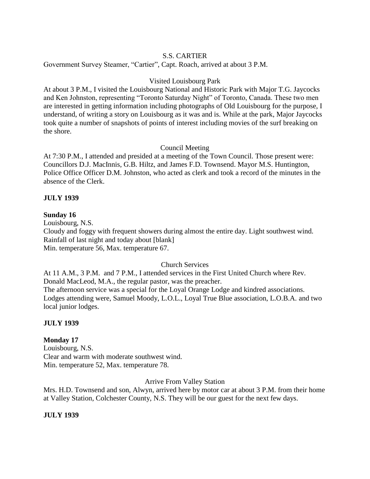### S.S. CARTIER

Government Survey Steamer, "Cartier", Capt. Roach, arrived at about 3 P.M.

### Visited Louisbourg Park

At about 3 P.M., I visited the Louisbourg National and Historic Park with Major T.G. Jaycocks and Ken Johnston, representing "Toronto Saturday Night" of Toronto, Canada. These two men are interested in getting information including photographs of Old Louisbourg for the purpose, I understand, of writing a story on Louisbourg as it was and is. While at the park, Major Jaycocks took quite a number of snapshots of points of interest including movies of the surf breaking on the shore.

### Council Meeting

At 7:30 P.M., I attended and presided at a meeting of the Town Council. Those present were: Councillors D.J. MacInnis, G.B. Hiltz, and James F.D. Townsend. Mayor M.S. Huntington, Police Office Officer D.M. Johnston, who acted as clerk and took a record of the minutes in the absence of the Clerk.

### **JULY 1939**

### **Sunday 16**

Louisbourg, N.S. Cloudy and foggy with frequent showers during almost the entire day. Light southwest wind. Rainfall of last night and today about [blank] Min. temperature 56, Max. temperature 67.

### Church Services

At 11 A.M., 3 P.M. and 7 P.M., I attended services in the First United Church where Rev. Donald MacLeod, M.A., the regular pastor, was the preacher. The afternoon service was a special for the Loyal Orange Lodge and kindred associations. Lodges attending were, Samuel Moody, L.O.L., Loyal True Blue association, L.O.B.A. and two local junior lodges.

### **JULY 1939**

## **Monday 17**

Louisbourg, N.S. Clear and warm with moderate southwest wind. Min. temperature 52, Max. temperature 78.

Arrive From Valley Station

Mrs. H.D. Townsend and son, Alwyn, arrived here by motor car at about 3 P.M. from their home at Valley Station, Colchester County, N.S. They will be our guest for the next few days.

### **JULY 1939**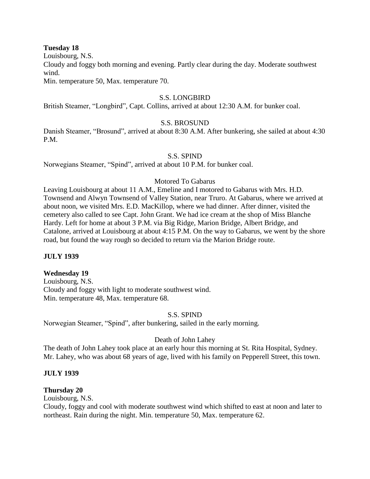#### **Tuesday 18**

Louisbourg, N.S.

Cloudy and foggy both morning and evening. Partly clear during the day. Moderate southwest wind.

Min. temperature 50, Max. temperature 70.

### S.S. LONGBIRD

British Steamer, "Longbird", Capt. Collins, arrived at about 12:30 A.M. for bunker coal.

### S.S. BROSUND

Danish Steamer, "Brosund", arrived at about 8:30 A.M. After bunkering, she sailed at about 4:30 P.M.

### S.S. SPIND

Norwegians Steamer, "Spind", arrived at about 10 P.M. for bunker coal.

### Motored To Gabarus

Leaving Louisbourg at about 11 A.M., Emeline and I motored to Gabarus with Mrs. H.D. Townsend and Alwyn Townsend of Valley Station, near Truro. At Gabarus, where we arrived at about noon, we visited Mrs. E.D. MacKillop, where we had dinner. After dinner, visited the cemetery also called to see Capt. John Grant. We had ice cream at the shop of Miss Blanche Hardy. Left for home at about 3 P.M. via Big Ridge, Marion Bridge, Albert Bridge, and Catalone, arrived at Louisbourg at about 4:15 P.M. On the way to Gabarus, we went by the shore road, but found the way rough so decided to return via the Marion Bridge route.

## **JULY 1939**

### **Wednesday 19**

Louisbourg, N.S. Cloudy and foggy with light to moderate southwest wind. Min. temperature 48, Max. temperature 68.

### S.S. SPIND

Norwegian Steamer, "Spind", after bunkering, sailed in the early morning.

### Death of John Lahey

The death of John Lahey took place at an early hour this morning at St. Rita Hospital, Sydney. Mr. Lahey, who was about 68 years of age, lived with his family on Pepperell Street, this town.

### **JULY 1939**

### **Thursday 20**

Louisbourg, N.S.

Cloudy, foggy and cool with moderate southwest wind which shifted to east at noon and later to northeast. Rain during the night. Min. temperature 50, Max. temperature 62.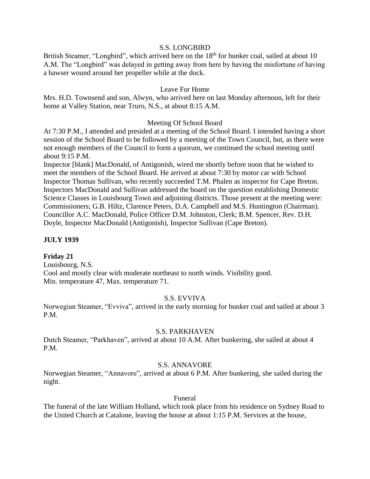#### S.S. LONGBIRD

British Steamer, "Longbird", which arrived here on the 18<sup>th</sup> for bunker coal, sailed at about 10 A.M. The "Longbird" was delayed in getting away from here by having the misfortune of having a hawser wound around her propeller while at the dock.

### Leave For Home

Mrs. H.D. Townsend and son, Alwyn, who arrived here on last Monday afternoon, left for their home at Valley Station, near Truro, N.S., at about 8:15 A.M.

### Meeting Of School Board

At 7:30 P.M., I attended and presided at a meeting of the School Board. I intended having a short session of the School Board to be followed by a meeting of the Town Council, but, as there were not enough members of the Council to form a quorum, we continued the school meeting until about 9:15 P.M.

Inspector [blank] MacDonald, of Antigonish, wired me shortly before noon that he wished to meet the members of the School Board. He arrived at about 7:30 by motor car with School Inspector Thomas Sullivan, who recently succeeded T.M. Phalen as inspector for Cape Breton. Inspectors MacDonald and Sullivan addressed the board on the question establishing Domestic Science Classes in Louisbourg Town and adjoining districts. Those present at the meeting were: Commissioners; G.B. Hiltz, Clarence Peters, D.A. Campbell and M.S. Huntington (Chairman). Councillor A.C. MacDonald, Police Officer D.M. Johnston, Clerk; B.M. Spencer, Rev. D.H. Doyle, Inspector MacDonald (Antigonish), Inspector Sullivan (Cape Breton).

### **JULY 1939**

### **Friday 21**

Louisbourg, N.S. Cool and mostly clear with moderate northeast to north winds. Visibility good. Min. temperature 47, Max. temperature 71.

### S.S. EVVIVA

Norwegian Steamer, "Evviva", arrived in the early morning for bunker coal and sailed at about 3 P.M.

#### S.S. PARKHAVEN

Dutch Steamer, "Parkhaven", arrived at about 10 A.M. After bunkering, she sailed at about 4 P.M.

### S.S. ANNAVORE

Norwegian Steamer, "Annavore", arrived at about 6 P.M. After bunkering, she sailed during the night.

#### Funeral

The funeral of the late William Holland, which took place from his residence on Sydney Road to the United Church at Catalone, leaving the house at about 1:15 P.M. Services at the house,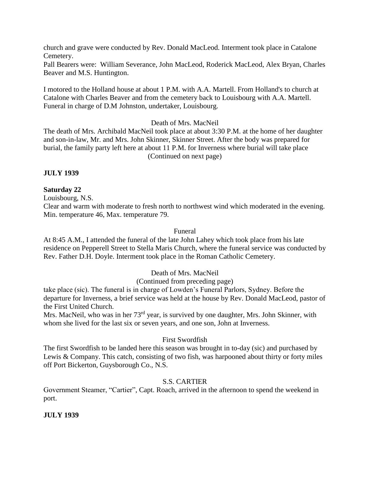church and grave were conducted by Rev. Donald MacLeod. Interment took place in Catalone Cemetery.

Pall Bearers were: William Severance, John MacLeod, Roderick MacLeod, Alex Bryan, Charles Beaver and M.S. Huntington.

I motored to the Holland house at about 1 P.M. with A.A. Martell. From Holland's to church at Catalone with Charles Beaver and from the cemetery back to Louisbourg with A.A. Martell. Funeral in charge of D.M Johnston, undertaker, Louisbourg.

Death of Mrs. MacNeil

The death of Mrs. Archibald MacNeil took place at about 3:30 P.M. at the home of her daughter and son-in-law, Mr. and Mrs. John Skinner, Skinner Street. After the body was prepared for burial, the family party left here at about 11 P.M. for Inverness where burial will take place (Continued on next page)

**JULY 1939**

### **Saturday 22**

Louisbourg, N.S.

Clear and warm with moderate to fresh north to northwest wind which moderated in the evening. Min. temperature 46, Max. temperature 79.

### Funeral

At 8:45 A.M., I attended the funeral of the late John Lahey which took place from his late residence on Pepperell Street to Stella Maris Church, where the funeral service was conducted by Rev. Father D.H. Doyle. Interment took place in the Roman Catholic Cemetery.

## Death of Mrs. MacNeil

## (Continued from preceding page)

take place (sic). The funeral is in charge of Lowden's Funeral Parlors, Sydney. Before the departure for Inverness, a brief service was held at the house by Rev. Donald MacLeod, pastor of the First United Church.

Mrs. MacNeil, who was in her 73<sup>rd</sup> year, is survived by one daughter, Mrs. John Skinner, with whom she lived for the last six or seven years, and one son, John at Inverness.

### First Swordfish

The first Swordfish to be landed here this season was brought in to-day (sic) and purchased by Lewis & Company. This catch, consisting of two fish, was harpooned about thirty or forty miles off Port Bickerton, Guysborough Co., N.S.

## S.S. CARTIER

Government Steamer, "Cartier", Capt. Roach, arrived in the afternoon to spend the weekend in port.

## **JULY 1939**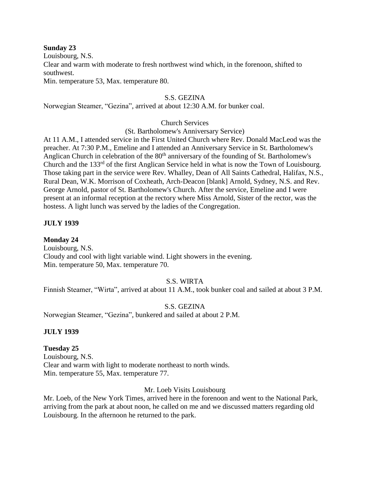#### **Sunday 23**

Louisbourg, N.S.

Clear and warm with moderate to fresh northwest wind which, in the forenoon, shifted to southwest.

Min. temperature 53, Max. temperature 80.

### S.S. GEZINA

Norwegian Steamer, "Gezina", arrived at about 12:30 A.M. for bunker coal.

### Church Services

(St. Bartholomew's Anniversary Service)

At 11 A.M., I attended service in the First United Church where Rev. Donald MacLeod was the preacher. At 7:30 P.M., Emeline and I attended an Anniversary Service in St. Bartholomew's Anglican Church in celebration of the 80<sup>th</sup> anniversary of the founding of St. Bartholomew's Church and the 133<sup>rd</sup> of the first Anglican Service held in what is now the Town of Louisbourg. Those taking part in the service were Rev. Whalley, Dean of All Saints Cathedral, Halifax, N.S., Rural Dean, W.K. Morrison of Coxheath, Arch-Deacon [blank] Arnold, Sydney, N.S. and Rev. George Arnold, pastor of St. Bartholomew's Church. After the service, Emeline and I were present at an informal reception at the rectory where Miss Arnold, Sister of the rector, was the hostess. A light lunch was served by the ladies of the Congregation.

### **JULY 1939**

**Monday 24** Louisbourg, N.S. Cloudy and cool with light variable wind. Light showers in the evening. Min. temperature 50, Max. temperature 70.

## S.S. WIRTA

Finnish Steamer, "Wirta", arrived at about 11 A.M., took bunker coal and sailed at about 3 P.M.

### S.S. GEZINA

Norwegian Steamer, "Gezina", bunkered and sailed at about 2 P.M.

### **JULY 1939**

### **Tuesday 25**

Louisbourg, N.S. Clear and warm with light to moderate northeast to north winds. Min. temperature 55, Max. temperature 77.

### Mr. Loeb Visits Louisbourg

Mr. Loeb, of the New York Times, arrived here in the forenoon and went to the National Park, arriving from the park at about noon, he called on me and we discussed matters regarding old Louisbourg. In the afternoon he returned to the park.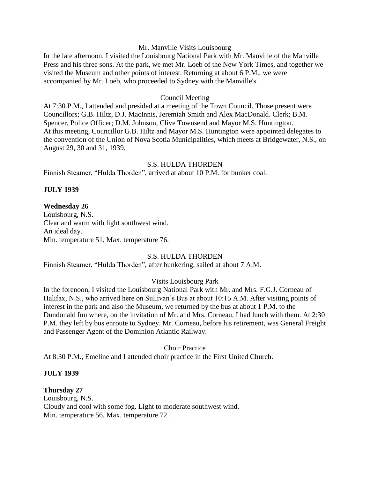#### Mr. Manville Visits Louisbourg

In the late afternoon, I visited the Louisbourg National Park with Mr. Manville of the Manville Press and his three sons. At the park, we met Mr. Loeb of the New York Times, and together we visited the Museum and other points of interest. Returning at about 6 P.M., we were accompanied by Mr. Loeb, who proceeded to Sydney with the Manville's.

#### Council Meeting

At 7:30 P.M., I attended and presided at a meeting of the Town Council. Those present were Councillors; G.B. Hiltz, D.J. MacInnis, Jeremiah Smith and Alex MacDonald. Clerk; B.M. Spencer, Police Officer; D.M. Johnson, Clive Townsend and Mayor M.S. Huntington. At this meeting, Councillor G.B. Hiltz and Mayor M.S. Huntington were appointed delegates to the convention of the Union of Nova Scotia Municipalities, which meets at Bridgewater, N.S., on August 29, 30 and 31, 1939.

#### S.S. HULDA THORDEN

Finnish Steamer, "Hulda Thorden", arrived at about 10 P.M. for bunker coal.

### **JULY 1939**

#### **Wednesday 26**

Louisbourg, N.S. Clear and warm with light southwest wind. An ideal day. Min. temperature 51, Max. temperature 76.

### S.S. HULDA THORDEN

Finnish Steamer, "Hulda Thorden", after bunkering, sailed at about 7 A.M.

### Visits Louisbourg Park

In the forenoon, I visited the Louisbourg National Park with Mr. and Mrs. F.G.J. Corneau of Halifax, N.S., who arrived here on Sullivan's Bus at about 10:15 A.M. After visiting points of interest in the park and also the Museum, we returned by the bus at about 1 P.M. to the Dundonald Inn where, on the invitation of Mr. and Mrs. Corneau, I had lunch with them. At 2:30 P.M. they left by bus enroute to Sydney. Mr. Corneau, before his retirement, was General Freight and Passenger Agent of the Dominion Atlantic Railway.

Choir Practice

At 8:30 P.M., Emeline and I attended choir practice in the First United Church.

#### **JULY 1939**

#### **Thursday 27**

Louisbourg, N.S. Cloudy and cool with some fog. Light to moderate southwest wind. Min. temperature 56, Max. temperature 72.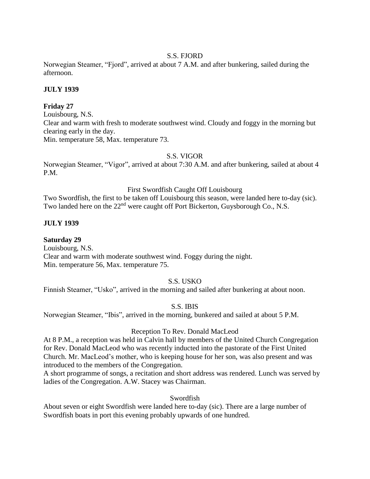### S.S. FJORD

Norwegian Steamer, "Fjord", arrived at about 7 A.M. and after bunkering, sailed during the afternoon.

### **JULY 1939**

### **Friday 27**

Louisbourg, N.S. Clear and warm with fresh to moderate southwest wind. Cloudy and foggy in the morning but clearing early in the day. Min. temperature 58, Max. temperature 73.

### S.S. VIGOR

Norwegian Steamer, "Vigor", arrived at about 7:30 A.M. and after bunkering, sailed at about 4 P.M.

#### First Swordfish Caught Off Louisbourg

Two Swordfish, the first to be taken off Louisbourg this season, were landed here to-day (sic). Two landed here on the 22<sup>nd</sup> were caught off Port Bickerton, Guysborough Co., N.S.

### **JULY 1939**

**Saturday 29** Louisbourg, N.S. Clear and warm with moderate southwest wind. Foggy during the night. Min. temperature 56, Max. temperature 75.

### S.S. USKO

Finnish Steamer, "Usko", arrived in the morning and sailed after bunkering at about noon.

### S.S. IBIS

Norwegian Steamer, "Ibis", arrived in the morning, bunkered and sailed at about 5 P.M.

#### Reception To Rev. Donald MacLeod

At 8 P.M., a reception was held in Calvin hall by members of the United Church Congregation for Rev. Donald MacLeod who was recently inducted into the pastorate of the First United Church. Mr. MacLeod's mother, who is keeping house for her son, was also present and was introduced to the members of the Congregation.

A short programme of songs, a recitation and short address was rendered. Lunch was served by ladies of the Congregation. A.W. Stacey was Chairman.

### Swordfish

About seven or eight Swordfish were landed here to-day (sic). There are a large number of Swordfish boats in port this evening probably upwards of one hundred.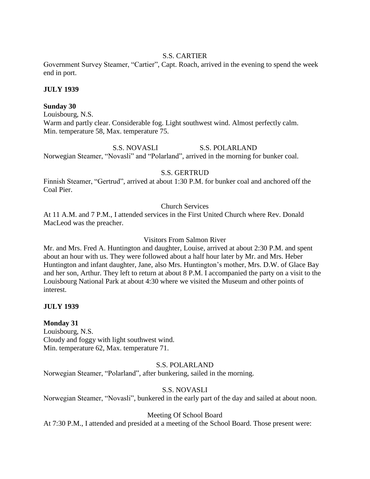### S.S. CARTIER

Government Survey Steamer, "Cartier", Capt. Roach, arrived in the evening to spend the week end in port.

### **JULY 1939**

### **Sunday 30**

Louisbourg, N.S. Warm and partly clear. Considerable fog. Light southwest wind. Almost perfectly calm. Min. temperature 58, Max. temperature 75.

S.S. NOVASLI S.S. POLARLAND Norwegian Steamer, "Novasli" and "Polarland", arrived in the morning for bunker coal.

### S.S. GERTRUD

Finnish Steamer, "Gertrud", arrived at about 1:30 P.M. for bunker coal and anchored off the Coal Pier.

### Church Services

At 11 A.M. and 7 P.M., I attended services in the First United Church where Rev. Donald MacLeod was the preacher.

### Visitors From Salmon River

Mr. and Mrs. Fred A. Huntington and daughter, Louise, arrived at about 2:30 P.M. and spent about an hour with us. They were followed about a half hour later by Mr. and Mrs. Heber Huntington and infant daughter, Jane, also Mrs. Huntington's mother, Mrs. D.W. of Glace Bay and her son, Arthur. They left to return at about 8 P.M. I accompanied the party on a visit to the Louisbourg National Park at about 4:30 where we visited the Museum and other points of interest.

## **JULY 1939**

## **Monday 31**

Louisbourg, N.S. Cloudy and foggy with light southwest wind. Min. temperature 62, Max. temperature 71.

### S.S. POLARLAND

Norwegian Steamer, "Polarland", after bunkering, sailed in the morning.

## S.S. NOVASLI

Norwegian Steamer, "Novasli", bunkered in the early part of the day and sailed at about noon.

### Meeting Of School Board

At 7:30 P.M., I attended and presided at a meeting of the School Board. Those present were: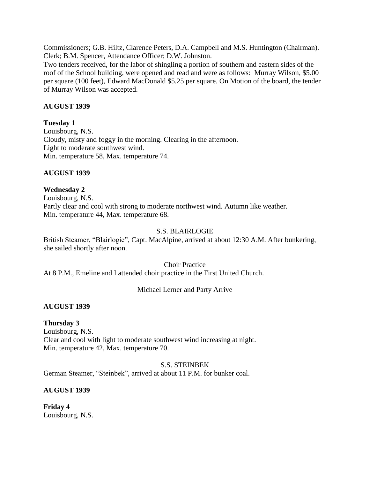Commissioners; G.B. Hiltz, Clarence Peters, D.A. Campbell and M.S. Huntington (Chairman). Clerk; B.M. Spencer, Attendance Officer; D.W. Johnston.

Two tenders received, for the labor of shingling a portion of southern and eastern sides of the roof of the School building, were opened and read and were as follows: Murray Wilson, \$5.00 per square (100 feet), Edward MacDonald \$5.25 per square. On Motion of the board, the tender of Murray Wilson was accepted.

### **AUGUST 1939**

### **Tuesday 1**

Louisbourg, N.S. Cloudy, misty and foggy in the morning. Clearing in the afternoon. Light to moderate southwest wind. Min. temperature 58, Max. temperature 74.

### **AUGUST 1939**

### **Wednesday 2**

Louisbourg, N.S. Partly clear and cool with strong to moderate northwest wind. Autumn like weather. Min. temperature 44, Max. temperature 68.

### S.S. BLAIRLOGIE

British Steamer, "Blairlogie", Capt. MacAlpine, arrived at about 12:30 A.M. After bunkering, she sailed shortly after noon.

Choir Practice

At 8 P.M., Emeline and I attended choir practice in the First United Church.

## Michael Lerner and Party Arrive

## **AUGUST 1939**

### **Thursday 3**

Louisbourg, N.S. Clear and cool with light to moderate southwest wind increasing at night. Min. temperature 42, Max. temperature 70.

S.S. STEINBEK

German Steamer, "Steinbek", arrived at about 11 P.M. for bunker coal.

## **AUGUST 1939**

**Friday 4** Louisbourg, N.S.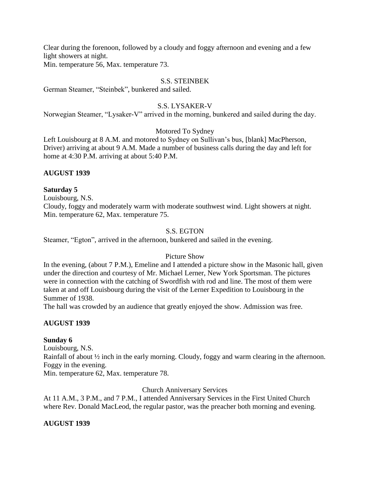Clear during the forenoon, followed by a cloudy and foggy afternoon and evening and a few light showers at night.

Min. temperature 56, Max. temperature 73.

#### S.S. STEINBEK

German Steamer, "Steinbek", bunkered and sailed.

### S.S. LYSAKER-V

Norwegian Steamer, "Lysaker-V" arrived in the morning, bunkered and sailed during the day.

### Motored To Sydney

Left Louisbourg at 8 A.M. and motored to Sydney on Sullivan's bus, [blank] MacPherson, Driver) arriving at about 9 A.M. Made a number of business calls during the day and left for home at 4:30 P.M. arriving at about 5:40 P.M.

#### **AUGUST 1939**

#### **Saturday 5**

Louisbourg, N.S. Cloudy, foggy and moderately warm with moderate southwest wind. Light showers at night. Min. temperature 62, Max. temperature 75.

#### S.S. EGTON

Steamer, "Egton", arrived in the afternoon, bunkered and sailed in the evening.

### Picture Show

In the evening, (about 7 P.M.), Emeline and I attended a picture show in the Masonic hall, given under the direction and courtesy of Mr. Michael Lerner, New York Sportsman. The pictures were in connection with the catching of Swordfish with rod and line. The most of them were taken at and off Louisbourg during the visit of the Lerner Expedition to Louisbourg in the Summer of 1938.

The hall was crowded by an audience that greatly enjoyed the show. Admission was free.

### **AUGUST 1939**

#### **Sunday 6**

Louisbourg, N.S.

Rainfall of about ½ inch in the early morning. Cloudy, foggy and warm clearing in the afternoon. Foggy in the evening.

Min. temperature 62, Max. temperature 78.

Church Anniversary Services

At 11 A.M., 3 P.M., and 7 P.M., I attended Anniversary Services in the First United Church where Rev. Donald MacLeod, the regular pastor, was the preacher both morning and evening.

### **AUGUST 1939**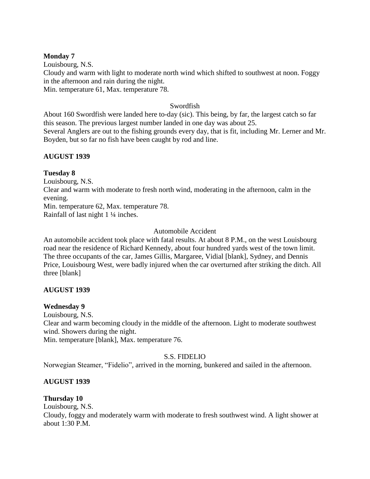### **Monday 7**

Louisbourg, N.S. Cloudy and warm with light to moderate north wind which shifted to southwest at noon. Foggy in the afternoon and rain during the night. Min. temperature 61, Max. temperature 78.

### Swordfish

About 160 Swordfish were landed here to-day (sic). This being, by far, the largest catch so far this season. The previous largest number landed in one day was about 25. Several Anglers are out to the fishing grounds every day, that is fit, including Mr. Lerner and Mr. Boyden, but so far no fish have been caught by rod and line.

## **AUGUST 1939**

### **Tuesday 8**

Louisbourg, N.S. Clear and warm with moderate to fresh north wind, moderating in the afternoon, calm in the evening. Min. temperature 62, Max. temperature 78. Rainfall of last night 1 ¼ inches.

### Automobile Accident

An automobile accident took place with fatal results. At about 8 P.M., on the west Louisbourg road near the residence of Richard Kennedy, about four hundred yards west of the town limit. The three occupants of the car, James Gillis, Margaree, Vidial [blank], Sydney, and Dennis Price, Louisbourg West, were badly injured when the car overturned after striking the ditch. All three [blank]

## **AUGUST 1939**

### **Wednesday 9**

Louisbourg, N.S.

Clear and warm becoming cloudy in the middle of the afternoon. Light to moderate southwest wind. Showers during the night.

Min. temperature [blank], Max. temperature 76.

## S.S. FIDELIO

Norwegian Steamer, "Fidelio", arrived in the morning, bunkered and sailed in the afternoon.

## **AUGUST 1939**

# **Thursday 10**

Louisbourg, N.S.

Cloudy, foggy and moderately warm with moderate to fresh southwest wind. A light shower at about 1:30 P.M.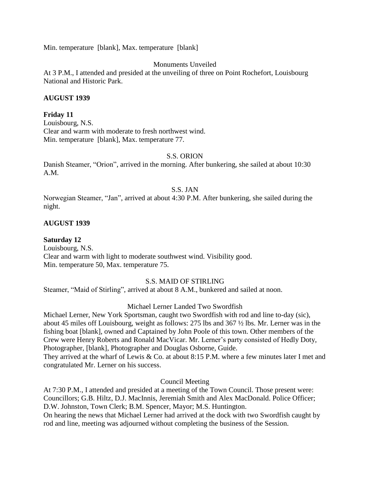Min. temperature [blank], Max. temperature [blank]

### Monuments Unveiled

At 3 P.M., I attended and presided at the unveiling of three on Point Rochefort, Louisbourg National and Historic Park.

### **AUGUST 1939**

### **Friday 11**

Louisbourg, N.S. Clear and warm with moderate to fresh northwest wind. Min. temperature [blank], Max. temperature 77.

#### S.S. ORION

Danish Steamer, "Orion", arrived in the morning. After bunkering, she sailed at about 10:30 A.M.

#### S.S. JAN

Norwegian Steamer, "Jan", arrived at about 4:30 P.M. After bunkering, she sailed during the night.

#### **AUGUST 1939**

## **Saturday 12**

Louisbourg, N.S. Clear and warm with light to moderate southwest wind. Visibility good. Min. temperature 50, Max. temperature 75.

### S.S. MAID OF STIRLING

Steamer, "Maid of Stirling", arrived at about 8 A.M., bunkered and sailed at noon.

#### Michael Lerner Landed Two Swordfish

Michael Lerner, New York Sportsman, caught two Swordfish with rod and line to-day (sic), about 45 miles off Louisbourg, weight as follows: 275 lbs and 367 ½ lbs. Mr. Lerner was in the fishing boat [blank], owned and Captained by John Poole of this town. Other members of the Crew were Henry Roberts and Ronald MacVicar. Mr. Lerner's party consisted of Hedly Doty, Photographer, [blank], Photographer and Douglas Osborne, Guide. They arrived at the wharf of Lewis & Co. at about 8:15 P.M. where a few minutes later I met and congratulated Mr. Lerner on his success.

Council Meeting

At 7:30 P.M., I attended and presided at a meeting of the Town Council. Those present were: Councillors; G.B. Hiltz, D.J. MacInnis, Jeremiah Smith and Alex MacDonald. Police Officer; D.W. Johnston, Town Clerk; B.M. Spencer, Mayor; M.S. Huntington. On hearing the news that Michael Lerner had arrived at the dock with two Swordfish caught by rod and line, meeting was adjourned without completing the business of the Session.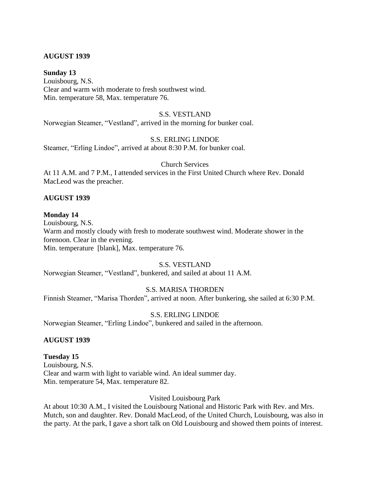#### **AUGUST 1939**

#### **Sunday 13**

Louisbourg, N.S. Clear and warm with moderate to fresh southwest wind. Min. temperature 58, Max. temperature 76.

### S.S. VESTLAND

Norwegian Steamer, "Vestland", arrived in the morning for bunker coal.

#### S.S. ERLING LINDOE

Steamer, "Erling Lindoe", arrived at about 8:30 P.M. for bunker coal.

#### Church Services

At 11 A.M. and 7 P.M., I attended services in the First United Church where Rev. Donald MacLeod was the preacher.

#### **AUGUST 1939**

#### **Monday 14**

Louisbourg, N.S. Warm and mostly cloudy with fresh to moderate southwest wind. Moderate shower in the forenoon. Clear in the evening. Min. temperature [blank], Max. temperature 76.

#### S.S. VESTLAND

Norwegian Steamer, "Vestland", bunkered, and sailed at about 11 A.M.

### S.S. MARISA THORDEN

Finnish Steamer, "Marisa Thorden", arrived at noon. After bunkering, she sailed at 6:30 P.M.

#### S.S. ERLING LINDOE

Norwegian Steamer, "Erling Lindoe", bunkered and sailed in the afternoon.

#### **AUGUST 1939**

#### **Tuesday 15**

Louisbourg, N.S. Clear and warm with light to variable wind. An ideal summer day. Min. temperature 54, Max. temperature 82.

#### Visited Louisbourg Park

At about 10:30 A.M., I visited the Louisbourg National and Historic Park with Rev. and Mrs. Mutch, son and daughter. Rev. Donald MacLeod, of the United Church, Louisbourg, was also in the party. At the park, I gave a short talk on Old Louisbourg and showed them points of interest.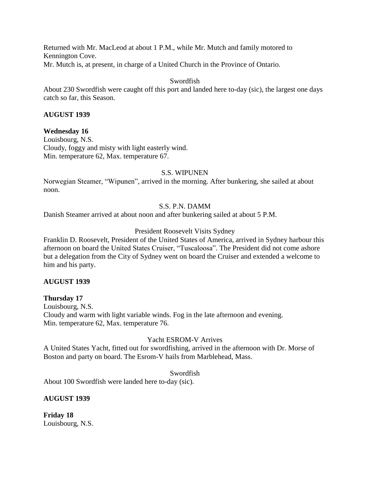Returned with Mr. MacLeod at about 1 P.M., while Mr. Mutch and family motored to Kennington Cove. Mr. Mutch is, at present, in charge of a United Church in the Province of Ontario.

### Swordfish

About 230 Swordfish were caught off this port and landed here to-day (sic), the largest one days catch so far, this Season.

### **AUGUST 1939**

### **Wednesday 16**

Louisbourg, N.S. Cloudy, foggy and misty with light easterly wind. Min. temperature 62, Max. temperature 67.

### S.S. WIPUNEN

Norwegian Steamer, "Wipunen", arrived in the morning. After bunkering, she sailed at about noon.

### S.S. P.N. DAMM

Danish Steamer arrived at about noon and after bunkering sailed at about 5 P.M.

### President Roosevelt Visits Sydney

Franklin D. Roosevelt, President of the United States of America, arrived in Sydney harbour this afternoon on board the United States Cruiser, "Tuscaloosa". The President did not come ashore but a delegation from the City of Sydney went on board the Cruiser and extended a welcome to him and his party.

### **AUGUST 1939**

### **Thursday 17**

Louisbourg, N.S. Cloudy and warm with light variable winds. Fog in the late afternoon and evening. Min. temperature 62, Max. temperature 76.

### Yacht ESROM-V Arrives

A United States Yacht, fitted out for swordfishing, arrived in the afternoon with Dr. Morse of Boston and party on board. The Esrom-V hails from Marblehead, Mass.

### Swordfish

About 100 Swordfish were landed here to-day (sic).

### **AUGUST 1939**

**Friday 18** Louisbourg, N.S.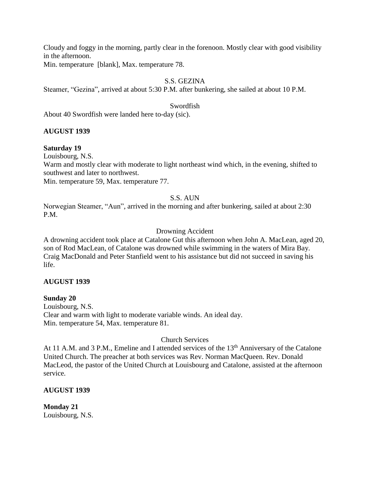Cloudy and foggy in the morning, partly clear in the forenoon. Mostly clear with good visibility in the afternoon.

Min. temperature [blank], Max. temperature 78.

## S.S. GEZINA

Steamer, "Gezina", arrived at about 5:30 P.M. after bunkering, she sailed at about 10 P.M.

### Swordfish

About 40 Swordfish were landed here to-day (sic).

### **AUGUST 1939**

### **Saturday 19**

Louisbourg, N.S.

Warm and mostly clear with moderate to light northeast wind which, in the evening, shifted to southwest and later to northwest.

Min. temperature 59, Max. temperature 77.

### S.S. AUN

Norwegian Steamer, "Aun", arrived in the morning and after bunkering, sailed at about 2:30 P.M.

### Drowning Accident

A drowning accident took place at Catalone Gut this afternoon when John A. MacLean, aged 20, son of Rod MacLean, of Catalone was drowned while swimming in the waters of Mira Bay. Craig MacDonald and Peter Stanfield went to his assistance but did not succeed in saving his life.

### **AUGUST 1939**

### **Sunday 20**

Louisbourg, N.S. Clear and warm with light to moderate variable winds. An ideal day. Min. temperature 54, Max. temperature 81.

## Church Services

At 11 A.M. and 3 P.M., Emeline and I attended services of the 13<sup>th</sup> Anniversary of the Catalone United Church. The preacher at both services was Rev. Norman MacQueen. Rev. Donald MacLeod, the pastor of the United Church at Louisbourg and Catalone, assisted at the afternoon service.

## **AUGUST 1939**

**Monday 21** Louisbourg, N.S.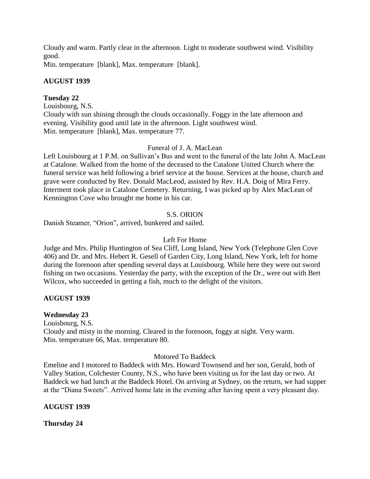Cloudy and warm. Partly clear in the afternoon. Light to moderate southwest wind. Visibility good.

Min. temperature [blank], Max. temperature [blank].

### **AUGUST 1939**

### **Tuesday 22**

Louisbourg, N.S. Cloudy with sun shining through the clouds occasionally. Foggy in the late afternoon and evening. Visibility good until late in the afternoon. Light southwest wind. Min. temperature [blank], Max. temperature 77.

### Funeral of J. A. MacLean

Left Louisbourg at 1 P.M. on Sullivan's Bus and went to the funeral of the late John A. MacLean at Catalone. Walked from the home of the deceased to the Catalone United Church where the funeral service was held following a brief service at the house. Services at the house, church and grave were conducted by Rev. Donald MacLeod, assisted by Rev. H.A. Doig of Mira Ferry. Interment took place in Catalone Cemetery. Returning, I was picked up by Alex MacLean of Kennington Cove who brought me home in his car.

## S.S. ORION

Danish Steamer, "Orion", arrived, bunkered and sailed.

### Left For Home

Judge and Mrs. Philip Huntington of Sea Cliff, Long Island, New York (Telephone Glen Cove 406) and Dr. and Mrs. Hebert R. Gesell of Garden City, Long Island, New York, left for home during the forenoon after spending several days at Louisbourg. While here they were out sword fishing on two occasions. Yesterday the party, with the exception of the Dr., were out with Bert Wilcox, who succeeded in getting a fish, much to the delight of the visitors.

## **AUGUST 1939**

## **Wednesday 23**

Louisbourg, N.S. Cloudy and misty in the morning. Cleared in the forenoon, foggy at night. Very warm. Min. temperature 66, Max. temperature 80.

### Motored To Baddeck

Emeline and I motored to Baddeck with Mrs. Howard Townsend and her son, Gerald, both of Valley Station, Colchester County, N.S., who have been visiting us for the last day or two. At Baddeck we had lunch at the Baddeck Hotel. On arriving at Sydney, on the return, we had supper at the "Diana Sweets". Arrived home late in the evening after having spent a very pleasant day.

### **AUGUST 1939**

**Thursday 24**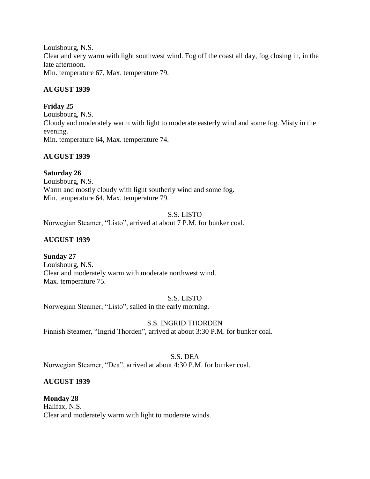Louisbourg, N.S. Clear and very warm with light southwest wind. Fog off the coast all day, fog closing in, in the late afternoon. Min. temperature 67, Max. temperature 79.

## **AUGUST 1939**

## **Friday 25**

Louisbourg, N.S. Cloudy and moderately warm with light to moderate easterly wind and some fog. Misty in the evening. Min. temperature 64, Max. temperature 74.

## **AUGUST 1939**

## **Saturday 26**

Louisbourg, N.S. Warm and mostly cloudy with light southerly wind and some fog. Min. temperature 64, Max. temperature 79.

## S.S. LISTO

Norwegian Steamer, "Listo", arrived at about 7 P.M. for bunker coal.

## **AUGUST 1939**

## **Sunday 27**

Louisbourg, N.S. Clear and moderately warm with moderate northwest wind. Max. temperature 75.

## S.S. LISTO

Norwegian Steamer, "Listo", sailed in the early morning.

## S.S. INGRID THORDEN

Finnish Steamer, "Ingrid Thorden", arrived at about 3:30 P.M. for bunker coal.

## S.S. DEA

Norwegian Steamer, "Dea", arrived at about 4:30 P.M. for bunker coal.

## **AUGUST 1939**

#### **Monday 28** Halifax, N.S.

Clear and moderately warm with light to moderate winds.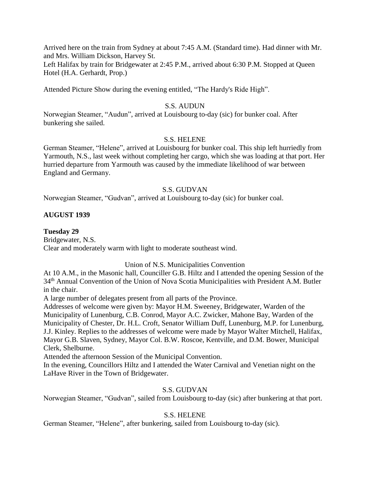Arrived here on the train from Sydney at about 7:45 A.M. (Standard time). Had dinner with Mr. and Mrs. William Dickson, Harvey St.

Left Halifax by train for Bridgewater at 2:45 P.M., arrived about 6:30 P.M. Stopped at Queen Hotel (H.A. Gerhardt, Prop.)

Attended Picture Show during the evening entitled, "The Hardy's Ride High".

### S.S. AUDUN

Norwegian Steamer, "Audun", arrived at Louisbourg to-day (sic) for bunker coal. After bunkering she sailed.

### S.S. HELENE

German Steamer, "Helene", arrived at Louisbourg for bunker coal. This ship left hurriedly from Yarmouth, N.S., last week without completing her cargo, which she was loading at that port. Her hurried departure from Yarmouth was caused by the immediate likelihood of war between England and Germany.

### S.S. GUDVAN

Norwegian Steamer, "Gudvan", arrived at Louisbourg to-day (sic) for bunker coal.

### **AUGUST 1939**

### **Tuesday 29**

Bridgewater, N.S. Clear and moderately warm with light to moderate southeast wind.

### Union of N.S. Municipalities Convention

At 10 A.M., in the Masonic hall, Counciller G.B. Hiltz and I attended the opening Session of the 34th Annual Convention of the Union of Nova Scotia Municipalities with President A.M. Butler in the chair.

A large number of delegates present from all parts of the Province.

Addresses of welcome were given by: Mayor H.M. Sweeney, Bridgewater, Warden of the Municipality of Lunenburg, C.B. Conrod, Mayor A.C. Zwicker, Mahone Bay, Warden of the Municipality of Chester, Dr. H.L. Croft, Senator William Duff, Lunenburg, M.P. for Lunenburg, J.J. Kinley. Replies to the addresses of welcome were made by Mayor Walter Mitchell, Halifax, Mayor G.B. Slaven, Sydney, Mayor Col. B.W. Roscoe, Kentville, and D.M. Bower, Municipal Clerk, Shelburne.

Attended the afternoon Session of the Municipal Convention.

In the evening, Councillors Hiltz and I attended the Water Carnival and Venetian night on the LaHave River in the Town of Bridgewater.

### S.S. GUDVAN

Norwegian Steamer, "Gudvan", sailed from Louisbourg to-day (sic) after bunkering at that port.

### S.S. HELENE

German Steamer, "Helene", after bunkering, sailed from Louisbourg to-day (sic).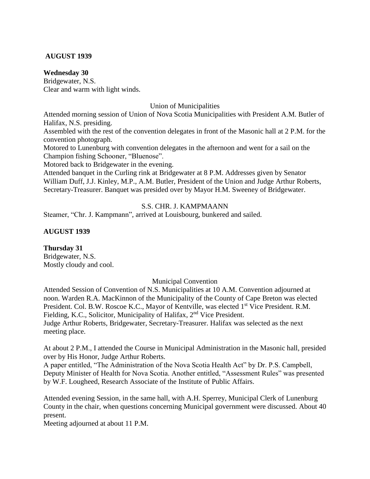### **AUGUST 1939**

#### **Wednesday 30**

Bridgewater, N.S. Clear and warm with light winds.

Union of Municipalities

Attended morning session of Union of Nova Scotia Municipalities with President A.M. Butler of Halifax, N.S. presiding.

Assembled with the rest of the convention delegates in front of the Masonic hall at 2 P.M. for the convention photograph.

Motored to Lunenburg with convention delegates in the afternoon and went for a sail on the Champion fishing Schooner, "Bluenose".

Motored back to Bridgewater in the evening.

Attended banquet in the Curling rink at Bridgewater at 8 P.M. Addresses given by Senator William Duff, J.J. Kinley, M.P., A.M. Butler, President of the Union and Judge Arthur Roberts, Secretary-Treasurer. Banquet was presided over by Mayor H.M. Sweeney of Bridgewater.

## S.S. CHR. J. KAMPMAANN

Steamer, "Chr. J. Kampmann", arrived at Louisbourg, bunkered and sailed.

### **AUGUST 1939**

**Thursday 31** Bridgewater, N.S. Mostly cloudy and cool.

Municipal Convention

Attended Session of Convention of N.S. Municipalities at 10 A.M. Convention adjourned at noon. Warden R.A. MacKinnon of the Municipality of the County of Cape Breton was elected President. Col. B.W. Roscoe K.C., Mayor of Kentville, was elected 1<sup>st</sup> Vice President. R.M. Fielding, K.C., Solicitor, Municipality of Halifax, 2<sup>nd</sup> Vice President. Judge Arthur Roberts, Bridgewater, Secretary-Treasurer. Halifax was selected as the next meeting place.

At about 2 P.M., I attended the Course in Municipal Administration in the Masonic hall, presided over by His Honor, Judge Arthur Roberts.

A paper entitled, "The Administration of the Nova Scotia Health Act" by Dr. P.S. Campbell, Deputy Minister of Health for Nova Scotia. Another entitled, "Assessment Rules" was presented by W.F. Lougheed, Research Associate of the Institute of Public Affairs.

Attended evening Session, in the same hall, with A.H. Sperrey, Municipal Clerk of Lunenburg County in the chair, when questions concerning Municipal government were discussed. About 40 present.

Meeting adjourned at about 11 P.M.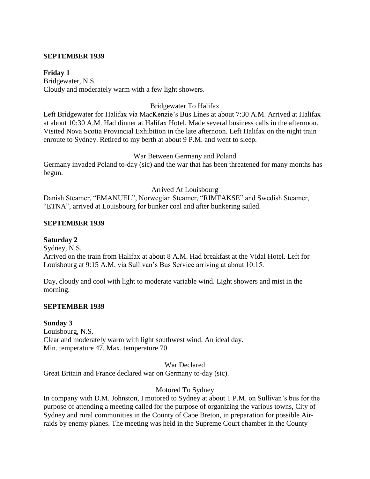#### **SEPTEMBER 1939**

**Friday 1** Bridgewater, N.S. Cloudy and moderately warm with a few light showers.

### Bridgewater To Halifax

Left Bridgewater for Halifax via MacKenzie's Bus Lines at about 7:30 A.M. Arrived at Halifax at about 10:30 A.M. Had dinner at Halifax Hotel. Made several business calls in the afternoon. Visited Nova Scotia Provincial Exhibition in the late afternoon. Left Halifax on the night train enroute to Sydney. Retired to my berth at about 9 P.M. and went to sleep.

### War Between Germany and Poland

Germany invaded Poland to-day (sic) and the war that has been threatened for many months has begun.

### Arrived At Louisbourg

Danish Steamer, "EMANUEL", Norwegian Steamer, "RIMFAKSE" and Swedish Steamer, "ETNA", arrived at Louisbourg for bunker coal and after bunkering sailed.

### **SEPTEMBER 1939**

### **Saturday 2**

Sydney, N.S. Arrived on the train from Halifax at about 8 A.M. Had breakfast at the Vidal Hotel. Left for Louisbourg at 9:15 A.M. via Sullivan's Bus Service arriving at about 10:15.

Day, cloudy and cool with light to moderate variable wind. Light showers and mist in the morning.

### **SEPTEMBER 1939**

### **Sunday 3**

Louisbourg, N.S. Clear and moderately warm with light southwest wind. An ideal day. Min. temperature 47, Max. temperature 70.

War Declared

Great Britain and France declared war on Germany to-day (sic).

### Motored To Sydney

In company with D.M. Johnston, I motored to Sydney at about 1 P.M. on Sullivan's bus for the purpose of attending a meeting called for the purpose of organizing the various towns, City of Sydney and rural communities in the County of Cape Breton, in preparation for possible Airraids by enemy planes. The meeting was held in the Supreme Court chamber in the County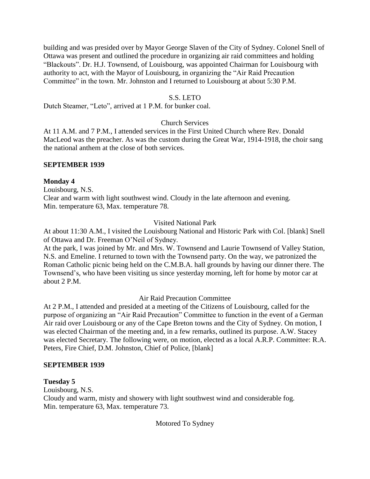building and was presided over by Mayor George Slaven of the City of Sydney. Colonel Snell of Ottawa was present and outlined the procedure in organizing air raid committees and holding "Blackouts". Dr. H.J. Townsend, of Louisbourg, was appointed Chairman for Louisbourg with authority to act, with the Mayor of Louisbourg, in organizing the "Air Raid Precaution Committee" in the town. Mr. Johnston and I returned to Louisbourg at about 5:30 P.M.

## S.S. LETO

Dutch Steamer, "Leto", arrived at 1 P.M. for bunker coal.

# Church Services

At 11 A.M. and 7 P.M., I attended services in the First United Church where Rev. Donald MacLeod was the preacher. As was the custom during the Great War, 1914-1918, the choir sang the national anthem at the close of both services.

## **SEPTEMBER 1939**

## **Monday 4**

Louisbourg, N.S. Clear and warm with light southwest wind. Cloudy in the late afternoon and evening. Min. temperature 63, Max. temperature 78.

# Visited National Park

At about 11:30 A.M., I visited the Louisbourg National and Historic Park with Col. [blank] Snell of Ottawa and Dr. Freeman O'Neil of Sydney.

At the park, I was joined by Mr. and Mrs. W. Townsend and Laurie Townsend of Valley Station, N.S. and Emeline. I returned to town with the Townsend party. On the way, we patronized the Roman Catholic picnic being held on the C.M.B.A. hall grounds by having our dinner there. The Townsend's, who have been visiting us since yesterday morning, left for home by motor car at about 2 P.M.

# Air Raid Precaution Committee

At 2 P.M., I attended and presided at a meeting of the Citizens of Louisbourg, called for the purpose of organizing an "Air Raid Precaution" Committee to function in the event of a German Air raid over Louisbourg or any of the Cape Breton towns and the City of Sydney. On motion, I was elected Chairman of the meeting and, in a few remarks, outlined its purpose. A.W. Stacey was elected Secretary. The following were, on motion, elected as a local A.R.P. Committee: R.A. Peters, Fire Chief, D.M. Johnston, Chief of Police, [blank]

## **SEPTEMBER 1939**

## **Tuesday 5**

Louisbourg, N.S.

Cloudy and warm, misty and showery with light southwest wind and considerable fog. Min. temperature 63, Max. temperature 73.

# Motored To Sydney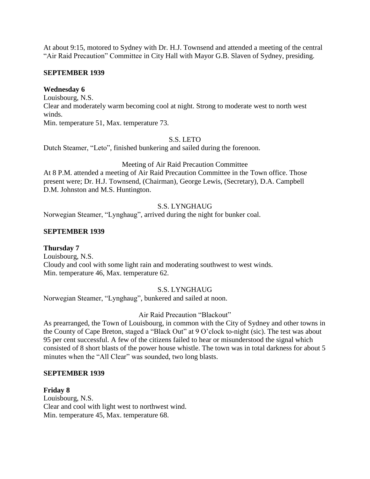At about 9:15, motored to Sydney with Dr. H.J. Townsend and attended a meeting of the central "Air Raid Precaution" Committee in City Hall with Mayor G.B. Slaven of Sydney, presiding.

## **SEPTEMBER 1939**

## **Wednesday 6**

Louisbourg, N.S.

Clear and moderately warm becoming cool at night. Strong to moderate west to north west winds.

Min. temperature 51, Max. temperature 73.

## S.S. LETO

Dutch Steamer, "Leto", finished bunkering and sailed during the forenoon.

# Meeting of Air Raid Precaution Committee

At 8 P.M. attended a meeting of Air Raid Precaution Committee in the Town office. Those present were; Dr. H.J. Townsend, (Chairman), George Lewis, (Secretary), D.A. Campbell D.M. Johnston and M.S. Huntington.

# S.S. LYNGHAUG

Norwegian Steamer, "Lynghaug", arrived during the night for bunker coal.

# **SEPTEMBER 1939**

# **Thursday 7**

Louisbourg, N.S. Cloudy and cool with some light rain and moderating southwest to west winds. Min. temperature 46, Max. temperature 62.

# S.S. LYNGHAUG

Norwegian Steamer, "Lynghaug", bunkered and sailed at noon.

# Air Raid Precaution "Blackout"

As prearranged, the Town of Louisbourg, in common with the City of Sydney and other towns in the County of Cape Breton, staged a "Black Out" at 9 O'clock to-night (sic). The test was about 95 per cent successful. A few of the citizens failed to hear or misunderstood the signal which consisted of 8 short blasts of the power house whistle. The town was in total darkness for about 5 minutes when the "All Clear" was sounded, two long blasts.

## **SEPTEMBER 1939**

**Friday 8** Louisbourg, N.S. Clear and cool with light west to northwest wind. Min. temperature 45, Max. temperature 68.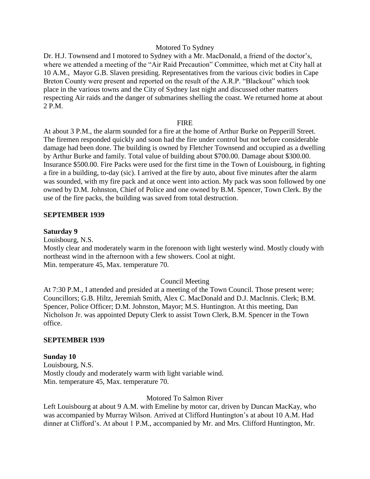#### Motored To Sydney

Dr. H.J. Townsend and I motored to Sydney with a Mr. MacDonald, a friend of the doctor's, where we attended a meeting of the "Air Raid Precaution" Committee, which met at City hall at 10 A.M., Mayor G.B. Slaven presiding. Representatives from the various civic bodies in Cape Breton County were present and reported on the result of the A.R.P. "Blackout" which took place in the various towns and the City of Sydney last night and discussed other matters respecting Air raids and the danger of submarines shelling the coast. We returned home at about 2 P.M.

#### **FIRE**

At about 3 P.M., the alarm sounded for a fire at the home of Arthur Burke on Pepperill Street. The firemen responded quickly and soon had the fire under control but not before considerable damage had been done. The building is owned by Fletcher Townsend and occupied as a dwelling by Arthur Burke and family. Total value of building about \$700.00. Damage about \$300.00. Insurance \$500.00. Fire Packs were used for the first time in the Town of Louisbourg, in fighting a fire in a building, to-day (sic). I arrived at the fire by auto, about five minutes after the alarm was sounded, with my fire pack and at once went into action. My pack was soon followed by one owned by D.M. Johnston, Chief of Police and one owned by B.M. Spencer, Town Clerk. By the use of the fire packs, the building was saved from total destruction.

## **SEPTEMBER 1939**

#### **Saturday 9**

Louisbourg, N.S.

Mostly clear and moderately warm in the forenoon with light westerly wind. Mostly cloudy with northeast wind in the afternoon with a few showers. Cool at night. Min. temperature 45, Max. temperature 70.

## Council Meeting

At 7:30 P.M., I attended and presided at a meeting of the Town Council. Those present were; Councillors; G.B. Hiltz, Jeremiah Smith, Alex C. MacDonald and D.J. MacInnis. Clerk; B.M. Spencer, Police Officer; D.M. Johnston, Mayor; M.S. Huntington. At this meeting, Dan Nicholson Jr. was appointed Deputy Clerk to assist Town Clerk, B.M. Spencer in the Town office.

#### **SEPTEMBER 1939**

#### **Sunday 10**

Louisbourg, N.S. Mostly cloudy and moderately warm with light variable wind. Min. temperature 45, Max. temperature 70.

#### Motored To Salmon River

Left Louisbourg at about 9 A.M. with Emeline by motor car, driven by Duncan MacKay, who was accompanied by Murray Wilson. Arrived at Clifford Huntington's at about 10 A.M. Had dinner at Clifford's. At about 1 P.M., accompanied by Mr. and Mrs. Clifford Huntington, Mr.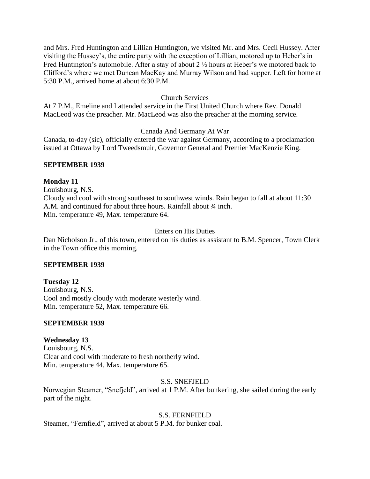and Mrs. Fred Huntington and Lillian Huntington, we visited Mr. and Mrs. Cecil Hussey. After visiting the Hussey's, the entire party with the exception of Lillian, motored up to Heber's in Fred Huntington's automobile. After a stay of about 2 ½ hours at Heber's we motored back to Clifford's where we met Duncan MacKay and Murray Wilson and had supper. Left for home at 5:30 P.M., arrived home at about 6:30 P.M.

## Church Services

At 7 P.M., Emeline and I attended service in the First United Church where Rev. Donald MacLeod was the preacher. Mr. MacLeod was also the preacher at the morning service.

## Canada And Germany At War

Canada, to-day (sic), officially entered the war against Germany, according to a proclamation issued at Ottawa by Lord Tweedsmuir, Governor General and Premier MacKenzie King.

## **SEPTEMBER 1939**

## **Monday 11**

Louisbourg, N.S. Cloudy and cool with strong southeast to southwest winds. Rain began to fall at about 11:30 A.M. and continued for about three hours. Rainfall about  $\frac{3}{4}$  inch. Min. temperature 49, Max. temperature 64.

## Enters on His Duties

Dan Nicholson Jr., of this town, entered on his duties as assistant to B.M. Spencer, Town Clerk in the Town office this morning.

## **SEPTEMBER 1939**

**Tuesday 12** Louisbourg, N.S. Cool and mostly cloudy with moderate westerly wind. Min. temperature 52, Max. temperature 66.

# **SEPTEMBER 1939**

# **Wednesday 13**

Louisbourg, N.S. Clear and cool with moderate to fresh northerly wind. Min. temperature 44, Max. temperature 65.

## S.S. SNEFJELD

Norwegian Steamer, "Snefjeld", arrived at 1 P.M. After bunkering, she sailed during the early part of the night.

## S.S. FERNFIELD

Steamer, "Fernfield", arrived at about 5 P.M. for bunker coal.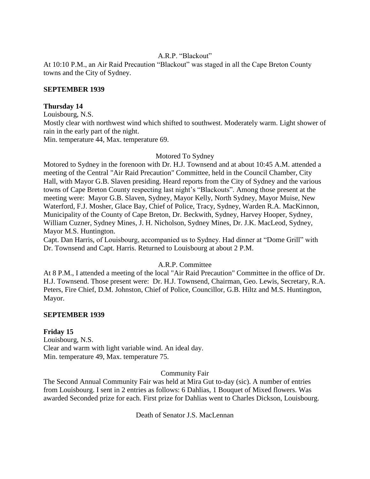## A.R.P. "Blackout"

At 10:10 P.M., an Air Raid Precaution "Blackout" was staged in all the Cape Breton County towns and the City of Sydney.

## **SEPTEMBER 1939**

## **Thursday 14**

Louisbourg, N.S. Mostly clear with northwest wind which shifted to southwest. Moderately warm. Light shower of rain in the early part of the night. Min. temperature 44, Max. temperature 69.

## Motored To Sydney

Motored to Sydney in the forenoon with Dr. H.J. Townsend and at about 10:45 A.M. attended a meeting of the Central "Air Raid Precaution" Committee, held in the Council Chamber, City Hall, with Mayor G.B. Slaven presiding. Heard reports from the City of Sydney and the various towns of Cape Breton County respecting last night's "Blackouts". Among those present at the meeting were: Mayor G.B. Slaven, Sydney, Mayor Kelly, North Sydney, Mayor Muise, New Waterford, F.J. Mosher, Glace Bay, Chief of Police, Tracy, Sydney, Warden R.A. MacKinnon, Municipality of the County of Cape Breton, Dr. Beckwith, Sydney, Harvey Hooper, Sydney, William Cuzner, Sydney Mines, J. H. Nicholson, Sydney Mines, Dr. J.K. MacLeod, Sydney, Mayor M.S. Huntington.

Capt. Dan Harris, of Louisbourg, accompanied us to Sydney. Had dinner at "Dome Grill" with Dr. Townsend and Capt. Harris. Returned to Louisbourg at about 2 P.M.

## A.R.P. Committee

At 8 P.M., I attended a meeting of the local "Air Raid Precaution" Committee in the office of Dr. H.J. Townsend. Those present were: Dr. H.J. Townsend, Chairman, Geo. Lewis, Secretary, R.A. Peters, Fire Chief, D.M. Johnston, Chief of Police, Councillor, G.B. Hiltz and M.S. Huntington, Mayor.

## **SEPTEMBER 1939**

## **Friday 15**

Louisbourg, N.S. Clear and warm with light variable wind. An ideal day. Min. temperature 49, Max. temperature 75.

## Community Fair

The Second Annual Community Fair was held at Mira Gut to-day (sic). A number of entries from Louisbourg. I sent in 2 entries as follows: 6 Dahlias, 1 Bouquet of Mixed flowers. Was awarded Seconded prize for each. First prize for Dahlias went to Charles Dickson, Louisbourg.

Death of Senator J.S. MacLennan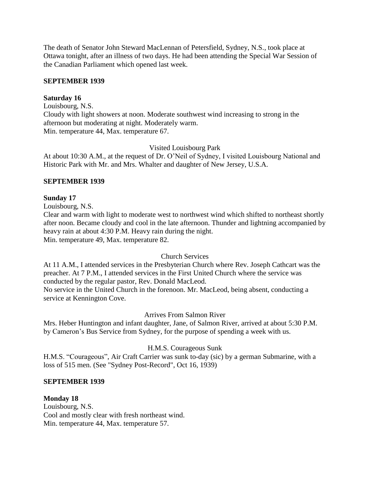The death of Senator John Steward MacLennan of Petersfield, Sydney, N.S., took place at Ottawa tonight, after an illness of two days. He had been attending the Special War Session of the Canadian Parliament which opened last week.

## **SEPTEMBER 1939**

#### **Saturday 16**

Louisbourg, N.S. Cloudy with light showers at noon. Moderate southwest wind increasing to strong in the afternoon but moderating at night. Moderately warm. Min. temperature 44, Max. temperature 67.

#### Visited Louisbourg Park

At about 10:30 A.M., at the request of Dr. O'Neil of Sydney, I visited Louisbourg National and Historic Park with Mr. and Mrs. Whalter and daughter of New Jersey, U.S.A.

#### **SEPTEMBER 1939**

#### **Sunday 17**

Louisbourg, N.S.

Clear and warm with light to moderate west to northwest wind which shifted to northeast shortly after noon. Became cloudy and cool in the late afternoon. Thunder and lightning accompanied by heavy rain at about 4:30 P.M. Heavy rain during the night. Min. temperature 49, Max. temperature 82.

## Church Services

At 11 A.M., I attended services in the Presbyterian Church where Rev. Joseph Cathcart was the preacher. At 7 P.M., I attended services in the First United Church where the service was conducted by the regular pastor, Rev. Donald MacLeod.

No service in the United Church in the forenoon. Mr. MacLeod, being absent, conducting a service at Kennington Cove.

## Arrives From Salmon River

Mrs. Heber Huntington and infant daughter, Jane, of Salmon River, arrived at about 5:30 P.M. by Cameron's Bus Service from Sydney, for the purpose of spending a week with us.

#### H.M.S. Courageous Sunk

H.M.S. "Courageous", Air Craft Carrier was sunk to-day (sic) by a german Submarine, with a loss of 515 men. (See "Sydney Post-Record", Oct 16, 1939)

#### **SEPTEMBER 1939**

#### **Monday 18**

Louisbourg, N.S. Cool and mostly clear with fresh northeast wind. Min. temperature 44, Max. temperature 57.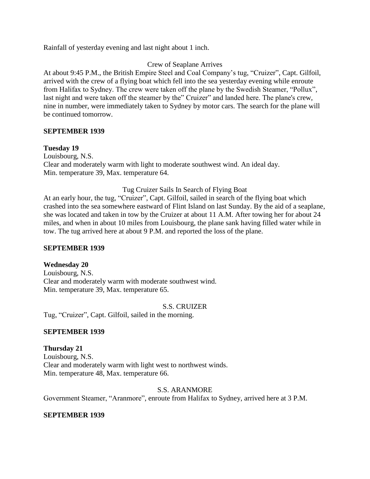Rainfall of yesterday evening and last night about 1 inch.

## Crew of Seaplane Arrives

At about 9:45 P.M., the British Empire Steel and Coal Company's tug, "Cruizer", Capt. Gilfoil, arrived with the crew of a flying boat which fell into the sea yesterday evening while enroute from Halifax to Sydney. The crew were taken off the plane by the Swedish Steamer, "Pollux", last night and were taken off the steamer by the" Cruizer" and landed here. The plane's crew, nine in number, were immediately taken to Sydney by motor cars. The search for the plane will be continued tomorrow.

## **SEPTEMBER 1939**

#### **Tuesday 19**

Louisbourg, N.S. Clear and moderately warm with light to moderate southwest wind. An ideal day. Min. temperature 39, Max. temperature 64.

#### Tug Cruizer Sails In Search of Flying Boat

At an early hour, the tug, "Cruizer", Capt. Gilfoil, sailed in search of the flying boat which crashed into the sea somewhere eastward of Flint Island on last Sunday. By the aid of a seaplane, she was located and taken in tow by the Cruizer at about 11 A.M. After towing her for about 24 miles, and when in about 10 miles from Louisbourg, the plane sank having filled water while in tow. The tug arrived here at about 9 P.M. and reported the loss of the plane.

## **SEPTEMBER 1939**

## **Wednesday 20**

Louisbourg, N.S. Clear and moderately warm with moderate southwest wind. Min. temperature 39, Max. temperature 65.

#### S.S. CRUIZER

Tug, "Cruizer", Capt. Gilfoil, sailed in the morning.

## **SEPTEMBER 1939**

**Thursday 21** Louisbourg, N.S. Clear and moderately warm with light west to northwest winds. Min. temperature 48, Max. temperature 66.

## S.S. ARANMORE

Government Steamer, "Aranmore", enroute from Halifax to Sydney, arrived here at 3 P.M.

## **SEPTEMBER 1939**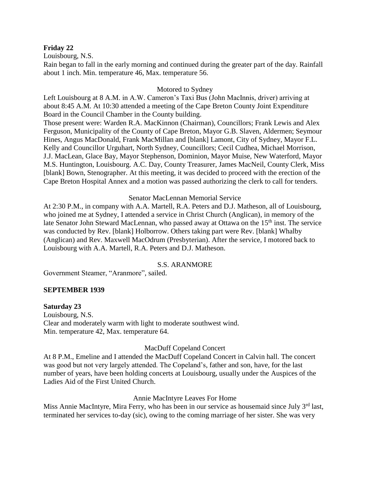#### **Friday 22**

Louisbourg, N.S.

Rain began to fall in the early morning and continued during the greater part of the day. Rainfall about 1 inch. Min. temperature 46, Max. temperature 56.

## Motored to Sydney

Left Louisbourg at 8 A.M. in A.W. Cameron's Taxi Bus (John MacInnis, driver) arriving at about 8:45 A.M. At 10:30 attended a meeting of the Cape Breton County Joint Expenditure Board in the Council Chamber in the County building.

Those present were: Warden R.A. MacKinnon (Chairman), Councillors; Frank Lewis and Alex Ferguson, Municipality of the County of Cape Breton, Mayor G.B. Slaven, Aldermen; Seymour Hines, Angus MacDonald, Frank MacMillan and [blank] Lamont, City of Sydney, Mayor F.L. Kelly and Councillor Urguhart, North Sydney, Councillors; Cecil Cudhea, Michael Morrison, J.J. MacLean, Glace Bay, Mayor Stephenson, Dominion, Mayor Muise, New Waterford, Mayor M.S. Huntington, Louisbourg. A.C. Day, County Treasurer, James MacNeil, County Clerk, Miss [blank] Bown, Stenographer. At this meeting, it was decided to proceed with the erection of the Cape Breton Hospital Annex and a motion was passed authorizing the clerk to call for tenders.

#### Senator MacLennan Memorial Service

At 2:30 P.M., in company with A.A. Martell, R.A. Peters and D.J. Matheson, all of Louisbourg, who joined me at Sydney, I attended a service in Christ Church (Anglican), in memory of the late Senator John Steward MacLennan, who passed away at Ottawa on the 15<sup>th</sup> inst. The service was conducted by Rev. [blank] Holborrow. Others taking part were Rev. [blank] Whalby (Anglican) and Rev. Maxwell MacOdrum (Presbyterian). After the service, I motored back to Louisbourg with A.A. Martell, R.A. Peters and D.J. Matheson.

#### S.S. ARANMORE

Government Steamer, "Aranmore", sailed.

## **SEPTEMBER 1939**

#### **Saturday 23**

Louisbourg, N.S. Clear and moderately warm with light to moderate southwest wind. Min. temperature 42, Max. temperature 64.

#### MacDuff Copeland Concert

At 8 P.M., Emeline and I attended the MacDuff Copeland Concert in Calvin hall. The concert was good but not very largely attended. The Copeland's, father and son, have, for the last number of years, have been holding concerts at Louisbourg, usually under the Auspices of the Ladies Aid of the First United Church.

#### Annie MacIntyre Leaves For Home

Miss Annie MacIntyre, Mira Ferry, who has been in our service as housemaid since July  $3<sup>rd</sup>$  last, terminated her services to-day (sic), owing to the coming marriage of her sister. She was very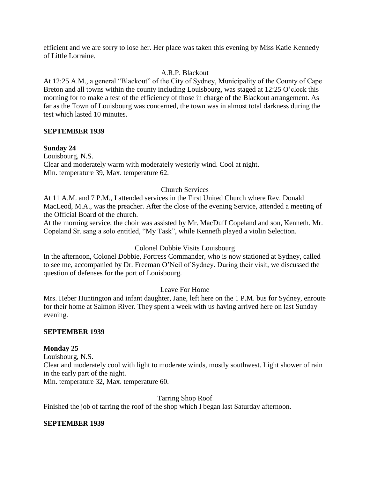efficient and we are sorry to lose her. Her place was taken this evening by Miss Katie Kennedy of Little Lorraine.

# A.R.P. Blackout

At 12:25 A.M., a general "Blackout" of the City of Sydney, Municipality of the County of Cape Breton and all towns within the county including Louisbourg, was staged at 12:25 O'clock this morning for to make a test of the efficiency of those in charge of the Blackout arrangement. As far as the Town of Louisbourg was concerned, the town was in almost total darkness during the test which lasted 10 minutes.

## **SEPTEMBER 1939**

## **Sunday 24**

Louisbourg, N.S. Clear and moderately warm with moderately westerly wind. Cool at night. Min. temperature 39, Max. temperature 62.

## Church Services

At 11 A.M. and 7 P.M., I attended services in the First United Church where Rev. Donald MacLeod, M.A., was the preacher. After the close of the evening Service, attended a meeting of the Official Board of the church.

At the morning service, the choir was assisted by Mr. MacDuff Copeland and son, Kenneth. Mr. Copeland Sr. sang a solo entitled, "My Task", while Kenneth played a violin Selection.

## Colonel Dobbie Visits Louisbourg

In the afternoon, Colonel Dobbie, Fortress Commander, who is now stationed at Sydney, called to see me, accompanied by Dr. Freeman O'Neil of Sydney. During their visit, we discussed the question of defenses for the port of Louisbourg.

# Leave For Home

Mrs. Heber Huntington and infant daughter, Jane, left here on the 1 P.M. bus for Sydney, enroute for their home at Salmon River. They spent a week with us having arrived here on last Sunday evening.

## **SEPTEMBER 1939**

## **Monday 25**

Louisbourg, N.S. Clear and moderately cool with light to moderate winds, mostly southwest. Light shower of rain in the early part of the night.

Min. temperature 32, Max. temperature 60.

## Tarring Shop Roof

Finished the job of tarring the roof of the shop which I began last Saturday afternoon.

## **SEPTEMBER 1939**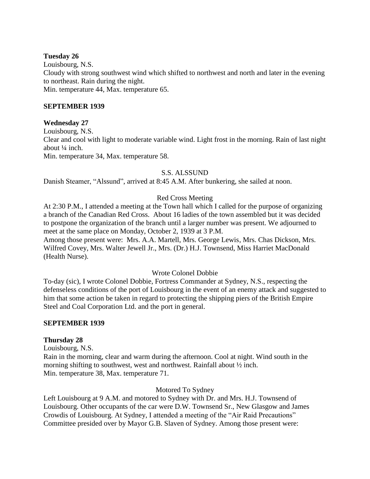## **Tuesday 26**

Louisbourg, N.S. Cloudy with strong southwest wind which shifted to northwest and north and later in the evening to northeast. Rain during the night. Min. temperature 44, Max. temperature 65.

## **SEPTEMBER 1939**

## **Wednesday 27**

Louisbourg, N.S.

Clear and cool with light to moderate variable wind. Light frost in the morning. Rain of last night about ¼ inch.

Min. temperature 34, Max. temperature 58.

## S.S. ALSSUND

Danish Steamer, "Alssund", arrived at 8:45 A.M. After bunkering, she sailed at noon.

# Red Cross Meeting

At 2:30 P.M., I attended a meeting at the Town hall which I called for the purpose of organizing a branch of the Canadian Red Cross. About 16 ladies of the town assembled but it was decided to postpone the organization of the branch until a larger number was present. We adjourned to meet at the same place on Monday, October 2, 1939 at 3 P.M.

Among those present were: Mrs. A.A. Martell, Mrs. George Lewis, Mrs. Chas Dickson, Mrs. Wilfred Covey, Mrs. Walter Jewell Jr., Mrs. (Dr.) H.J. Townsend, Miss Harriet MacDonald (Health Nurse).

# Wrote Colonel Dobbie

To-day (sic), I wrote Colonel Dobbie, Fortress Commander at Sydney, N.S., respecting the defenseless conditions of the port of Louisbourg in the event of an enemy attack and suggested to him that some action be taken in regard to protecting the shipping piers of the British Empire Steel and Coal Corporation Ltd. and the port in general.

## **SEPTEMBER 1939**

## **Thursday 28**

Louisbourg, N.S.

Rain in the morning, clear and warm during the afternoon. Cool at night. Wind south in the morning shifting to southwest, west and northwest. Rainfall about ½ inch. Min. temperature 38, Max. temperature 71.

## Motored To Sydney

Left Louisbourg at 9 A.M. and motored to Sydney with Dr. and Mrs. H.J. Townsend of Louisbourg. Other occupants of the car were D.W. Townsend Sr., New Glasgow and James Crowdis of Louisbourg. At Sydney, I attended a meeting of the "Air Raid Precautions" Committee presided over by Mayor G.B. Slaven of Sydney. Among those present were: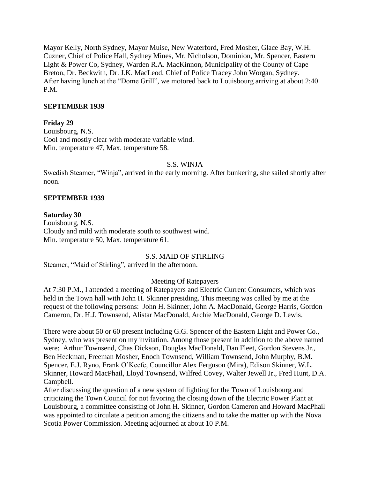Mayor Kelly, North Sydney, Mayor Muise, New Waterford, Fred Mosher, Glace Bay, W.H. Cuzner, Chief of Police Hall, Sydney Mines, Mr. Nicholson, Dominion, Mr. Spencer, Eastern Light & Power Co, Sydney, Warden R.A. MacKinnon, Municipality of the County of Cape Breton, Dr. Beckwith, Dr. J.K. MacLeod, Chief of Police Tracey John Worgan, Sydney. After having lunch at the "Dome Grill", we motored back to Louisbourg arriving at about 2:40 P.M.

#### **SEPTEMBER 1939**

### **Friday 29**

Louisbourg, N.S. Cool and mostly clear with moderate variable wind. Min. temperature 47, Max. temperature 58.

#### S.S. WINJA

Swedish Steamer, "Winja", arrived in the early morning. After bunkering, she sailed shortly after noon.

#### **SEPTEMBER 1939**

#### **Saturday 30**

Louisbourg, N.S. Cloudy and mild with moderate south to southwest wind. Min. temperature 50, Max. temperature 61.

## S.S. MAID OF STIRLING

Steamer, "Maid of Stirling", arrived in the afternoon.

## Meeting Of Ratepayers

At 7:30 P.M., I attended a meeting of Ratepayers and Electric Current Consumers, which was held in the Town hall with John H. Skinner presiding. This meeting was called by me at the request of the following persons: John H. Skinner, John A. MacDonald, George Harris, Gordon Cameron, Dr. H.J. Townsend, Alistar MacDonald, Archie MacDonald, George D. Lewis.

There were about 50 or 60 present including G.G. Spencer of the Eastern Light and Power Co., Sydney, who was present on my invitation. Among those present in addition to the above named were: Arthur Townsend, Chas Dickson, Douglas MacDonald, Dan Fleet, Gordon Stevens Jr., Ben Heckman, Freeman Mosher, Enoch Townsend, William Townsend, John Murphy, B.M. Spencer, E.J. Ryno, Frank O'Keefe, Councillor Alex Ferguson (Mira), Edison Skinner, W.L. Skinner, Howard MacPhail, Lloyd Townsend, Wilfred Covey, Walter Jewell Jr., Fred Hunt, D.A. Campbell.

After discussing the question of a new system of lighting for the Town of Louisbourg and criticizing the Town Council for not favoring the closing down of the Electric Power Plant at Louisbourg, a committee consisting of John H. Skinner, Gordon Cameron and Howard MacPhail was appointed to circulate a petition among the citizens and to take the matter up with the Nova Scotia Power Commission. Meeting adjourned at about 10 P.M.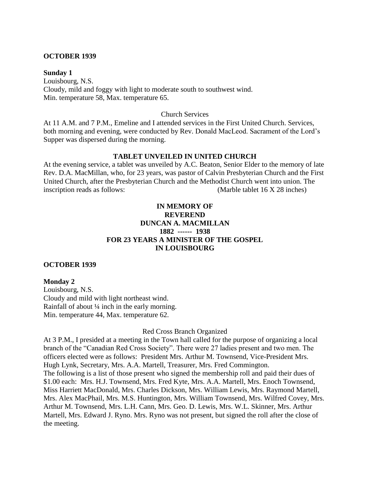#### **OCTOBER 1939**

#### **Sunday 1**

Louisbourg, N.S. Cloudy, mild and foggy with light to moderate south to southwest wind. Min. temperature 58, Max. temperature 65.

#### Church Services

At 11 A.M. and 7 P.M., Emeline and I attended services in the First United Church. Services, both morning and evening, were conducted by Rev. Donald MacLeod. Sacrament of the Lord's Supper was dispersed during the morning.

## **TABLET UNVEILED IN UNITED CHURCH**

At the evening service, a tablet was unveiled by A.C. Beaton, Senior Elder to the memory of late Rev. D.A. MacMillan, who, for 23 years, was pastor of Calvin Presbyterian Church and the First United Church, after the Presbyterian Church and the Methodist Church went into union. The inscription reads as follows: (Marble tablet 16 X 28 inches)

## **IN MEMORY OF REVEREND DUNCAN A. MACMILLAN 1882 ------ 1938 FOR 23 YEARS A MINISTER OF THE GOSPEL IN LOUISBOURG**

#### **OCTOBER 1939**

## **Monday 2**

Louisbourg, N.S. Cloudy and mild with light northeast wind. Rainfall of about ¼ inch in the early morning. Min. temperature 44, Max. temperature 62.

#### Red Cross Branch Organized

At 3 P.M., I presided at a meeting in the Town hall called for the purpose of organizing a local branch of the "Canadian Red Cross Society". There were 27 ladies present and two men. The officers elected were as follows: President Mrs. Arthur M. Townsend, Vice-President Mrs. Hugh Lynk, Secretary, Mrs. A.A. Martell, Treasurer, Mrs. Fred Commington. The following is a list of those present who signed the membership roll and paid their dues of \$1.00 each: Mrs. H.J. Townsend, Mrs. Fred Kyte, Mrs. A.A. Martell, Mrs. Enoch Townsend, Miss Harriett MacDonald, Mrs. Charles Dickson, Mrs. William Lewis, Mrs. Raymond Martell, Mrs. Alex MacPhail, Mrs. M.S. Huntington, Mrs. William Townsend, Mrs. Wilfred Covey, Mrs. Arthur M. Townsend, Mrs. L.H. Cann, Mrs. Geo. D. Lewis, Mrs. W.L. Skinner, Mrs. Arthur Martell, Mrs. Edward J. Ryno. Mrs. Ryno was not present, but signed the roll after the close of the meeting.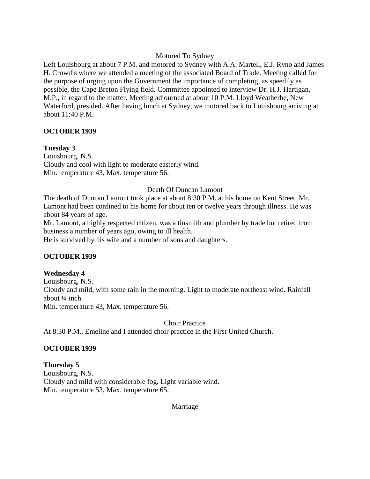## Motored To Sydney

Left Louisbourg at about 7 P.M. and motored to Sydney with A.A. Martell, E.J. Ryno and James H. Crowdis where we attended a meeting of the associated Board of Trade. Meeting called for the purpose of urging upon the Government the importance of completing, as speedily as possible, the Cape Breton Flying field. Committee appointed to interview Dr. H.J. Hartigan, M.P., in regard to the matter. Meeting adjourned at about 10 P.M. Lloyd Weatherbe, New Waterford, presided. After having lunch at Sydney, we motored back to Louisbourg arriving at about 11:40 P.M.

## **OCTOBER 1939**

## **Tuesday 3**

Louisbourg, N.S. Cloudy and cool with light to moderate easterly wind. Min. temperature 43, Max. temperature 56.

## Death Of Duncan Lamont

The death of Duncan Lamont took place at about 8:30 P.M. at his home on Kent Street. Mr. Lamont had been confined to his home for about ten or twelve years through illness. He was about 84 years of age.

Mr. Lamont, a highly respected citizen, was a tinsmith and plumber by trade but retired from business a number of years ago, owing to ill health.

He is survived by his wife and a number of sons and daughters.

# **OCTOBER 1939**

## **Wednesday 4**

Louisbourg, N.S. Cloudy and mild, with some rain in the morning. Light to moderate northeast wind. Rainfall about ¼ inch.

Min. temperature 43, Max. temperature 56.

Choir Practice At 8:30 P.M., Emeline and I attended choir practice in the First United Church.

# **OCTOBER 1939**

**Thursday 5** Louisbourg, N.S. Cloudy and mild with considerable fog. Light variable wind. Min. temperature 53, Max. temperature 65.

Marriage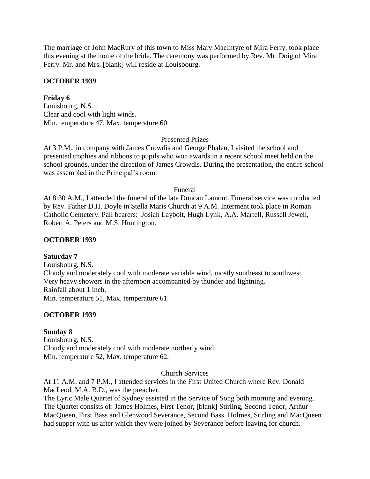The marriage of John MacRury of this town to Miss Mary MacIntyre of Mira Ferry, took place this evening at the home of the bride. The ceremony was performed by Rev. Mr. Doig of Mira Ferry. Mr. and Mrs. [blank] will reside at Louisbourg.

## **OCTOBER 1939**

## **Friday 6**

Louisbourg, N.S. Clear and cool with light winds. Min. temperature 47, Max. temperature 60.

## Presented Prizes

At 3 P.M., in company with James Crowdis and George Phalen, I visited the school and presented trophies and ribbons to pupils who won awards in a recent school meet held on the school grounds, under the direction of James Crowdis. During the presentation, the entire school was assembled in the Principal's room.

#### Funeral

At 8:30 A.M., I attended the funeral of the late Duncan Lamont. Funeral service was conducted by Rev. Father D.H. Doyle in Stella Maris Church at 9 A.M. Interment took place in Roman Catholic Cemetery. Pall bearers: Josiah Laybolt, Hugh Lynk, A.A. Martell, Russell Jewell, Robert A. Peters and M.S. Huntington.

## **OCTOBER 1939**

## **Saturday 7**

Louisbourg, N.S. Cloudy and moderately cool with moderate variable wind, mostly southeast to southwest. Very heavy showers in the afternoon accompanied by thunder and lightning. Rainfall about 1 inch. Min. temperature 51, Max. temperature 61.

## **OCTOBER 1939**

## **Sunday 8**

Louisbourg, N.S. Cloudy and moderately cool with moderate northerly wind. Min. temperature 52, Max. temperature 62.

#### Church Services

At 11 A.M. and 7 P.M., I attended services in the First United Church where Rev. Donald MacLeod, M.A. B.D., was the preacher.

The Lyric Male Quartet of Sydney assisted in the Service of Song both morning and evening. The Quartet consists of: James Holmes, First Tenor, [blank] Stirling, Second Tenor, Arthur MacQueen, First Bass and Glenwood Severance, Second Bass. Holmes, Stirling and MacQueen had supper with us after which they were joined by Severance before leaving for church.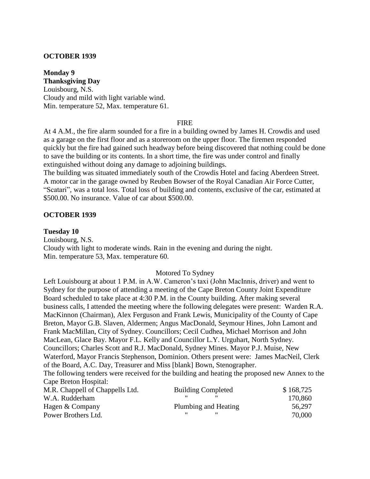#### **OCTOBER 1939**

**Monday 9 Thanksgiving Day** Louisbourg, N.S. Cloudy and mild with light variable wind. Min. temperature 52, Max. temperature 61.

#### **FIRE**

At 4 A.M., the fire alarm sounded for a fire in a building owned by James H. Crowdis and used as a garage on the first floor and as a storeroom on the upper floor. The firemen responded quickly but the fire had gained such headway before being discovered that nothing could be done to save the building or its contents. In a short time, the fire was under control and finally extinguished without doing any damage to adjoining buildings.

The building was situated immediately south of the Crowdis Hotel and facing Aberdeen Street. A motor car in the garage owned by Reuben Bowser of the Royal Canadian Air Force Cutter, "Scatari", was a total loss. Total loss of building and contents, exclusive of the car, estimated at \$500.00. No insurance. Value of car about \$500.00.

#### **OCTOBER 1939**

#### **Tuesday 10**

Louisbourg, N.S. Cloudy with light to moderate winds. Rain in the evening and during the night. Min. temperature 53, Max. temperature 60.

#### Motored To Sydney

Left Louisbourg at about 1 P.M. in A.W. Cameron's taxi (John MacInnis, driver) and went to Sydney for the purpose of attending a meeting of the Cape Breton County Joint Expenditure Board scheduled to take place at 4:30 P.M. in the County building. After making several business calls, I attended the meeting where the following delegates were present: Warden R.A. MacKinnon (Chairman), Alex Ferguson and Frank Lewis, Municipality of the County of Cape Breton, Mayor G.B. Slaven, Aldermen; Angus MacDonald, Seymour Hines, John Lamont and Frank MacMillan, City of Sydney. Councillors; Cecil Cudhea, Michael Morrison and John MacLean, Glace Bay. Mayor F.L. Kelly and Councillor L.Y. Urguhart, North Sydney. Councillors; Charles Scott and R.J. MacDonald, Sydney Mines. Mayor P.J. Muise, New Waterford, Mayor Francis Stephenson, Dominion. Others present were: James MacNeil, Clerk of the Board, A.C. Day, Treasurer and Miss [blank] Bown, Stenographer.

The following tenders were received for the building and heating the proposed new Annex to the Cape Breton Hospital:

| <b>Building Completed</b> | \$168,725 |
|---------------------------|-----------|
|                           | 170,860   |
| Plumbing and Heating      | 56,297    |
|                           | 70,000    |
|                           |           |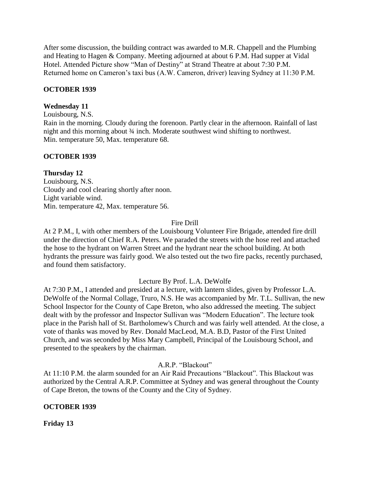After some discussion, the building contract was awarded to M.R. Chappell and the Plumbing and Heating to Hagen & Company. Meeting adjourned at about 6 P.M. Had supper at Vidal Hotel. Attended Picture show "Man of Destiny" at Strand Theatre at about 7:30 P.M. Returned home on Cameron's taxi bus (A.W. Cameron, driver) leaving Sydney at 11:30 P.M.

# **OCTOBER 1939**

# **Wednesday 11**

Louisbourg, N.S.

Rain in the morning. Cloudy during the forenoon. Partly clear in the afternoon. Rainfall of last night and this morning about ¾ inch. Moderate southwest wind shifting to northwest. Min. temperature 50, Max. temperature 68.

# **OCTOBER 1939**

# **Thursday 12**

Louisbourg, N.S. Cloudy and cool clearing shortly after noon. Light variable wind. Min. temperature 42, Max. temperature 56.

# Fire Drill

At 2 P.M., I, with other members of the Louisbourg Volunteer Fire Brigade, attended fire drill under the direction of Chief R.A. Peters. We paraded the streets with the hose reel and attached the hose to the hydrant on Warren Street and the hydrant near the school building. At both hydrants the pressure was fairly good. We also tested out the two fire packs, recently purchased, and found them satisfactory.

# Lecture By Prof. L.A. DeWolfe

At 7:30 P.M., I attended and presided at a lecture, with lantern slides, given by Professor L.A. DeWolfe of the Normal Collage, Truro, N.S. He was accompanied by Mr. T.L. Sullivan, the new School Inspector for the County of Cape Breton, who also addressed the meeting. The subject dealt with by the professor and Inspector Sullivan was "Modern Education". The lecture took place in the Parish hall of St. Bartholomew's Church and was fairly well attended. At the close, a vote of thanks was moved by Rev. Donald MacLeod, M.A. B.D, Pastor of the First United Church, and was seconded by Miss Mary Campbell, Principal of the Louisbourg School, and presented to the speakers by the chairman.

A.R.P. "Blackout"

At 11:10 P.M. the alarm sounded for an Air Raid Precautions "Blackout". This Blackout was authorized by the Central A.R.P. Committee at Sydney and was general throughout the County of Cape Breton, the towns of the County and the City of Sydney.

# **OCTOBER 1939**

**Friday 13**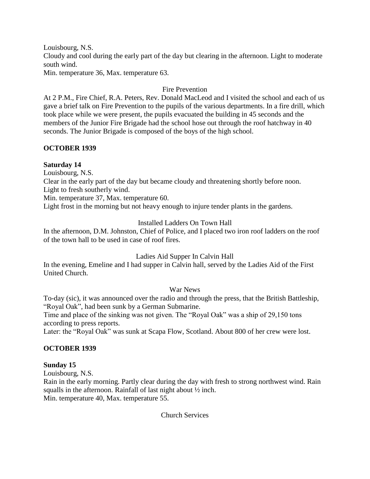Louisbourg, N.S. Cloudy and cool during the early part of the day but clearing in the afternoon. Light to moderate south wind.

Min. temperature 36, Max. temperature 63.

## Fire Prevention

At 2 P.M., Fire Chief, R.A. Peters, Rev. Donald MacLeod and I visited the school and each of us gave a brief talk on Fire Prevention to the pupils of the various departments. In a fire drill, which took place while we were present, the pupils evacuated the building in 45 seconds and the members of the Junior Fire Brigade had the school hose out through the roof hatchway in 40 seconds. The Junior Brigade is composed of the boys of the high school.

## **OCTOBER 1939**

## **Saturday 14**

Louisbourg, N.S.

Clear in the early part of the day but became cloudy and threatening shortly before noon. Light to fresh southerly wind.

Min. temperature 37, Max. temperature 60.

Light frost in the morning but not heavy enough to injure tender plants in the gardens.

## Installed Ladders On Town Hall

In the afternoon, D.M. Johnston, Chief of Police, and I placed two iron roof ladders on the roof of the town hall to be used in case of roof fires.

# Ladies Aid Supper In Calvin Hall

In the evening, Emeline and I had supper in Calvin hall, served by the Ladies Aid of the First United Church.

## War News

To-day (sic), it was announced over the radio and through the press, that the British Battleship, "Royal Oak", had been sunk by a German Submarine.

Time and place of the sinking was not given. The "Royal Oak" was a ship of 29,150 tons according to press reports.

Later: the "Royal Oak" was sunk at Scapa Flow, Scotland. About 800 of her crew were lost.

# **OCTOBER 1939**

## **Sunday 15**

Louisbourg, N.S.

Rain in the early morning. Partly clear during the day with fresh to strong northwest wind. Rain squalls in the afternoon. Rainfall of last night about ½ inch. Min. temperature 40, Max. temperature 55.

Church Services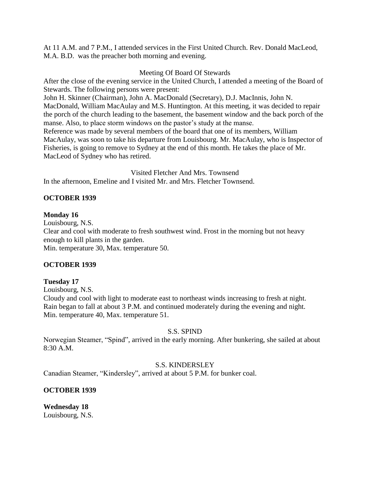At 11 A.M. and 7 P.M., I attended services in the First United Church. Rev. Donald MacLeod, M.A. B.D. was the preacher both morning and evening.

## Meeting Of Board Of Stewards

After the close of the evening service in the United Church, I attended a meeting of the Board of Stewards. The following persons were present: John H. Skinner (Chairman), John A. MacDonald (Secretary), D.J. MacInnis, John N. MacDonald, William MacAulay and M.S. Huntington. At this meeting, it was decided to repair the porch of the church leading to the basement, the basement window and the back porch of the manse. Also, to place storm windows on the pastor's study at the manse. Reference was made by several members of the board that one of its members, William MacAulay, was soon to take his departure from Louisbourg. Mr. MacAulay, who is Inspector of Fisheries, is going to remove to Sydney at the end of this month. He takes the place of Mr. MacLeod of Sydney who has retired.

Visited Fletcher And Mrs. Townsend In the afternoon, Emeline and I visited Mr. and Mrs. Fletcher Townsend.

# **OCTOBER 1939**

## **Monday 16**

Louisbourg, N.S. Clear and cool with moderate to fresh southwest wind. Frost in the morning but not heavy enough to kill plants in the garden. Min. temperature 30, Max. temperature 50.

# **OCTOBER 1939**

# **Tuesday 17**

Louisbourg, N.S.

Cloudy and cool with light to moderate east to northeast winds increasing to fresh at night. Rain began to fall at about 3 P.M. and continued moderately during the evening and night. Min. temperature 40, Max. temperature 51.

# S.S. SPIND

Norwegian Steamer, "Spind", arrived in the early morning. After bunkering, she sailed at about 8:30 A.M.

# S.S. KINDERSLEY

Canadian Steamer, "Kindersley", arrived at about 5 P.M. for bunker coal.

# **OCTOBER 1939**

**Wednesday 18** Louisbourg, N.S.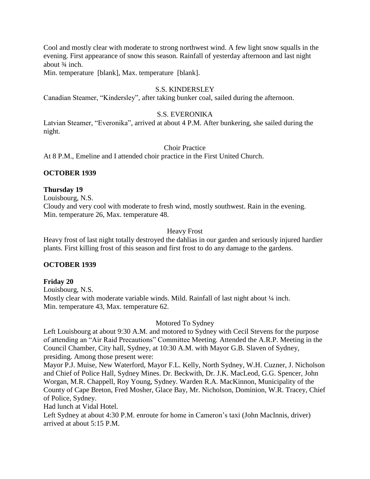Cool and mostly clear with moderate to strong northwest wind. A few light snow squalls in the evening. First appearance of snow this season. Rainfall of yesterday afternoon and last night about  $\frac{3}{4}$  inch.

Min. temperature [blank], Max. temperature [blank].

## S.S. KINDERSLEY

Canadian Steamer, "Kindersley", after taking bunker coal, sailed during the afternoon.

## S.S. EVERONIKA

Latvian Steamer, "Everonika", arrived at about 4 P.M. After bunkering, she sailed during the night.

#### Choir Practice

At 8 P.M., Emeline and I attended choir practice in the First United Church.

#### **OCTOBER 1939**

#### **Thursday 19**

Louisbourg, N.S. Cloudy and very cool with moderate to fresh wind, mostly southwest. Rain in the evening. Min. temperature 26, Max. temperature 48.

#### Heavy Frost

Heavy frost of last night totally destroyed the dahlias in our garden and seriously injured hardier plants. First killing frost of this season and first frost to do any damage to the gardens.

#### **OCTOBER 1939**

#### **Friday 20**

Louisbourg, N.S. Mostly clear with moderate variable winds. Mild. Rainfall of last night about  $\frac{1}{4}$  inch. Min. temperature 43, Max. temperature 62.

#### Motored To Sydney

Left Louisbourg at about 9:30 A.M. and motored to Sydney with Cecil Stevens for the purpose of attending an "Air Raid Precautions" Committee Meeting. Attended the A.R.P. Meeting in the Council Chamber, City hall, Sydney, at 10:30 A.M. with Mayor G.B. Slaven of Sydney, presiding. Among those present were:

Mayor P.J. Muise, New Waterford, Mayor F.L. Kelly, North Sydney, W.H. Cuzner, J. Nicholson and Chief of Police Hall, Sydney Mines. Dr. Beckwith, Dr. J.K. MacLeod, G.G. Spencer, John Worgan, M.R. Chappell, Roy Young, Sydney. Warden R.A. MacKinnon, Municipality of the County of Cape Breton, Fred Mosher, Glace Bay, Mr. Nicholson, Dominion, W.R. Tracey, Chief of Police, Sydney.

Had lunch at Vidal Hotel.

Left Sydney at about 4:30 P.M. enroute for home in Cameron's taxi (John MacInnis, driver) arrived at about 5:15 P.M.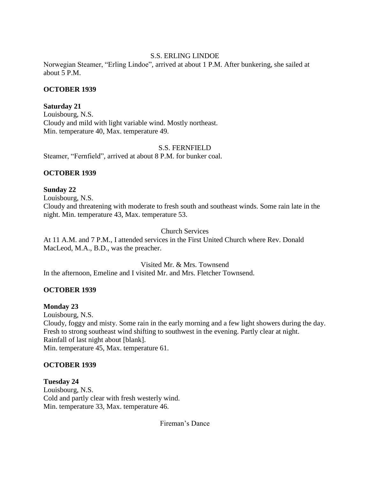# S.S. ERLING LINDOE

Norwegian Steamer, "Erling Lindoe", arrived at about 1 P.M. After bunkering, she sailed at about 5 P.M.

## **OCTOBER 1939**

## **Saturday 21**

Louisbourg, N.S. Cloudy and mild with light variable wind. Mostly northeast. Min. temperature 40, Max. temperature 49.

## S.S. FERNFIELD

Steamer, "Fernfield", arrived at about 8 P.M. for bunker coal.

## **OCTOBER 1939**

## **Sunday 22**

Louisbourg, N.S. Cloudy and threatening with moderate to fresh south and southeast winds. Some rain late in the night. Min. temperature 43, Max. temperature 53.

## Church Services

At 11 A.M. and 7 P.M., I attended services in the First United Church where Rev. Donald MacLeod, M.A., B.D., was the preacher.

Visited Mr. & Mrs. Townsend

In the afternoon, Emeline and I visited Mr. and Mrs. Fletcher Townsend.

# **OCTOBER 1939**

# **Monday 23**

Louisbourg, N.S. Cloudy, foggy and misty. Some rain in the early morning and a few light showers during the day. Fresh to strong southeast wind shifting to southwest in the evening. Partly clear at night. Rainfall of last night about [blank]. Min. temperature 45, Max. temperature 61.

## **OCTOBER 1939**

**Tuesday 24** Louisbourg, N.S. Cold and partly clear with fresh westerly wind. Min. temperature 33, Max. temperature 46.

Fireman's Dance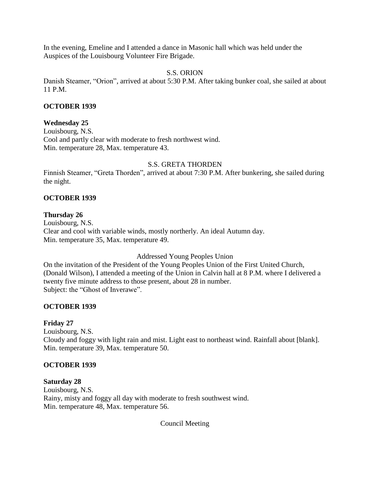In the evening, Emeline and I attended a dance in Masonic hall which was held under the Auspices of the Louisbourg Volunteer Fire Brigade.

## S.S. ORION

Danish Steamer, "Orion", arrived at about 5:30 P.M. After taking bunker coal, she sailed at about 11 P.M.

## **OCTOBER 1939**

## **Wednesday 25**

Louisbourg, N.S. Cool and partly clear with moderate to fresh northwest wind. Min. temperature 28, Max. temperature 43.

## S.S. GRETA THORDEN

Finnish Steamer, "Greta Thorden", arrived at about 7:30 P.M. After bunkering, she sailed during the night.

## **OCTOBER 1939**

## **Thursday 26**

Louisbourg, N.S. Clear and cool with variable winds, mostly northerly. An ideal Autumn day. Min. temperature 35, Max. temperature 49.

## Addressed Young Peoples Union

On the invitation of the President of the Young Peoples Union of the First United Church, (Donald Wilson), I attended a meeting of the Union in Calvin hall at 8 P.M. where I delivered a twenty five minute address to those present, about 28 in number. Subject: the "Ghost of Inverawe".

# **OCTOBER 1939**

## **Friday 27**

Louisbourg, N.S. Cloudy and foggy with light rain and mist. Light east to northeast wind. Rainfall about [blank]. Min. temperature 39, Max. temperature 50.

## **OCTOBER 1939**

## **Saturday 28**

Louisbourg, N.S. Rainy, misty and foggy all day with moderate to fresh southwest wind. Min. temperature 48, Max. temperature 56.

Council Meeting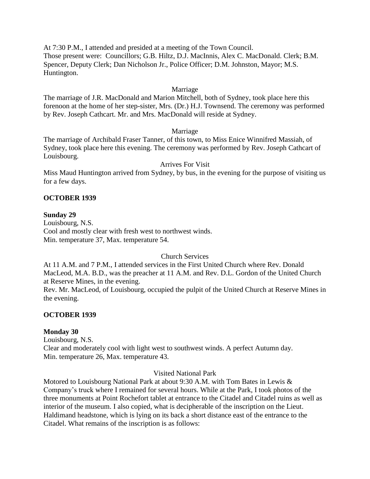At 7:30 P.M., I attended and presided at a meeting of the Town Council. Those present were: Councillors; G.B. Hiltz, D.J. MacInnis, Alex C. MacDonald. Clerk; B.M. Spencer, Deputy Clerk; Dan Nicholson Jr., Police Officer; D.M. Johnston, Mayor; M.S. Huntington.

## Marriage

The marriage of J.R. MacDonald and Marion Mitchell, both of Sydney, took place here this forenoon at the home of her step-sister, Mrs. (Dr.) H.J. Townsend. The ceremony was performed by Rev. Joseph Cathcart. Mr. and Mrs. MacDonald will reside at Sydney.

## Marriage

The marriage of Archibald Fraser Tanner, of this town, to Miss Enice Winnifred Massiah, of Sydney, took place here this evening. The ceremony was performed by Rev. Joseph Cathcart of Louisbourg.

## Arrives For Visit

Miss Maud Huntington arrived from Sydney, by bus, in the evening for the purpose of visiting us for a few days.

# **OCTOBER 1939**

## **Sunday 29**

Louisbourg, N.S. Cool and mostly clear with fresh west to northwest winds. Min. temperature 37, Max. temperature 54.

## Church Services

At 11 A.M. and 7 P.M., I attended services in the First United Church where Rev. Donald MacLeod, M.A. B.D., was the preacher at 11 A.M. and Rev. D.L. Gordon of the United Church at Reserve Mines, in the evening.

Rev. Mr. MacLeod, of Louisbourg, occupied the pulpit of the United Church at Reserve Mines in the evening.

## **OCTOBER 1939**

## **Monday 30**

Louisbourg, N.S. Clear and moderately cool with light west to southwest winds. A perfect Autumn day. Min. temperature 26, Max. temperature 43.

Visited National Park

Motored to Louisbourg National Park at about 9:30 A.M. with Tom Bates in Lewis & Company's truck where I remained for several hours. While at the Park, I took photos of the three monuments at Point Rochefort tablet at entrance to the Citadel and Citadel ruins as well as interior of the museum. I also copied, what is decipherable of the inscription on the Lieut. Haldimand headstone, which is lying on its back a short distance east of the entrance to the Citadel. What remains of the inscription is as follows: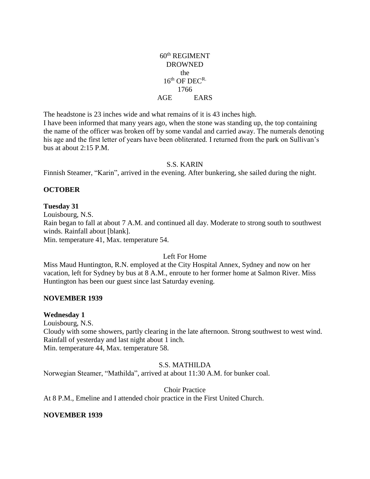## $60<sup>th</sup>$  REGIMENT DROWNED the  $16^{th}$  OF DEC<sup>R.</sup> 1766 AGE EARS

The headstone is 23 inches wide and what remains of it is 43 inches high.

I have been informed that many years ago, when the stone was standing up, the top containing the name of the officer was broken off by some vandal and carried away. The numerals denoting his age and the first letter of years have been obliterated. I returned from the park on Sullivan's bus at about 2:15 P.M.

## S.S. KARIN

Finnish Steamer, "Karin", arrived in the evening. After bunkering, she sailed during the night.

## **OCTOBER**

#### **Tuesday 31**

Louisbourg, N.S. Rain began to fall at about 7 A.M. and continued all day. Moderate to strong south to southwest winds. Rainfall about [blank]. Min. temperature 41, Max. temperature 54.

## Left For Home

Miss Maud Huntington, R.N. employed at the City Hospital Annex, Sydney and now on her vacation, left for Sydney by bus at 8 A.M., enroute to her former home at Salmon River. Miss Huntington has been our guest since last Saturday evening.

## **NOVEMBER 1939**

## **Wednesday 1**

Louisbourg, N.S. Cloudy with some showers, partly clearing in the late afternoon. Strong southwest to west wind. Rainfall of yesterday and last night about 1 inch. Min. temperature 44, Max. temperature 58.

## S.S. MATHILDA

Norwegian Steamer, "Mathilda", arrived at about 11:30 A.M. for bunker coal.

Choir Practice

At 8 P.M., Emeline and I attended choir practice in the First United Church.

## **NOVEMBER 1939**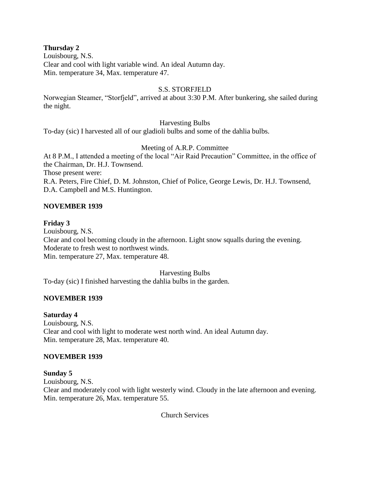## **Thursday 2**

Louisbourg, N.S. Clear and cool with light variable wind. An ideal Autumn day. Min. temperature 34, Max. temperature 47.

## S.S. STORFJELD

Norwegian Steamer, "Storfjeld", arrived at about 3:30 P.M. After bunkering, she sailed during the night.

## Harvesting Bulbs

To-day (sic) I harvested all of our gladioli bulbs and some of the dahlia bulbs.

# Meeting of A.R.P. Committee

At 8 P.M., I attended a meeting of the local "Air Raid Precaution" Committee, in the office of the Chairman, Dr. H.J. Townsend.

Those present were:

R.A. Peters, Fire Chief, D. M. Johnston, Chief of Police, George Lewis, Dr. H.J. Townsend, D.A. Campbell and M.S. Huntington.

## **NOVEMBER 1939**

## **Friday 3**

Louisbourg, N.S. Clear and cool becoming cloudy in the afternoon. Light snow squalls during the evening. Moderate to fresh west to northwest winds. Min. temperature 27, Max. temperature 48.

## Harvesting Bulbs

To-day (sic) I finished harvesting the dahlia bulbs in the garden.

# **NOVEMBER 1939**

## **Saturday 4**

Louisbourg, N.S. Clear and cool with light to moderate west north wind. An ideal Autumn day. Min. temperature 28, Max. temperature 40.

## **NOVEMBER 1939**

## **Sunday 5**

Louisbourg, N.S. Clear and moderately cool with light westerly wind. Cloudy in the late afternoon and evening. Min. temperature 26, Max. temperature 55.

Church Services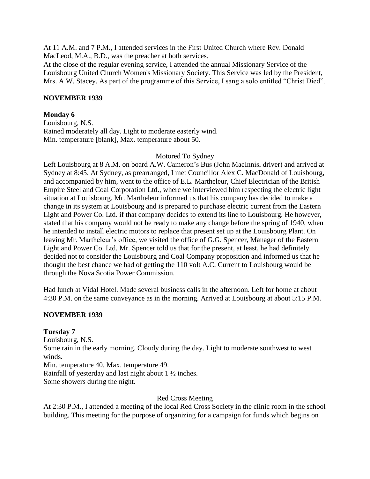At 11 A.M. and 7 P.M., I attended services in the First United Church where Rev. Donald MacLeod, M.A., B.D., was the preacher at both services.

At the close of the regular evening service, I attended the annual Missionary Service of the Louisbourg United Church Women's Missionary Society. This Service was led by the President, Mrs. A.W. Stacey. As part of the programme of this Service, I sang a solo entitled "Christ Died".

## **NOVEMBER 1939**

## **Monday 6**

Louisbourg, N.S. Rained moderately all day. Light to moderate easterly wind. Min. temperature [blank], Max. temperature about 50.

#### Motored To Sydney

Left Louisbourg at 8 A.M. on board A.W. Cameron's Bus (John MacInnis, driver) and arrived at Sydney at 8:45. At Sydney, as prearranged, I met Councillor Alex C. MacDonald of Louisbourg, and accompanied by him, went to the office of E.L. Martheleur, Chief Electrician of the British Empire Steel and Coal Corporation Ltd., where we interviewed him respecting the electric light situation at Louisbourg. Mr. Martheleur informed us that his company has decided to make a change in its system at Louisbourg and is prepared to purchase electric current from the Eastern Light and Power Co. Ltd. if that company decides to extend its line to Louisbourg. He however, stated that his company would not be ready to make any change before the spring of 1940, when he intended to install electric motors to replace that present set up at the Louisbourg Plant. On leaving Mr. Martheleur's office, we visited the office of G.G. Spencer, Manager of the Eastern Light and Power Co. Ltd. Mr. Spencer told us that for the present, at least, he had definitely decided not to consider the Louisbourg and Coal Company proposition and informed us that he thought the best chance we had of getting the 110 volt A.C. Current to Louisbourg would be through the Nova Scotia Power Commission.

Had lunch at Vidal Hotel. Made several business calls in the afternoon. Left for home at about 4:30 P.M. on the same conveyance as in the morning. Arrived at Louisbourg at about 5:15 P.M.

## **NOVEMBER 1939**

## **Tuesday 7**

Louisbourg, N.S. Some rain in the early morning. Cloudy during the day. Light to moderate southwest to west winds. Min. temperature 40, Max. temperature 49. Rainfall of yesterday and last night about 1 ½ inches. Some showers during the night.

## Red Cross Meeting

At 2:30 P.M., I attended a meeting of the local Red Cross Society in the clinic room in the school building. This meeting for the purpose of organizing for a campaign for funds which begins on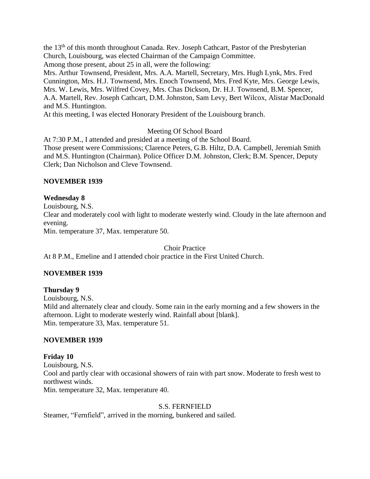the 13<sup>th</sup> of this month throughout Canada. Rev. Joseph Cathcart, Pastor of the Presbyterian Church, Louisbourg, was elected Chairman of the Campaign Committee. Among those present, about 25 in all, were the following:

Mrs. Arthur Townsend, President, Mrs. A.A. Martell, Secretary, Mrs. Hugh Lynk, Mrs. Fred Cunnington, Mrs. H.J. Townsend, Mrs. Enoch Townsend, Mrs. Fred Kyte, Mrs. George Lewis, Mrs. W. Lewis, Mrs. Wilfred Covey, Mrs. Chas Dickson, Dr. H.J. Townsend, B.M. Spencer, A.A. Martell, Rev. Joseph Cathcart, D.M. Johnston, Sam Levy, Bert Wilcox, Alistar MacDonald and M.S. Huntington.

At this meeting, I was elected Honorary President of the Louisbourg branch.

Meeting Of School Board

At 7:30 P.M., I attended and presided at a meeting of the School Board. Those present were Commissions; Clarence Peters, G.B. Hiltz, D.A. Campbell, Jeremiah Smith and M.S. Huntington (Chairman). Police Officer D.M. Johnston, Clerk; B.M. Spencer, Deputy Clerk; Dan Nicholson and Cleve Townsend.

## **NOVEMBER 1939**

## **Wednesday 8**

Louisbourg, N.S.

Clear and moderately cool with light to moderate westerly wind. Cloudy in the late afternoon and evening.

Min. temperature 37, Max. temperature 50.

Choir Practice

At 8 P.M., Emeline and I attended choir practice in the First United Church.

# **NOVEMBER 1939**

**Thursday 9** Louisbourg, N.S. Mild and alternately clear and cloudy. Some rain in the early morning and a few showers in the afternoon. Light to moderate westerly wind. Rainfall about [blank]. Min. temperature 33, Max. temperature 51.

# **NOVEMBER 1939**

**Friday 10** Louisbourg, N.S. Cool and partly clear with occasional showers of rain with part snow. Moderate to fresh west to northwest winds. Min. temperature 32, Max. temperature 40.

## S.S. FERNFIELD

Steamer, "Fernfield", arrived in the morning, bunkered and sailed.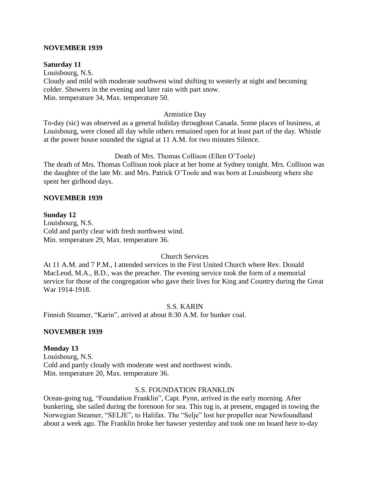#### **NOVEMBER 1939**

#### **Saturday 11**

Louisbourg, N.S. Cloudy and mild with moderate southwest wind shifting to westerly at night and becoming colder. Showers in the evening and later rain with part snow. Min. temperature 34, Max. temperature 50.

#### Armistice Day

To-day (sic) was observed as a general holiday throughout Canada. Some places of business, at Louisbourg, were closed all day while others remained open for at least part of the day. Whistle at the power house sounded the signal at 11 A.M. for two minutes Silence.

#### Death of Mrs. Thomas Collison (Ellen O'Toole)

The death of Mrs. Thomas Collison took place at her home at Sydney tonight. Mrs. Collison was the daughter of the late Mr. and Mrs. Patrick O'Toole and was born at Louisbourg where she spent her girlhood days.

#### **NOVEMBER 1939**

#### **Sunday 12**

Louisbourg, N.S. Cold and partly clear with fresh northwest wind. Min. temperature 29, Max. temperature 36.

### Church Services

At 11 A.M. and 7 P.M., I attended services in the First United Church where Rev. Donald MacLeod, M.A., B.D., was the preacher. The evening service took the form of a memorial service for those of the congregation who gave their lives for King and Country during the Great War 1914-1918.

S.S. KARIN

Finnish Steamer, "Karin", arrived at about 8:30 A.M. for bunker coal.

## **NOVEMBER 1939**

#### **Monday 13**

Louisbourg, N.S. Cold and partly cloudy with moderate west and northwest winds. Min. temperature 20, Max. temperature 36.

## S.S. FOUNDATION FRANKLIN

Ocean-going tug, "Foundation Franklin", Capt. Pynn, arrived in the early morning. After bunkering, she sailed during the forenoon for sea. This tug is, at present, engaged in towing the Norwegian Steamer, "SELJE", to Halifax. The "Selje" lost her propeller near Newfoundland about a week ago. The Franklin broke her hawser yesterday and took one on board here to-day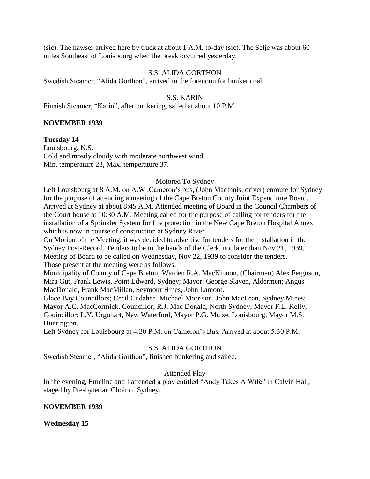(sic). The hawser arrived here by truck at about 1 A.M. to-day (sic). The Selje was about 60 miles Southeast of Louisbourg when the break occurred yesterday.

#### S.S. ALIDA GORTHON

Swedish Steamer, "Alida Gorthon", arrived in the forenoon for bunker coal.

#### S.S. KARIN

Finnish Steamer, "Karin", after bunkering, sailed at about 10 P.M.

#### **NOVEMBER 1939**

**Tuesday 14** Louisbourg, N.S. Cold and mostly cloudy with moderate northwest wind. Min. temperature 23, Max. temperature 37.

## Motored To Sydney

Left Louisbourg at 8 A.M. on A.W .Cameron's bus, (John MacInnis, driver) enroute for Sydney for the purpose of attending a meeting of the Cape Breton County Joint Expenditure Board. Arrived at Sydney at about 8:45 A.M. Attended meeting of Board in the Council Chambers of the Court house at 10:30 A.M. Meeting called for the purpose of calling for tenders for the installation of a Sprinkler System for fire protection in the New Cape Breton Hospital Annex, which is now in course of construction at Sydney River.

On Motion of the Meeting, it was decided to advertise for tenders for the installation in the Sydney Post-Record. Tenders to be in the hands of the Clerk, not later than Nov 21, 1939. Meeting of Board to be called on Wednesday, Nov 22, 1939 to consider the tenders. Those present at the meeting were as follows:

Municipality of County of Cape Breton; Warden R.A. MacKinnon, (Chairman) Alex Ferguson, Mira Gut, Frank Lewis, Point Edward, Sydney; Mayor; George Slaven, Aldermen; Angus MacDonald, Frank MacMillan, Seymour Hines, John Lamont.

Glace Bay Councillors; Cecil Cudahea, Michael Morrison, John MacLean, Sydney Mines; Mayor A.C. MacCormick, Councillor; R.J. Mac Donald, North Sydney; Mayor F.L. Kelly, Couincillor; L.Y. Urguhart, New Waterford, Mayor P.G. Muise, Louisbourg, Mayor M.S. Huntington.

Left Sydney for Louisbourg at 4:30 P.M. on Cameron's Bus. Arrived at about 5:30 P.M.

## S.S. ALIDA GORTHON

Swedish Steamer, "Alida Gorthon", finished bunkering and sailed.

## Attended Play

In the evening, Emeline and I attended a play entitled "Andy Takes A Wife" in Calvin Hall, staged by Presbyterian Choir of Sydney.

#### **NOVEMBER 1939**

**Wednesday 15**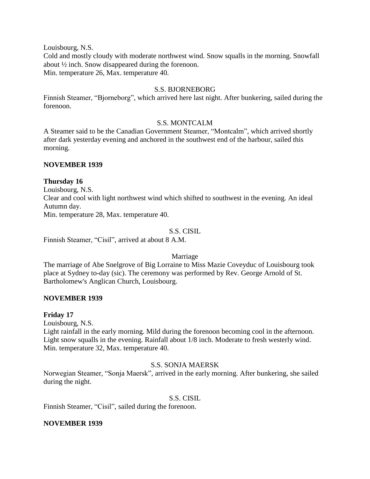Louisbourg, N.S.

Cold and mostly cloudy with moderate northwest wind. Snow squalls in the morning. Snowfall about ½ inch. Snow disappeared during the forenoon. Min. temperature 26, Max. temperature 40.

## S.S. BJORNEBORG

Finnish Steamer, "Bjorneborg", which arrived here last night. After bunkering, sailed during the forenoon.

#### S.S. MONTCALM

A Steamer said to be the Canadian Government Steamer, "Montcalm", which arrived shortly after dark yesterday evening and anchored in the southwest end of the harbour, sailed this morning.

#### **NOVEMBER 1939**

## **Thursday 16**

Louisbourg, N.S. Clear and cool with light northwest wind which shifted to southwest in the evening. An ideal Autumn day. Min. temperature 28, Max. temperature 40.

## S.S. CISIL

Finnish Steamer, "Cisil", arrived at about 8 A.M.

Marriage

The marriage of Abe Snelgrove of Big Lorraine to Miss Mazie Coveyduc of Louisbourg took place at Sydney to-day (sic). The ceremony was performed by Rev. George Arnold of St. Bartholomew's Anglican Church, Louisbourg.

## **NOVEMBER 1939**

## **Friday 17**

Louisbourg, N.S.

Light rainfall in the early morning. Mild during the forenoon becoming cool in the afternoon. Light snow squalls in the evening. Rainfall about 1/8 inch. Moderate to fresh westerly wind. Min. temperature 32, Max. temperature 40.

## S.S. SONJA MAERSK

Norwegian Steamer, "Sonja Maersk", arrived in the early morning. After bunkering, she sailed during the night.

#### S.S. CISIL

Finnish Steamer, "Cisil", sailed during the forenoon.

#### **NOVEMBER 1939**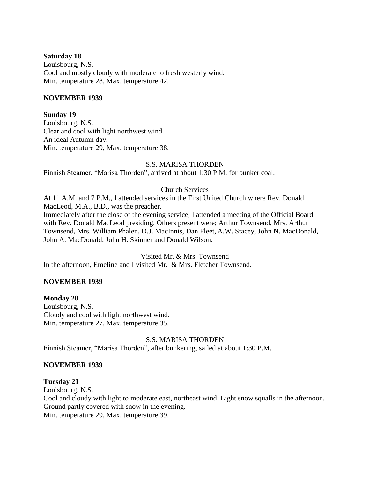#### **Saturday 18**

Louisbourg, N.S. Cool and mostly cloudy with moderate to fresh westerly wind. Min. temperature 28, Max. temperature 42.

#### **NOVEMBER 1939**

**Sunday 19**

Louisbourg, N.S. Clear and cool with light northwest wind. An ideal Autumn day. Min. temperature 29, Max. temperature 38.

#### S.S. MARISA THORDEN

Finnish Steamer, "Marisa Thorden", arrived at about 1:30 P.M. for bunker coal.

## Church Services

At 11 A.M. and 7 P.M., I attended services in the First United Church where Rev. Donald MacLeod, M.A., B.D., was the preacher. Immediately after the close of the evening service, I attended a meeting of the Official Board with Rev. Donald MacLeod presiding. Others present were; Arthur Townsend, Mrs. Arthur Townsend, Mrs. William Phalen, D.J. MacInnis, Dan Fleet, A.W. Stacey, John N. MacDonald, John A. MacDonald, John H. Skinner and Donald Wilson.

Visited Mr. & Mrs. Townsend In the afternoon, Emeline and I visited Mr. & Mrs. Fletcher Townsend.

## **NOVEMBER 1939**

## **Monday 20**

Louisbourg, N.S. Cloudy and cool with light northwest wind. Min. temperature 27, Max. temperature 35.

## S.S. MARISA THORDEN

Finnish Steamer, "Marisa Thorden", after bunkering, sailed at about 1:30 P.M.

#### **NOVEMBER 1939**

#### **Tuesday 21**

Louisbourg, N.S. Cool and cloudy with light to moderate east, northeast wind. Light snow squalls in the afternoon. Ground partly covered with snow in the evening. Min. temperature 29, Max. temperature 39.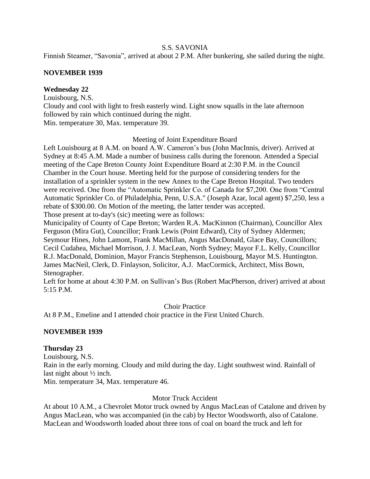## S.S. SAVONIA

Finnish Steamer, "Savonia", arrived at about 2 P.M. After bunkering, she sailed during the night.

## **NOVEMBER 1939**

## **Wednesday 22**

Louisbourg, N.S.

Cloudy and cool with light to fresh easterly wind. Light snow squalls in the late afternoon followed by rain which continued during the night. Min. temperature 30, Max. temperature 39.

## Meeting of Joint Expenditure Board

Left Louisbourg at 8 A.M. on board A.W. Cameron's bus (John MacInnis, driver). Arrived at Sydney at 8:45 A.M. Made a number of business calls during the forenoon. Attended a Special meeting of the Cape Breton County Joint Expenditure Board at 2:30 P.M. in the Council Chamber in the Court house. Meeting held for the purpose of considering tenders for the installation of a sprinkler system in the new Annex to the Cape Breton Hospital. Two tenders were received. One from the "Automatic Sprinkler Co. of Canada for \$7,200. One from "Central Automatic Sprinkler Co. of Philadelphia, Penn, U.S.A." (Joseph Azar, local agent) \$7,250, less a rebate of \$300.00. On Motion of the meeting, the latter tender was accepted. Those present at to-day's (sic) meeting were as follows:

Municipality of County of Cape Breton; Warden R.A. MacKinnon (Chairman), Councillor Alex Ferguson (Mira Gut), Councillor; Frank Lewis (Point Edward), City of Sydney Aldermen; Seymour Hines, John Lamont, Frank MacMillan, Angus MacDonald, Glace Bay, Councillors; Cecil Cudahea, Michael Morrison, J. J. MacLean, North Sydney; Mayor F.L. Kelly, Councillor R.J. MacDonald, Dominion, Mayor Francis Stephenson, Louisbourg, Mayor M.S. Huntington. James MacNeil, Clerk, D. Finlayson, Solicitor, A.J. MacCormick, Architect, Miss Bown, Stenographer.

Left for home at about 4:30 P.M. on Sullivan's Bus (Robert MacPherson, driver) arrived at about 5:15 P.M.

Choir Practice

At 8 P.M., Emeline and I attended choir practice in the First United Church.

# **NOVEMBER 1939**

## **Thursday 23**

Louisbourg, N.S. Rain in the early morning. Cloudy and mild during the day. Light southwest wind. Rainfall of last night about ½ inch.

Min. temperature 34, Max. temperature 46.

## Motor Truck Accident

At about 10 A.M., a Chevrolet Motor truck owned by Angus MacLean of Catalone and driven by Angus MacLean, who was accompanied (in the cab) by Hector Woodsworth, also of Catalone. MacLean and Woodsworth loaded about three tons of coal on board the truck and left for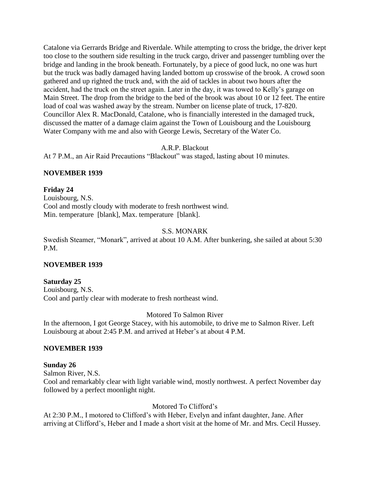Catalone via Gerrards Bridge and Riverdale. While attempting to cross the bridge, the driver kept too close to the southern side resulting in the truck cargo, driver and passenger tumbling over the bridge and landing in the brook beneath. Fortunately, by a piece of good luck, no one was hurt but the truck was badly damaged having landed bottom up crosswise of the brook. A crowd soon gathered and up righted the truck and, with the aid of tackles in about two hours after the accident, had the truck on the street again. Later in the day, it was towed to Kelly's garage on Main Street. The drop from the bridge to the bed of the brook was about 10 or 12 feet. The entire load of coal was washed away by the stream. Number on license plate of truck, 17-820. Councillor Alex R. MacDonald, Catalone, who is financially interested in the damaged truck, discussed the matter of a damage claim against the Town of Louisbourg and the Louisbourg Water Company with me and also with George Lewis, Secretary of the Water Co.

A.R.P. Blackout

At 7 P.M., an Air Raid Precautions "Blackout" was staged, lasting about 10 minutes.

#### **NOVEMBER 1939**

#### **Friday 24**

Louisbourg, N.S. Cool and mostly cloudy with moderate to fresh northwest wind. Min. temperature [blank], Max. temperature [blank].

#### S.S. MONARK

Swedish Steamer, "Monark", arrived at about 10 A.M. After bunkering, she sailed at about 5:30 P.M.

## **NOVEMBER 1939**

## **Saturday 25**

Louisbourg, N.S. Cool and partly clear with moderate to fresh northeast wind.

## Motored To Salmon River

In the afternoon, I got George Stacey, with his automobile, to drive me to Salmon River. Left Louisbourg at about 2:45 P.M. and arrived at Heber's at about 4 P.M.

#### **NOVEMBER 1939**

#### **Sunday 26**

Salmon River, N.S.

Cool and remarkably clear with light variable wind, mostly northwest. A perfect November day followed by a perfect moonlight night.

## Motored To Clifford's

At 2:30 P.M., I motored to Clifford's with Heber, Evelyn and infant daughter, Jane. After arriving at Clifford's, Heber and I made a short visit at the home of Mr. and Mrs. Cecil Hussey.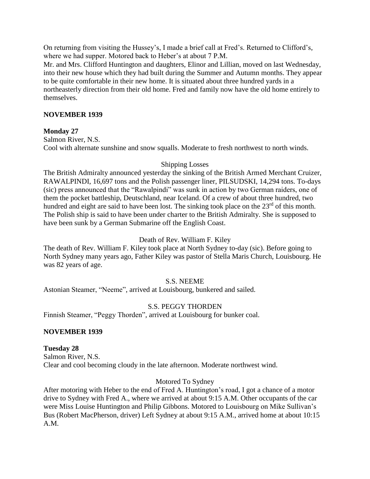On returning from visiting the Hussey's, I made a brief call at Fred's. Returned to Clifford's, where we had supper. Motored back to Heber's at about 7 P.M.

Mr. and Mrs. Clifford Huntington and daughters, Elinor and Lillian, moved on last Wednesday, into their new house which they had built during the Summer and Autumn months. They appear to be quite comfortable in their new home. It is situated about three hundred yards in a northeasterly direction from their old home. Fred and family now have the old home entirely to themselves.

## **NOVEMBER 1939**

## **Monday 27**

Salmon River, N.S. Cool with alternate sunshine and snow squalls. Moderate to fresh northwest to north winds.

## Shipping Losses

The British Admiralty announced yesterday the sinking of the British Armed Merchant Cruizer, RAWALPINDI, 16,697 tons and the Polish passenger liner, PILSUDSKI, 14,294 tons. To-days (sic) press announced that the "Rawalpindi" was sunk in action by two German raiders, one of them the pocket battleship, Deutschland, near Iceland. Of a crew of about three hundred, two hundred and eight are said to have been lost. The sinking took place on the 23<sup>rd</sup> of this month. The Polish ship is said to have been under charter to the British Admiralty. She is supposed to have been sunk by a German Submarine off the English Coast.

## Death of Rev. William F. Kiley

The death of Rev. William F. Kiley took place at North Sydney to-day (sic). Before going to North Sydney many years ago, Father Kiley was pastor of Stella Maris Church, Louisbourg. He was 82 years of age.

# S.S. NEEME

Astonian Steamer, "Neeme", arrived at Louisbourg, bunkered and sailed.

# S.S. PEGGY THORDEN

Finnish Steamer, "Peggy Thorden", arrived at Louisbourg for bunker coal.

## **NOVEMBER 1939**

## **Tuesday 28**

Salmon River, N.S. Clear and cool becoming cloudy in the late afternoon. Moderate northwest wind.

# Motored To Sydney

After motoring with Heber to the end of Fred A. Huntington's road, I got a chance of a motor drive to Sydney with Fred A., where we arrived at about 9:15 A.M. Other occupants of the car were Miss Louise Huntington and Philip Gibbons. Motored to Louisbourg on Mike Sullivan's Bus (Robert MacPherson, driver) Left Sydney at about 9:15 A.M., arrived home at about 10:15 A.M.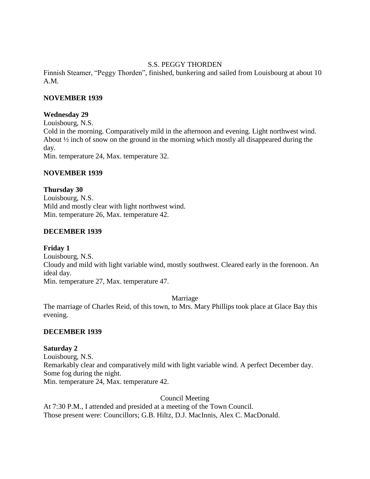## S.S. PEGGY THORDEN

Finnish Steamer, "Peggy Thorden", finished, bunkering and sailed from Louisbourg at about 10 A.M.

## **NOVEMBER 1939**

## **Wednesday 29**

Louisbourg, N.S. Cold in the morning. Comparatively mild in the afternoon and evening. Light northwest wind. About ½ inch of snow on the ground in the morning which mostly all disappeared during the day. Min. temperature 24, Max. temperature 32.

## **NOVEMBER 1939**

## **Thursday 30**

Louisbourg, N.S. Mild and mostly clear with light northwest wind. Min. temperature 26, Max. temperature 42.

## **DECEMBER 1939**

# **Friday 1** Louisbourg, N.S. Cloudy and mild with light variable wind, mostly southwest. Cleared early in the forenoon. An ideal day.

Min. temperature 27, Max. temperature 47.

Marriage

The marriage of Charles Reid, of this town, to Mrs. Mary Phillips took place at Glace Bay this evening.

# **DECEMBER 1939**

# **Saturday 2**

Louisbourg, N.S. Remarkably clear and comparatively mild with light variable wind. A perfect December day. Some fog during the night. Min. temperature 24, Max. temperature 42.

Council Meeting

At 7:30 P.M., I attended and presided at a meeting of the Town Council. Those present were: Councillors; G.B. Hiltz, D.J. MacInnis, Alex C. MacDonald.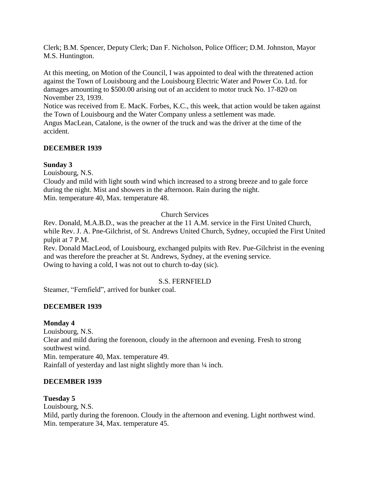Clerk; B.M. Spencer, Deputy Clerk; Dan F. Nicholson, Police Officer; D.M. Johnston, Mayor M.S. Huntington.

At this meeting, on Motion of the Council, I was appointed to deal with the threatened action against the Town of Louisbourg and the Louisbourg Electric Water and Power Co. Ltd. for damages amounting to \$500.00 arising out of an accident to motor truck No. 17-820 on November 23, 1939.

Notice was received from E. MacK. Forbes, K.C., this week, that action would be taken against the Town of Louisbourg and the Water Company unless a settlement was made. Angus MacLean, Catalone, is the owner of the truck and was the driver at the time of the

accident.

## **DECEMBER 1939**

## **Sunday 3**

Louisbourg, N.S.

Cloudy and mild with light south wind which increased to a strong breeze and to gale force during the night. Mist and showers in the afternoon. Rain during the night. Min. temperature 40, Max. temperature 48.

# Church Services

Rev. Donald, M.A.B.D., was the preacher at the 11 A.M. service in the First United Church, while Rev. J. A. Pne-Gilchrist, of St. Andrews United Church, Sydney, occupied the First United pulpit at 7 P.M.

Rev. Donald MacLeod, of Louisbourg, exchanged pulpits with Rev. Pue-Gilchrist in the evening and was therefore the preacher at St. Andrews, Sydney, at the evening service. Owing to having a cold, I was not out to church to-day (sic).

# S.S. FERNFIELD

Steamer, "Fernfield", arrived for bunker coal.

# **DECEMBER 1939**

## **Monday 4**

Louisbourg, N.S. Clear and mild during the forenoon, cloudy in the afternoon and evening. Fresh to strong southwest wind. Min. temperature 40, Max. temperature 49. Rainfall of yesterday and last night slightly more than ¼ inch.

## **DECEMBER 1939**

# **Tuesday 5**

Louisbourg, N.S. Mild, partly during the forenoon. Cloudy in the afternoon and evening. Light northwest wind. Min. temperature 34, Max. temperature 45.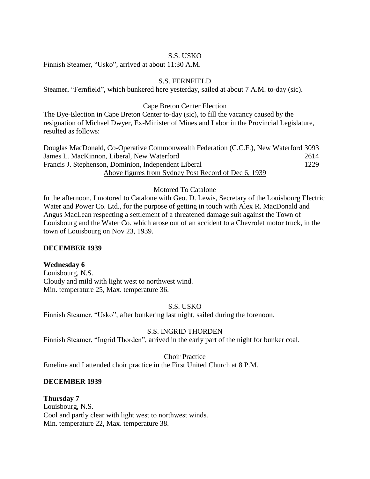## S.S. USKO

Finnish Steamer, "Usko", arrived at about 11:30 A.M.

## S.S. FERNFIELD

Steamer, "Fernfield", which bunkered here yesterday, sailed at about 7 A.M. to-day (sic).

#### Cape Breton Center Election

The Bye-Election in Cape Breton Center to-day (sic), to fill the vacancy caused by the resignation of Michael Dwyer, Ex-Minister of Mines and Labor in the Provincial Legislature, resulted as follows:

Douglas MacDonald, Co-Operative Commonwealth Federation (C.C.F.), New Waterford 3093 James L. MacKinnon, Liberal, New Waterford 2614 Francis J. Stephenson, Dominion, Independent Liberal 1229 Above figures from Sydney Post Record of Dec 6, 1939

#### Motored To Catalone

In the afternoon, I motored to Catalone with Geo. D. Lewis, Secretary of the Louisbourg Electric Water and Power Co. Ltd., for the purpose of getting in touch with Alex R. MacDonald and Angus MacLean respecting a settlement of a threatened damage suit against the Town of Louisbourg and the Water Co. which arose out of an accident to a Chevrolet motor truck, in the town of Louisbourg on Nov 23, 1939.

#### **DECEMBER 1939**

#### **Wednesday 6**

Louisbourg, N.S. Cloudy and mild with light west to northwest wind. Min. temperature 25, Max. temperature 36.

#### S.S. USKO

Finnish Steamer, "Usko", after bunkering last night, sailed during the forenoon.

#### S.S. INGRID THORDEN

Finnish Steamer, "Ingrid Thorden", arrived in the early part of the night for bunker coal.

#### Choir Practice

Emeline and I attended choir practice in the First United Church at 8 P.M.

#### **DECEMBER 1939**

#### **Thursday 7**

Louisbourg, N.S. Cool and partly clear with light west to northwest winds. Min. temperature 22, Max. temperature 38.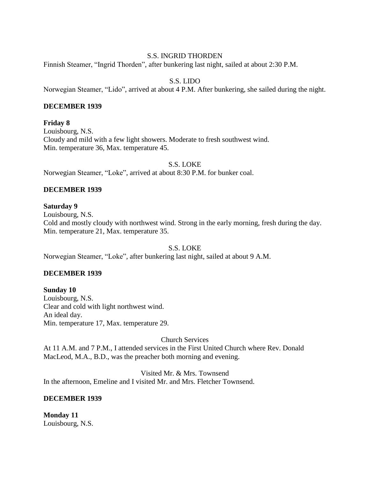### S.S. INGRID THORDEN

Finnish Steamer, "Ingrid Thorden", after bunkering last night, sailed at about 2:30 P.M.

# S.S. LIDO

Norwegian Steamer, "Lido", arrived at about 4 P.M. After bunkering, she sailed during the night.

### **DECEMBER 1939**

**Friday 8** Louisbourg, N.S. Cloudy and mild with a few light showers. Moderate to fresh southwest wind. Min. temperature 36, Max. temperature 45.

S.S. LOKE

Norwegian Steamer, "Loke", arrived at about 8:30 P.M. for bunker coal.

# **DECEMBER 1939**

# **Saturday 9**

Louisbourg, N.S. Cold and mostly cloudy with northwest wind. Strong in the early morning, fresh during the day. Min. temperature 21, Max. temperature 35.

S.S. LOKE

Norwegian Steamer, "Loke", after bunkering last night, sailed at about 9 A.M.

# **DECEMBER 1939**

**Sunday 10** Louisbourg, N.S. Clear and cold with light northwest wind. An ideal day. Min. temperature 17, Max. temperature 29.

Church Services

At 11 A.M. and 7 P.M., I attended services in the First United Church where Rev. Donald MacLeod, M.A., B.D., was the preacher both morning and evening.

Visited Mr. & Mrs. Townsend In the afternoon, Emeline and I visited Mr. and Mrs. Fletcher Townsend.

# **DECEMBER 1939**

**Monday 11** Louisbourg, N.S.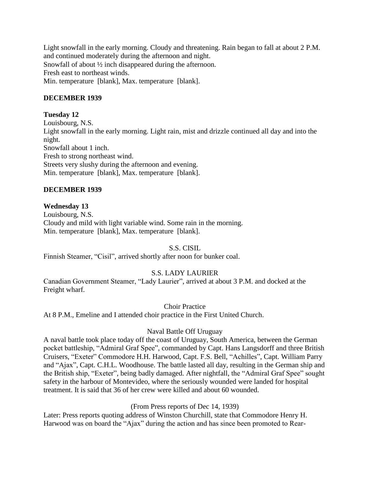Light snowfall in the early morning. Cloudy and threatening. Rain began to fall at about 2 P.M. and continued moderately during the afternoon and night. Snowfall of about ½ inch disappeared during the afternoon. Fresh east to northeast winds. Min. temperature [blank], Max. temperature [blank].

# **DECEMBER 1939**

# **Tuesday 12**

Louisbourg, N.S. Light snowfall in the early morning. Light rain, mist and drizzle continued all day and into the night. Snowfall about 1 inch. Fresh to strong northeast wind. Streets very slushy during the afternoon and evening. Min. temperature [blank], Max. temperature [blank].

# **DECEMBER 1939**

# **Wednesday 13**

Louisbourg, N.S. Cloudy and mild with light variable wind. Some rain in the morning. Min. temperature [blank], Max. temperature [blank].

S.S. CISIL

Finnish Steamer, "Cisil", arrived shortly after noon for bunker coal.

# S.S. LADY LAURIER

Canadian Government Steamer, "Lady Laurier", arrived at about 3 P.M. and docked at the Freight wharf.

Choir Practice

At 8 P.M., Emeline and I attended choir practice in the First United Church.

# Naval Battle Off Uruguay

A naval battle took place today off the coast of Uruguay, South America, between the German pocket battleship, "Admiral Graf Spee", commanded by Capt. Hans Langsdorff and three British Cruisers, "Exeter" Commodore H.H. Harwood, Capt. F.S. Bell, "Achilles", Capt. William Parry and "Ajax", Capt. C.H.L. Woodhouse. The battle lasted all day, resulting in the German ship and the British ship, "Exeter", being badly damaged. After nightfall, the "Admiral Graf Spee" sought safety in the harbour of Montevideo, where the seriously wounded were landed for hospital treatment. It is said that 36 of her crew were killed and about 60 wounded.

# (From Press reports of Dec 14, 1939)

Later: Press reports quoting address of Winston Churchill, state that Commodore Henry H. Harwood was on board the "Ajax" during the action and has since been promoted to Rear-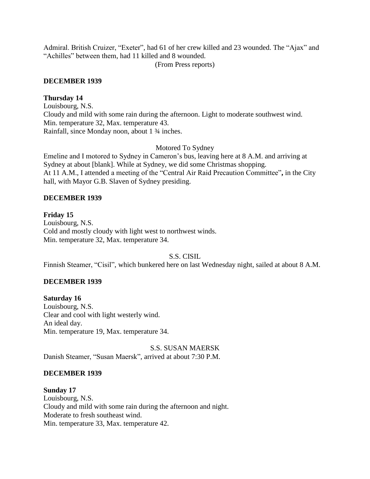Admiral. British Cruizer, "Exeter", had 61 of her crew killed and 23 wounded. The "Ajax" and "Achilles" between them, had 11 killed and 8 wounded.

(From Press reports)

## **DECEMBER 1939**

## **Thursday 14**

Louisbourg, N.S. Cloudy and mild with some rain during the afternoon. Light to moderate southwest wind. Min. temperature 32, Max. temperature 43. Rainfall, since Monday noon, about 1 ¾ inches.

### Motored To Sydney

Emeline and I motored to Sydney in Cameron's bus, leaving here at 8 A.M. and arriving at Sydney at about [blank]. While at Sydney, we did some Christmas shopping. At 11 A.M., I attended a meeting of the "Central Air Raid Precaution Committee"**,** in the City hall, with Mayor G.B. Slaven of Sydney presiding.

## **DECEMBER 1939**

## **Friday 15**

Louisbourg, N.S. Cold and mostly cloudy with light west to northwest winds. Min. temperature 32, Max. temperature 34.

S.S. CISIL

Finnish Steamer, "Cisil", which bunkered here on last Wednesday night, sailed at about 8 A.M.

# **DECEMBER 1939**

**Saturday 16** Louisbourg, N.S. Clear and cool with light westerly wind. An ideal day. Min. temperature 19, Max. temperature 34.

S.S. SUSAN MAERSK Danish Steamer, "Susan Maersk", arrived at about 7:30 P.M.

### **DECEMBER 1939**

**Sunday 17** Louisbourg, N.S. Cloudy and mild with some rain during the afternoon and night. Moderate to fresh southeast wind. Min. temperature 33, Max. temperature 42.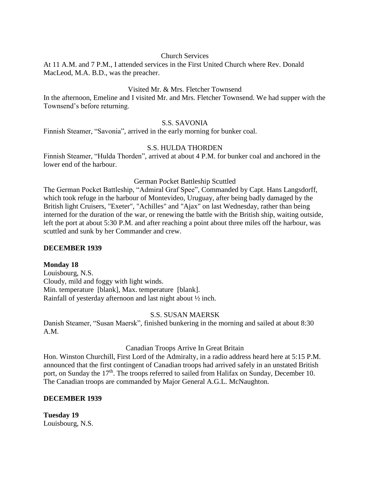### Church Services

At 11 A.M. and 7 P.M., I attended services in the First United Church where Rev. Donald MacLeod, M.A. B.D., was the preacher.

#### Visited Mr. & Mrs. Fletcher Townsend

In the afternoon, Emeline and I visited Mr. and Mrs. Fletcher Townsend. We had supper with the Townsend's before returning.

#### S.S. SAVONIA

Finnish Steamer, "Savonia", arrived in the early morning for bunker coal.

#### S.S. HULDA THORDEN

Finnish Steamer, "Hulda Thorden", arrived at about 4 P.M. for bunker coal and anchored in the lower end of the harbour.

#### German Pocket Battleship Scuttled

The German Pocket Battleship, "Admiral Graf Spee", Commanded by Capt. Hans Langsdorff, which took refuge in the harbour of Montevideo, Uruguay, after being badly damaged by the British light Cruisers, "Exeter", "Achilles" and "Ajax" on last Wednesday, rather than being interned for the duration of the war, or renewing the battle with the British ship, waiting outside, left the port at about 5:30 P.M. and after reaching a point about three miles off the harbour, was scuttled and sunk by her Commander and crew.

#### **DECEMBER 1939**

#### **Monday 18**

Louisbourg, N.S. Cloudy, mild and foggy with light winds. Min. temperature [blank], Max. temperature [blank]. Rainfall of yesterday afternoon and last night about ½ inch.

#### S.S. SUSAN MAERSK

Danish Steamer, "Susan Maersk", finished bunkering in the morning and sailed at about 8:30 A.M.

#### Canadian Troops Arrive In Great Britain

Hon. Winston Churchill, First Lord of the Admiralty, in a radio address heard here at 5:15 P.M. announced that the first contingent of Canadian troops had arrived safely in an unstated British port, on Sunday the 17<sup>th</sup>. The troops referred to sailed from Halifax on Sunday, December 10. The Canadian troops are commanded by Major General A.G.L. McNaughton.

### **DECEMBER 1939**

**Tuesday 19** Louisbourg, N.S.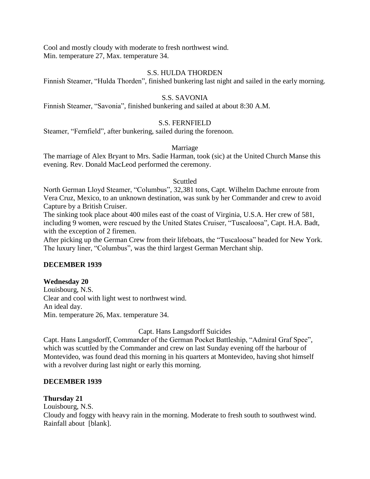Cool and mostly cloudy with moderate to fresh northwest wind. Min. temperature 27, Max. temperature 34.

### S.S. HULDA THORDEN

Finnish Steamer, "Hulda Thorden", finished bunkering last night and sailed in the early morning.

## S.S. SAVONIA

Finnish Steamer, "Savonia", finished bunkering and sailed at about 8:30 A.M.

## S.S. FERNFIELD

Steamer, "Fernfield", after bunkering, sailed during the forenoon.

### Marriage

The marriage of Alex Bryant to Mrs. Sadie Harman, took (sic) at the United Church Manse this evening. Rev. Donald MacLeod performed the ceremony.

#### Scuttled

North German Lloyd Steamer, "Columbus", 32,381 tons, Capt. Wilhelm Dachme enroute from Vera Cruz, Mexico, to an unknown destination, was sunk by her Commander and crew to avoid Capture by a British Cruiser.

The sinking took place about 400 miles east of the coast of Virginia, U.S.A. Her crew of 581, including 9 women, were rescued by the United States Cruiser, "Tuscaloosa", Capt. H.A. Badt, with the exception of 2 firemen.

After picking up the German Crew from their lifeboats, the "Tuscaloosa" headed for New York. The luxury liner, "Columbus", was the third largest German Merchant ship.

### **DECEMBER 1939**

### **Wednesday 20**

Louisbourg, N.S. Clear and cool with light west to northwest wind. An ideal day. Min. temperature 26, Max. temperature 34.

### Capt. Hans Langsdorff Suicides

Capt. Hans Langsdorff, Commander of the German Pocket Battleship, "Admiral Graf Spee", which was scuttled by the Commander and crew on last Sunday evening off the harbour of Montevideo, was found dead this morning in his quarters at Montevideo, having shot himself with a revolver during last night or early this morning.

### **DECEMBER 1939**

### **Thursday 21**

Louisbourg, N.S.

Cloudy and foggy with heavy rain in the morning. Moderate to fresh south to southwest wind. Rainfall about [blank].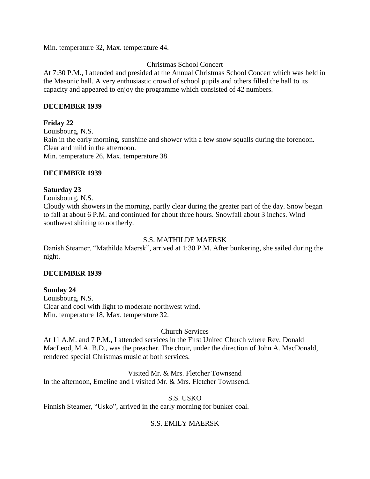Min. temperature 32, Max. temperature 44.

## Christmas School Concert

At 7:30 P.M., I attended and presided at the Annual Christmas School Concert which was held in the Masonic hall. A very enthusiastic crowd of school pupils and others filled the hall to its capacity and appeared to enjoy the programme which consisted of 42 numbers.

### **DECEMBER 1939**

## **Friday 22**

Louisbourg, N.S. Rain in the early morning, sunshine and shower with a few snow squalls during the forenoon. Clear and mild in the afternoon. Min. temperature 26, Max. temperature 38.

## **DECEMBER 1939**

## **Saturday 23**

Louisbourg, N.S.

Cloudy with showers in the morning, partly clear during the greater part of the day. Snow began to fall at about 6 P.M. and continued for about three hours. Snowfall about 3 inches. Wind southwest shifting to northerly.

### S.S. MATHILDE MAERSK

Danish Steamer, "Mathilde Maersk", arrived at 1:30 P.M. After bunkering, she sailed during the night.

### **DECEMBER 1939**

### **Sunday 24**

Louisbourg, N.S. Clear and cool with light to moderate northwest wind. Min. temperature 18, Max. temperature 32.

# Church Services

At 11 A.M. and 7 P.M., I attended services in the First United Church where Rev. Donald MacLeod, M.A. B.D., was the preacher. The choir, under the direction of John A. MacDonald, rendered special Christmas music at both services.

Visited Mr. & Mrs. Fletcher Townsend In the afternoon, Emeline and I visited Mr. & Mrs. Fletcher Townsend.

### S.S. USKO

Finnish Steamer, "Usko", arrived in the early morning for bunker coal.

# S.S. EMILY MAERSK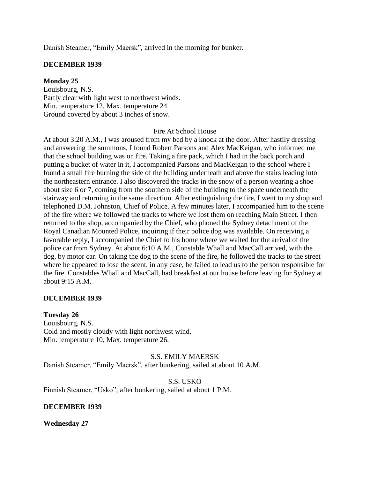Danish Steamer, "Emily Maersk", arrived in the morning for bunker.

#### **DECEMBER 1939**

#### **Monday 25**

Louisbourg, N.S. Partly clear with light west to northwest winds. Min. temperature 12, Max. temperature 24. Ground covered by about 3 inches of snow.

#### Fire At School House

At about 3:20 A.M., I was aroused from my bed by a knock at the door. After hastily dressing and answering the summons, I found Robert Parsons and Alex MacKeigan, who informed me that the school building was on fire. Taking a fire pack, which I had in the back porch and putting a bucket of water in it, I accompanied Parsons and MacKeigan to the school where I found a small fire burning the side of the building underneath and above the stairs leading into the northeastern entrance. I also discovered the tracks in the snow of a person wearing a shoe about size 6 or 7, coming from the southern side of the building to the space underneath the stairway and returning in the same direction. After extinguishing the fire, I went to my shop and telephoned D.M. Johnston, Chief of Police. A few minutes later, I accompanied him to the scene of the fire where we followed the tracks to where we lost them on reaching Main Street. I then returned to the shop, accompanied by the Chief, who phoned the Sydney detachment of the Royal Canadian Mounted Police, inquiring if their police dog was available. On receiving a favorable reply, I accompanied the Chief to his home where we waited for the arrival of the police car from Sydney. At about 6:10 A.M., Constable Whall and MacCall arrived, with the dog, by motor car. On taking the dog to the scene of the fire, he followed the tracks to the street where he appeared to lose the scent, in any case, he failed to lead us to the person responsible for the fire. Constables Whall and MacCall, had breakfast at our house before leaving for Sydney at about 9:15 A.M.

#### **DECEMBER 1939**

#### **Tuesday 26**

Louisbourg, N.S. Cold and mostly cloudy with light northwest wind. Min. temperature 10, Max. temperature 26.

#### S.S. EMILY MAERSK

Danish Steamer, "Emily Maersk", after bunkering, sailed at about 10 A.M.

#### S.S. USKO

Finnish Steamer, "Usko", after bunkering, sailed at about 1 P.M.

#### **DECEMBER 1939**

**Wednesday 27**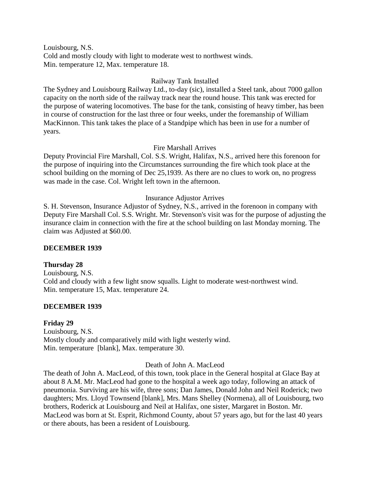Louisbourg, N.S. Cold and mostly cloudy with light to moderate west to northwest winds. Min. temperature 12, Max. temperature 18.

### Railway Tank Installed

The Sydney and Louisbourg Railway Ltd., to-day (sic), installed a Steel tank, about 7000 gallon capacity on the north side of the railway track near the round house. This tank was erected for the purpose of watering locomotives. The base for the tank, consisting of heavy timber, has been in course of construction for the last three or four weeks, under the foremanship of William MacKinnon. This tank takes the place of a Standpipe which has been in use for a number of years.

## Fire Marshall Arrives

Deputy Provincial Fire Marshall, Col. S.S. Wright, Halifax, N.S., arrived here this forenoon for the purpose of inquiring into the Circumstances surrounding the fire which took place at the school building on the morning of Dec 25,1939. As there are no clues to work on, no progress was made in the case. Col. Wright left town in the afternoon.

## Insurance Adjustor Arrives

S. H. Stevenson, Insurance Adjustor of Sydney, N.S., arrived in the forenoon in company with Deputy Fire Marshall Col. S.S. Wright. Mr. Stevenson's visit was for the purpose of adjusting the insurance claim in connection with the fire at the school building on last Monday morning. The claim was Adjusted at \$60.00.

### **DECEMBER 1939**

### **Thursday 28**

Louisbourg, N.S. Cold and cloudy with a few light snow squalls. Light to moderate west-northwest wind. Min. temperature 15, Max. temperature 24.

# **DECEMBER 1939**

# **Friday 29**

Louisbourg, N.S. Mostly cloudy and comparatively mild with light westerly wind. Min. temperature [blank], Max. temperature 30.

Death of John A. MacLeod

The death of John A. MacLeod, of this town, took place in the General hospital at Glace Bay at about 8 A.M. Mr. MacLeod had gone to the hospital a week ago today, following an attack of pneumonia. Surviving are his wife, three sons; Dan James, Donald John and Neil Roderick; two daughters; Mrs. Lloyd Townsend [blank], Mrs. Mans Shelley (Normena), all of Louisbourg, two brothers, Roderick at Louisbourg and Neil at Halifax, one sister, Margaret in Boston. Mr. MacLeod was born at St. Esprit, Richmond County, about 57 years ago, but for the last 40 years or there abouts, has been a resident of Louisbourg.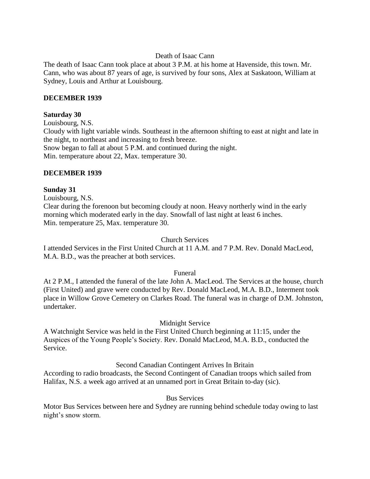### Death of Isaac Cann

The death of Isaac Cann took place at about 3 P.M. at his home at Havenside, this town. Mr. Cann, who was about 87 years of age, is survived by four sons, Alex at Saskatoon, William at Sydney, Louis and Arthur at Louisbourg.

### **DECEMBER 1939**

### **Saturday 30**

Louisbourg, N.S. Cloudy with light variable winds. Southeast in the afternoon shifting to east at night and late in the night, to northeast and increasing to fresh breeze. Snow began to fall at about 5 P.M. and continued during the night. Min. temperature about 22, Max. temperature 30.

## **DECEMBER 1939**

## **Sunday 31**

Louisbourg, N.S.

Clear during the forenoon but becoming cloudy at noon. Heavy northerly wind in the early morning which moderated early in the day. Snowfall of last night at least 6 inches. Min. temperature 25, Max. temperature 30.

### Church Services

I attended Services in the First United Church at 11 A.M. and 7 P.M. Rev. Donald MacLeod, M.A. B.D., was the preacher at both services.

### Funeral

At 2 P.M., I attended the funeral of the late John A. MacLeod. The Services at the house, church (First United) and grave were conducted by Rev. Donald MacLeod, M.A. B.D., Interment took place in Willow Grove Cemetery on Clarkes Road. The funeral was in charge of D.M. Johnston, undertaker.

# Midnight Service

A Watchnight Service was held in the First United Church beginning at 11:15, under the Auspices of the Young People's Society. Rev. Donald MacLeod, M.A. B.D., conducted the Service.

# Second Canadian Contingent Arrives In Britain

According to radio broadcasts, the Second Contingent of Canadian troops which sailed from Halifax, N.S. a week ago arrived at an unnamed port in Great Britain to-day (sic).

### Bus Services

Motor Bus Services between here and Sydney are running behind schedule today owing to last night's snow storm.